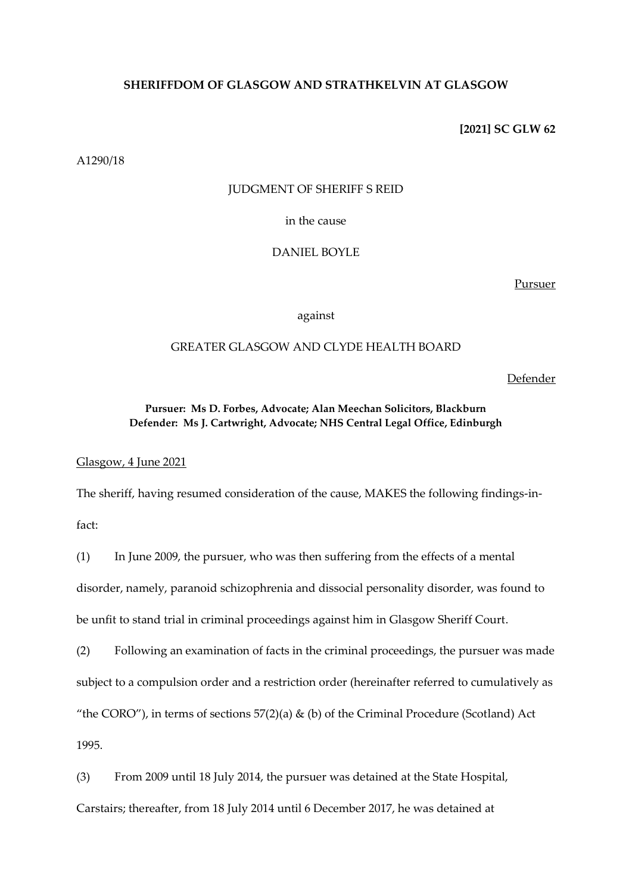## **SHERIFFDOM OF GLASGOW AND STRATHKELVIN AT GLASGOW**

**[2021] SC GLW 62**

A1290/18

### JUDGMENT OF SHERIFF S REID

in the cause

DANIEL BOYLE

Pursuer

against

# GREATER GLASGOW AND CLYDE HEALTH BOARD

Defender

# **Pursuer: Ms D. Forbes, Advocate; Alan Meechan Solicitors, Blackburn Defender: Ms J. Cartwright, Advocate; NHS Central Legal Office, Edinburgh**

Glasgow, 4 June 2021

The sheriff, having resumed consideration of the cause, MAKES the following findings-in-

fact:

(1) In June 2009, the pursuer, who was then suffering from the effects of a mental disorder, namely, paranoid schizophrenia and dissocial personality disorder, was found to be unfit to stand trial in criminal proceedings against him in Glasgow Sheriff Court.

(2) Following an examination of facts in the criminal proceedings, the pursuer was made subject to a compulsion order and a restriction order (hereinafter referred to cumulatively as "the CORO"), in terms of sections  $57(2)(a)$  & (b) of the Criminal Procedure (Scotland) Act 1995.

(3) From 2009 until 18 July 2014, the pursuer was detained at the State Hospital, Carstairs; thereafter, from 18 July 2014 until 6 December 2017, he was detained at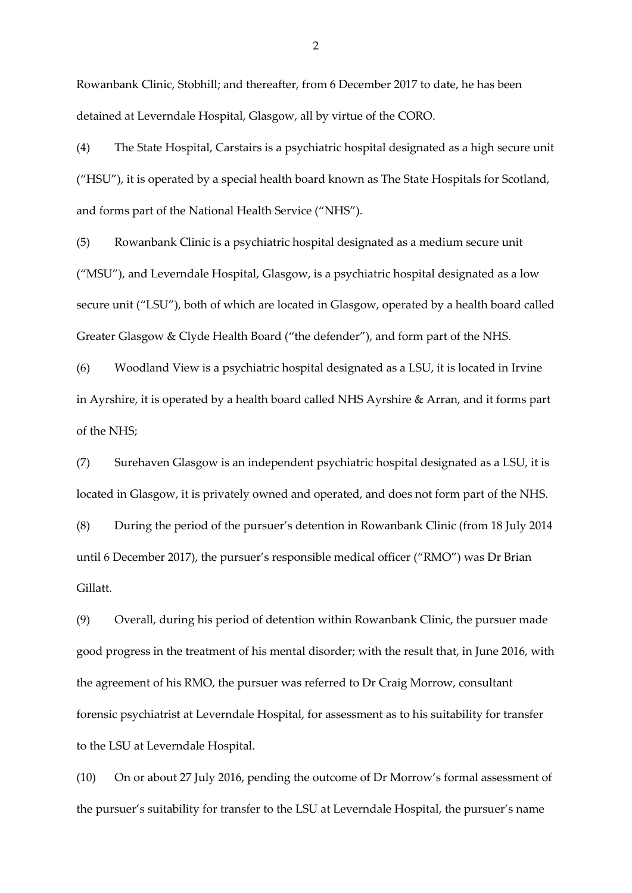Rowanbank Clinic, Stobhill; and thereafter, from 6 December 2017 to date, he has been detained at Leverndale Hospital, Glasgow, all by virtue of the CORO.

(4) The State Hospital, Carstairs is a psychiatric hospital designated as a high secure unit ("HSU"), it is operated by a special health board known as The State Hospitals for Scotland, and forms part of the National Health Service ("NHS").

(5) Rowanbank Clinic is a psychiatric hospital designated as a medium secure unit ("MSU"), and Leverndale Hospital, Glasgow, is a psychiatric hospital designated as a low secure unit ("LSU"), both of which are located in Glasgow, operated by a health board called Greater Glasgow & Clyde Health Board ("the defender"), and form part of the NHS.

(6) Woodland View is a psychiatric hospital designated as a LSU, it is located in Irvine in Ayrshire, it is operated by a health board called NHS Ayrshire & Arran, and it forms part of the NHS;

(7) Surehaven Glasgow is an independent psychiatric hospital designated as a LSU, it is located in Glasgow, it is privately owned and operated, and does not form part of the NHS.

(8) During the period of the pursuer's detention in Rowanbank Clinic (from 18 July 2014 until 6 December 2017), the pursuer's responsible medical officer ("RMO") was Dr Brian Gillatt.

(9) Overall, during his period of detention within Rowanbank Clinic, the pursuer made good progress in the treatment of his mental disorder; with the result that, in June 2016, with the agreement of his RMO, the pursuer was referred to Dr Craig Morrow, consultant forensic psychiatrist at Leverndale Hospital, for assessment as to his suitability for transfer to the LSU at Leverndale Hospital.

(10) On or about 27 July 2016, pending the outcome of Dr Morrow's formal assessment of the pursuer's suitability for transfer to the LSU at Leverndale Hospital, the pursuer's name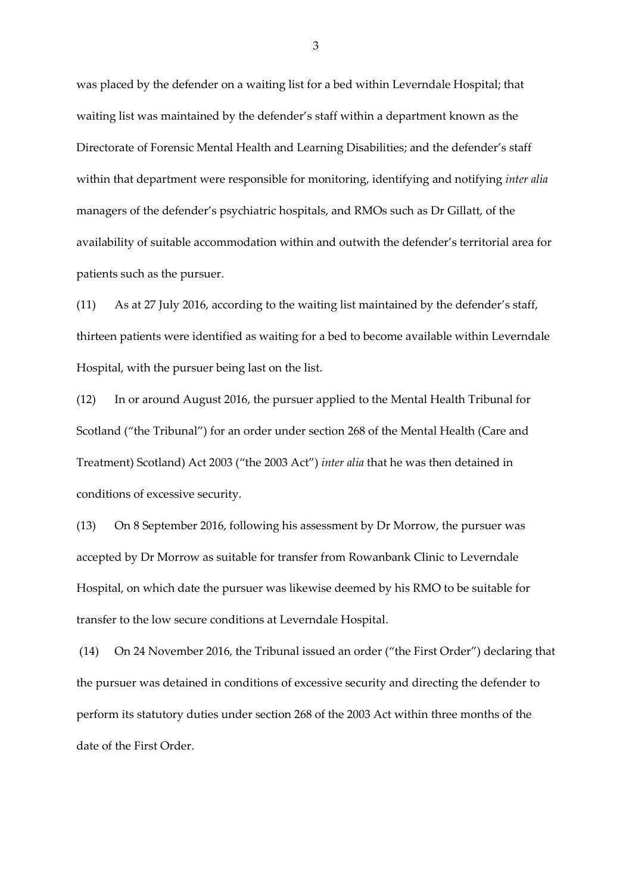was placed by the defender on a waiting list for a bed within Leverndale Hospital; that waiting list was maintained by the defender's staff within a department known as the Directorate of Forensic Mental Health and Learning Disabilities; and the defender's staff within that department were responsible for monitoring, identifying and notifying *inter alia* managers of the defender's psychiatric hospitals, and RMOs such as Dr Gillatt, of the availability of suitable accommodation within and outwith the defender's territorial area for patients such as the pursuer.

(11) As at 27 July 2016, according to the waiting list maintained by the defender's staff, thirteen patients were identified as waiting for a bed to become available within Leverndale Hospital, with the pursuer being last on the list.

(12) In or around August 2016, the pursuer applied to the Mental Health Tribunal for Scotland ("the Tribunal") for an order under section 268 of the Mental Health (Care and Treatment) Scotland) Act 2003 ("the 2003 Act") *inter alia* that he was then detained in conditions of excessive security.

(13) On 8 September 2016, following his assessment by Dr Morrow, the pursuer was accepted by Dr Morrow as suitable for transfer from Rowanbank Clinic to Leverndale Hospital, on which date the pursuer was likewise deemed by his RMO to be suitable for transfer to the low secure conditions at Leverndale Hospital.

(14) On 24 November 2016, the Tribunal issued an order ("the First Order") declaring that the pursuer was detained in conditions of excessive security and directing the defender to perform its statutory duties under section 268 of the 2003 Act within three months of the date of the First Order.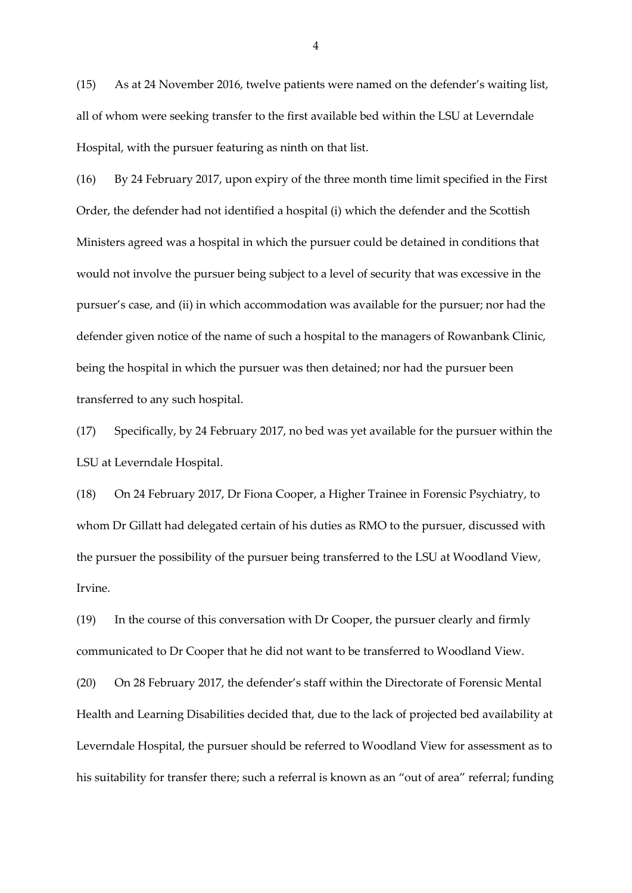(15) As at 24 November 2016, twelve patients were named on the defender's waiting list, all of whom were seeking transfer to the first available bed within the LSU at Leverndale Hospital, with the pursuer featuring as ninth on that list.

(16) By 24 February 2017, upon expiry of the three month time limit specified in the First Order, the defender had not identified a hospital (i) which the defender and the Scottish Ministers agreed was a hospital in which the pursuer could be detained in conditions that would not involve the pursuer being subject to a level of security that was excessive in the pursuer's case, and (ii) in which accommodation was available for the pursuer; nor had the defender given notice of the name of such a hospital to the managers of Rowanbank Clinic, being the hospital in which the pursuer was then detained; nor had the pursuer been transferred to any such hospital.

(17) Specifically, by 24 February 2017, no bed was yet available for the pursuer within the LSU at Leverndale Hospital.

(18) On 24 February 2017, Dr Fiona Cooper, a Higher Trainee in Forensic Psychiatry, to whom Dr Gillatt had delegated certain of his duties as RMO to the pursuer, discussed with the pursuer the possibility of the pursuer being transferred to the LSU at Woodland View, Irvine.

(19) In the course of this conversation with Dr Cooper, the pursuer clearly and firmly communicated to Dr Cooper that he did not want to be transferred to Woodland View.

(20) On 28 February 2017, the defender's staff within the Directorate of Forensic Mental Health and Learning Disabilities decided that, due to the lack of projected bed availability at Leverndale Hospital, the pursuer should be referred to Woodland View for assessment as to his suitability for transfer there; such a referral is known as an "out of area" referral; funding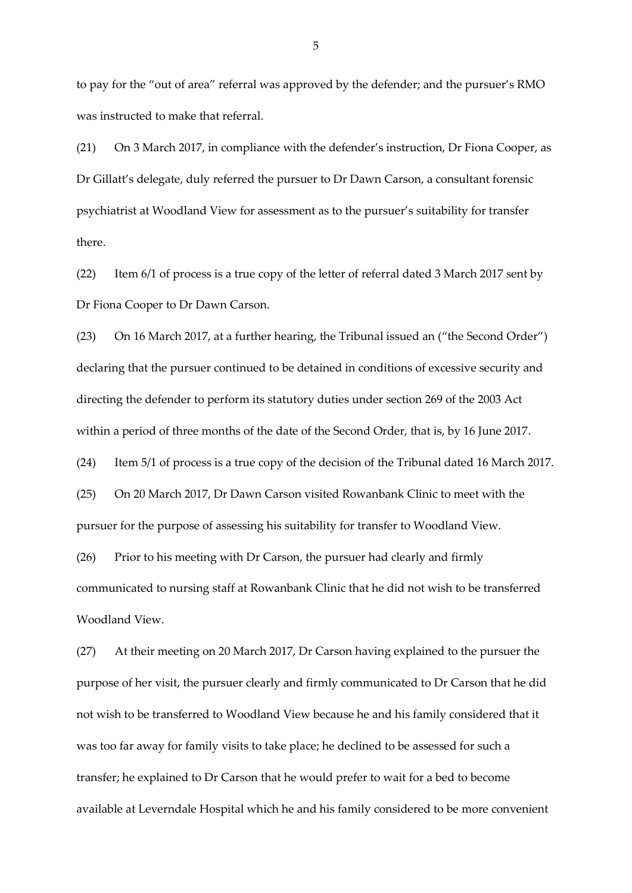to pay for the "out of area" referral was approved by the defender; and the pursuer's RMO was instructed to make that referral.

(21) On 3 March 2017, in compliance with the defender's instruction, Dr Fiona Cooper, as Dr Gillatt's delegate, duly referred the pursuer to Dr Dawn Carson, a consultant forensic psychiatrist at Woodland View for assessment as to the pursuer's suitability for transfer there.

(22) Item 6/1 of process is a true copy of the letter of referral dated 3 March 2017 sent by Dr Fiona Cooper to Dr Dawn Carson.

(23) On 16 March 2017, at a further hearing, the Tribunal issued an ("the Second Order") declaring that the pursuer continued to be detained in conditions of excessive security and directing the defender to perform its statutory duties under section 269 of the 2003 Act within a period of three months of the date of the Second Order, that is, by 16 June 2017.

(24) Item 5/1 of process is a true copy of the decision of the Tribunal dated 16 March 2017.

(25) On 20 March 2017, Dr Dawn Carson visited Rowanbank Clinic to meet with the pursuer for the purpose of assessing his suitability for transfer to Woodland View.

(26) Prior to his meeting with Dr Carson, the pursuer had clearly and firmly communicated to nursing staff at Rowanbank Clinic that he did not wish to be transferred Woodland View.

(27) At their meeting on 20 March 2017, Dr Carson having explained to the pursuer the purpose of her visit, the pursuer clearly and firmly communicated to Dr Carson that he did not wish to be transferred to Woodland View because he and his family considered that it was too far away for family visits to take place; he declined to be assessed for such a transfer; he explained to Dr Carson that he would prefer to wait for a bed to become available at Leverndale Hospital which he and his family considered to be more convenient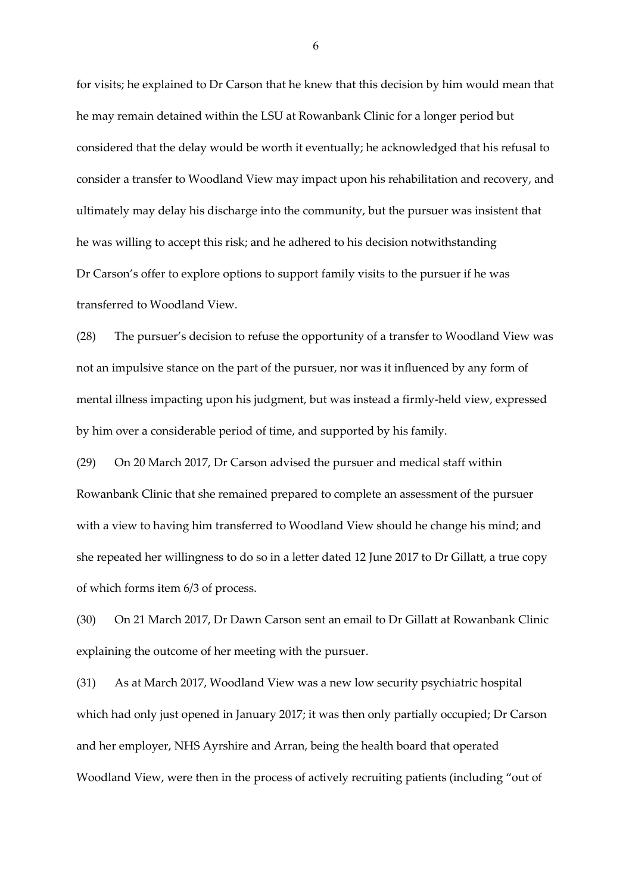for visits; he explained to Dr Carson that he knew that this decision by him would mean that he may remain detained within the LSU at Rowanbank Clinic for a longer period but considered that the delay would be worth it eventually; he acknowledged that his refusal to consider a transfer to Woodland View may impact upon his rehabilitation and recovery, and ultimately may delay his discharge into the community, but the pursuer was insistent that he was willing to accept this risk; and he adhered to his decision notwithstanding Dr Carson's offer to explore options to support family visits to the pursuer if he was transferred to Woodland View.

(28) The pursuer's decision to refuse the opportunity of a transfer to Woodland View was not an impulsive stance on the part of the pursuer, nor was it influenced by any form of mental illness impacting upon his judgment, but was instead a firmly-held view, expressed by him over a considerable period of time, and supported by his family.

(29) On 20 March 2017, Dr Carson advised the pursuer and medical staff within Rowanbank Clinic that she remained prepared to complete an assessment of the pursuer with a view to having him transferred to Woodland View should he change his mind; and she repeated her willingness to do so in a letter dated 12 June 2017 to Dr Gillatt, a true copy of which forms item 6/3 of process.

(30) On 21 March 2017, Dr Dawn Carson sent an email to Dr Gillatt at Rowanbank Clinic explaining the outcome of her meeting with the pursuer.

(31) As at March 2017, Woodland View was a new low security psychiatric hospital which had only just opened in January 2017; it was then only partially occupied; Dr Carson and her employer, NHS Ayrshire and Arran, being the health board that operated Woodland View, were then in the process of actively recruiting patients (including "out of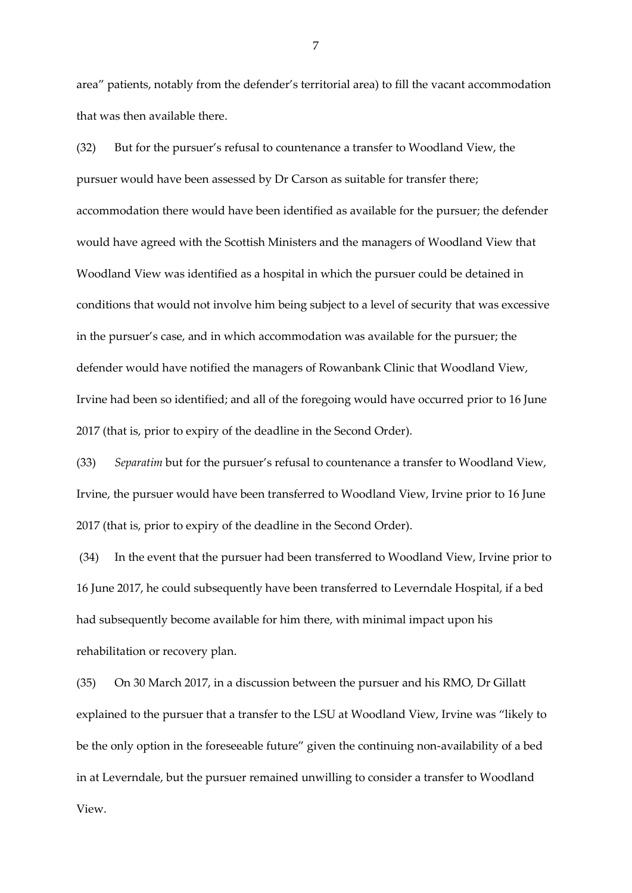area" patients, notably from the defender's territorial area) to fill the vacant accommodation that was then available there.

(32) But for the pursuer's refusal to countenance a transfer to Woodland View, the pursuer would have been assessed by Dr Carson as suitable for transfer there; accommodation there would have been identified as available for the pursuer; the defender would have agreed with the Scottish Ministers and the managers of Woodland View that Woodland View was identified as a hospital in which the pursuer could be detained in conditions that would not involve him being subject to a level of security that was excessive in the pursuer's case, and in which accommodation was available for the pursuer; the defender would have notified the managers of Rowanbank Clinic that Woodland View, Irvine had been so identified; and all of the foregoing would have occurred prior to 16 June 2017 (that is, prior to expiry of the deadline in the Second Order).

(33) *Separatim* but for the pursuer's refusal to countenance a transfer to Woodland View, Irvine, the pursuer would have been transferred to Woodland View, Irvine prior to 16 June 2017 (that is, prior to expiry of the deadline in the Second Order).

(34) In the event that the pursuer had been transferred to Woodland View, Irvine prior to 16 June 2017, he could subsequently have been transferred to Leverndale Hospital, if a bed had subsequently become available for him there, with minimal impact upon his rehabilitation or recovery plan.

(35) On 30 March 2017, in a discussion between the pursuer and his RMO, Dr Gillatt explained to the pursuer that a transfer to the LSU at Woodland View, Irvine was "likely to be the only option in the foreseeable future" given the continuing non-availability of a bed in at Leverndale, but the pursuer remained unwilling to consider a transfer to Woodland View.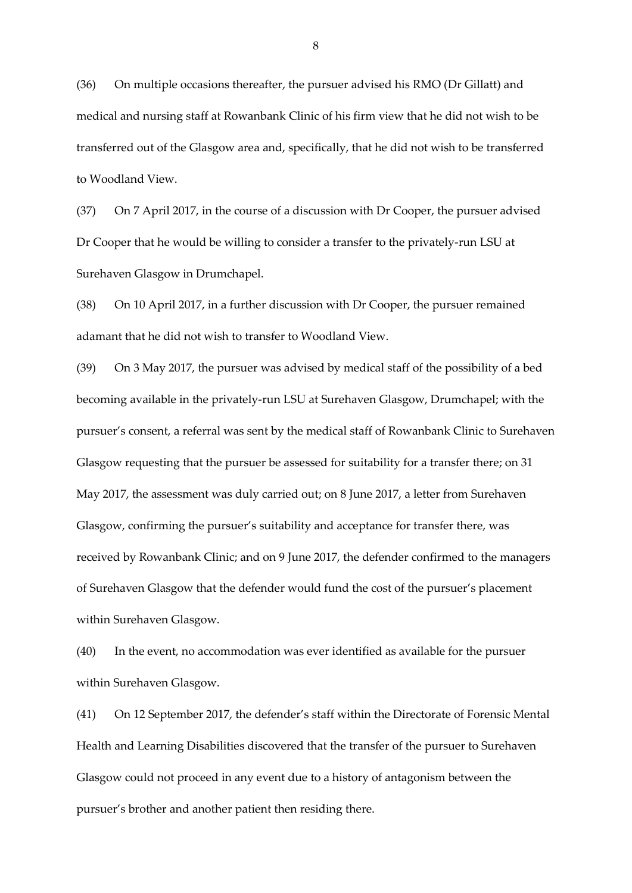(36) On multiple occasions thereafter, the pursuer advised his RMO (Dr Gillatt) and medical and nursing staff at Rowanbank Clinic of his firm view that he did not wish to be transferred out of the Glasgow area and, specifically, that he did not wish to be transferred to Woodland View.

(37) On 7 April 2017, in the course of a discussion with Dr Cooper, the pursuer advised Dr Cooper that he would be willing to consider a transfer to the privately-run LSU at Surehaven Glasgow in Drumchapel.

(38) On 10 April 2017, in a further discussion with Dr Cooper, the pursuer remained adamant that he did not wish to transfer to Woodland View.

(39) On 3 May 2017, the pursuer was advised by medical staff of the possibility of a bed becoming available in the privately-run LSU at Surehaven Glasgow, Drumchapel; with the pursuer's consent, a referral was sent by the medical staff of Rowanbank Clinic to Surehaven Glasgow requesting that the pursuer be assessed for suitability for a transfer there; on 31 May 2017, the assessment was duly carried out; on 8 June 2017, a letter from Surehaven Glasgow, confirming the pursuer's suitability and acceptance for transfer there, was received by Rowanbank Clinic; and on 9 June 2017, the defender confirmed to the managers of Surehaven Glasgow that the defender would fund the cost of the pursuer's placement within Surehaven Glasgow.

(40) In the event, no accommodation was ever identified as available for the pursuer within Surehaven Glasgow.

(41) On 12 September 2017, the defender's staff within the Directorate of Forensic Mental Health and Learning Disabilities discovered that the transfer of the pursuer to Surehaven Glasgow could not proceed in any event due to a history of antagonism between the pursuer's brother and another patient then residing there.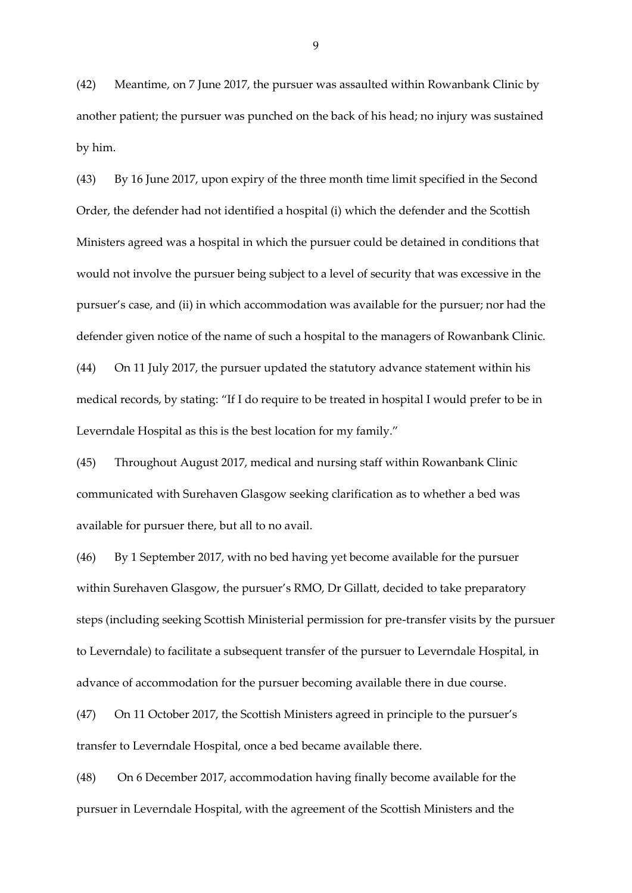(42) Meantime, on 7 June 2017, the pursuer was assaulted within Rowanbank Clinic by another patient; the pursuer was punched on the back of his head; no injury was sustained by him.

(43) By 16 June 2017, upon expiry of the three month time limit specified in the Second Order, the defender had not identified a hospital (i) which the defender and the Scottish Ministers agreed was a hospital in which the pursuer could be detained in conditions that would not involve the pursuer being subject to a level of security that was excessive in the pursuer's case, and (ii) in which accommodation was available for the pursuer; nor had the defender given notice of the name of such a hospital to the managers of Rowanbank Clinic. (44) On 11 July 2017, the pursuer updated the statutory advance statement within his medical records, by stating: "If I do require to be treated in hospital I would prefer to be in Leverndale Hospital as this is the best location for my family."

(45) Throughout August 2017, medical and nursing staff within Rowanbank Clinic communicated with Surehaven Glasgow seeking clarification as to whether a bed was available for pursuer there, but all to no avail.

(46) By 1 September 2017, with no bed having yet become available for the pursuer within Surehaven Glasgow, the pursuer's RMO, Dr Gillatt, decided to take preparatory steps (including seeking Scottish Ministerial permission for pre-transfer visits by the pursuer to Leverndale) to facilitate a subsequent transfer of the pursuer to Leverndale Hospital, in advance of accommodation for the pursuer becoming available there in due course.

(47) On 11 October 2017, the Scottish Ministers agreed in principle to the pursuer's transfer to Leverndale Hospital, once a bed became available there.

(48) On 6 December 2017, accommodation having finally become available for the pursuer in Leverndale Hospital, with the agreement of the Scottish Ministers and the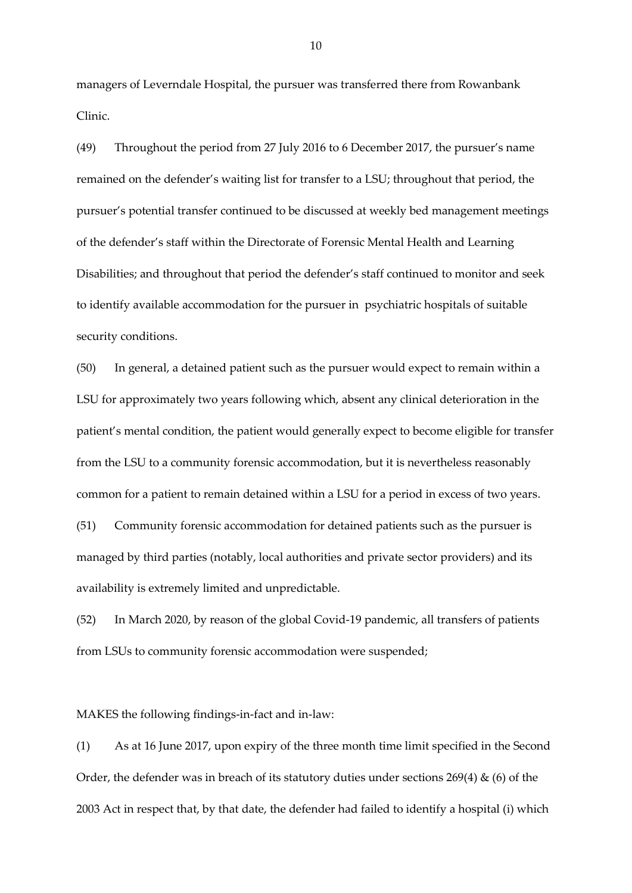managers of Leverndale Hospital, the pursuer was transferred there from Rowanbank Clinic.

(49) Throughout the period from 27 July 2016 to 6 December 2017, the pursuer's name remained on the defender's waiting list for transfer to a LSU; throughout that period, the pursuer's potential transfer continued to be discussed at weekly bed management meetings of the defender's staff within the Directorate of Forensic Mental Health and Learning Disabilities; and throughout that period the defender's staff continued to monitor and seek to identify available accommodation for the pursuer in psychiatric hospitals of suitable security conditions.

(50) In general, a detained patient such as the pursuer would expect to remain within a LSU for approximately two years following which, absent any clinical deterioration in the patient's mental condition, the patient would generally expect to become eligible for transfer from the LSU to a community forensic accommodation, but it is nevertheless reasonably common for a patient to remain detained within a LSU for a period in excess of two years.

(51) Community forensic accommodation for detained patients such as the pursuer is managed by third parties (notably, local authorities and private sector providers) and its availability is extremely limited and unpredictable.

(52) In March 2020, by reason of the global Covid-19 pandemic, all transfers of patients from LSUs to community forensic accommodation were suspended;

MAKES the following findings-in-fact and in-law:

(1) As at 16 June 2017, upon expiry of the three month time limit specified in the Second Order, the defender was in breach of its statutory duties under sections  $269(4)$  & (6) of the 2003 Act in respect that, by that date, the defender had failed to identify a hospital (i) which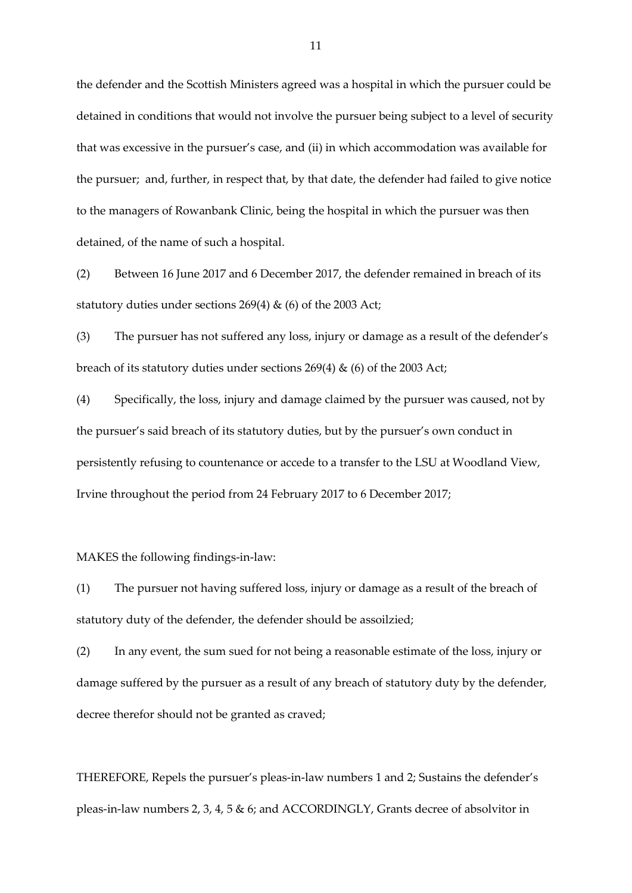the defender and the Scottish Ministers agreed was a hospital in which the pursuer could be detained in conditions that would not involve the pursuer being subject to a level of security that was excessive in the pursuer's case, and (ii) in which accommodation was available for the pursuer; and, further, in respect that, by that date, the defender had failed to give notice to the managers of Rowanbank Clinic, being the hospital in which the pursuer was then detained, of the name of such a hospital.

(2) Between 16 June 2017 and 6 December 2017, the defender remained in breach of its statutory duties under sections 269(4) & (6) of the 2003 Act;

(3) The pursuer has not suffered any loss, injury or damage as a result of the defender's breach of its statutory duties under sections 269(4) & (6) of the 2003 Act;

(4) Specifically, the loss, injury and damage claimed by the pursuer was caused, not by the pursuer's said breach of its statutory duties, but by the pursuer's own conduct in persistently refusing to countenance or accede to a transfer to the LSU at Woodland View, Irvine throughout the period from 24 February 2017 to 6 December 2017;

MAKES the following findings-in-law:

(1) The pursuer not having suffered loss, injury or damage as a result of the breach of statutory duty of the defender, the defender should be assoilzied;

(2) In any event, the sum sued for not being a reasonable estimate of the loss, injury or damage suffered by the pursuer as a result of any breach of statutory duty by the defender, decree therefor should not be granted as craved;

THEREFORE, Repels the pursuer's pleas-in-law numbers 1 and 2; Sustains the defender's pleas-in-law numbers 2, 3, 4, 5 & 6; and ACCORDINGLY, Grants decree of absolvitor in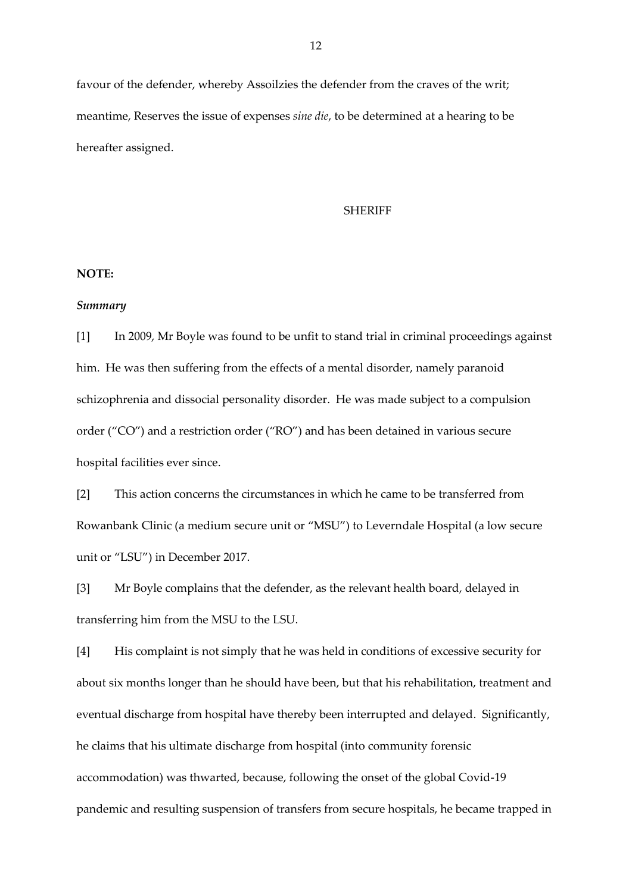favour of the defender, whereby Assoilzies the defender from the craves of the writ; meantime, Reserves the issue of expenses *sine die*, to be determined at a hearing to be hereafter assigned.

#### SHERIFF

### **NOTE:**

#### *Summary*

[1] In 2009, Mr Boyle was found to be unfit to stand trial in criminal proceedings against him. He was then suffering from the effects of a mental disorder, namely paranoid schizophrenia and dissocial personality disorder. He was made subject to a compulsion order ("CO") and a restriction order ("RO") and has been detained in various secure hospital facilities ever since.

[2] This action concerns the circumstances in which he came to be transferred from Rowanbank Clinic (a medium secure unit or "MSU") to Leverndale Hospital (a low secure unit or "LSU") in December 2017.

[3] Mr Boyle complains that the defender, as the relevant health board, delayed in transferring him from the MSU to the LSU.

[4] His complaint is not simply that he was held in conditions of excessive security for about six months longer than he should have been, but that his rehabilitation, treatment and eventual discharge from hospital have thereby been interrupted and delayed. Significantly, he claims that his ultimate discharge from hospital (into community forensic accommodation) was thwarted, because, following the onset of the global Covid-19 pandemic and resulting suspension of transfers from secure hospitals, he became trapped in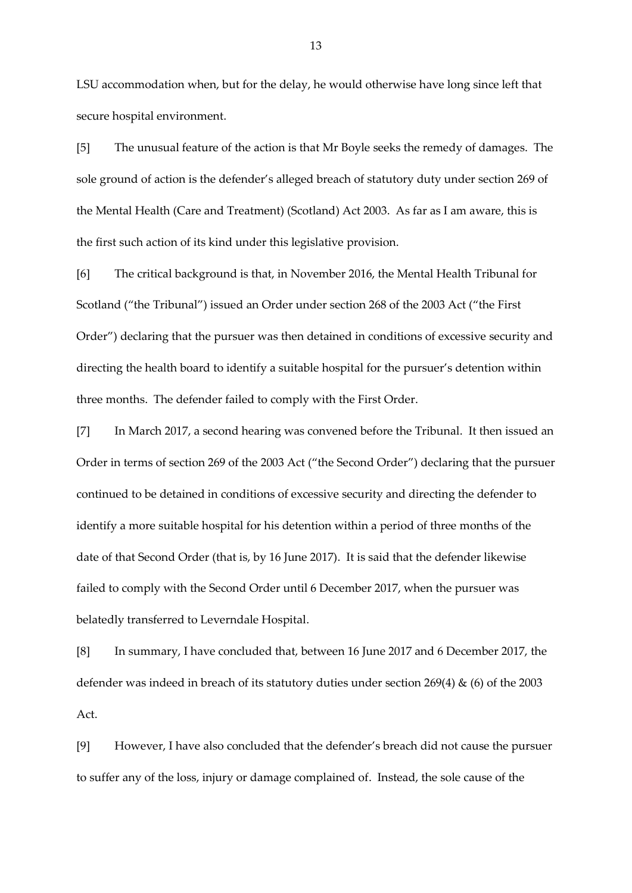LSU accommodation when, but for the delay, he would otherwise have long since left that secure hospital environment.

[5] The unusual feature of the action is that Mr Boyle seeks the remedy of damages. The sole ground of action is the defender's alleged breach of statutory duty under section 269 of the Mental Health (Care and Treatment) (Scotland) Act 2003. As far as I am aware, this is the first such action of its kind under this legislative provision.

[6] The critical background is that, in November 2016, the Mental Health Tribunal for Scotland ("the Tribunal") issued an Order under section 268 of the 2003 Act ("the First Order") declaring that the pursuer was then detained in conditions of excessive security and directing the health board to identify a suitable hospital for the pursuer's detention within three months. The defender failed to comply with the First Order.

[7] In March 2017, a second hearing was convened before the Tribunal. It then issued an Order in terms of section 269 of the 2003 Act ("the Second Order") declaring that the pursuer continued to be detained in conditions of excessive security and directing the defender to identify a more suitable hospital for his detention within a period of three months of the date of that Second Order (that is, by 16 June 2017). It is said that the defender likewise failed to comply with the Second Order until 6 December 2017, when the pursuer was belatedly transferred to Leverndale Hospital.

[8] In summary, I have concluded that, between 16 June 2017 and 6 December 2017, the defender was indeed in breach of its statutory duties under section 269(4) & (6) of the 2003 Act.

[9] However, I have also concluded that the defender's breach did not cause the pursuer to suffer any of the loss, injury or damage complained of. Instead, the sole cause of the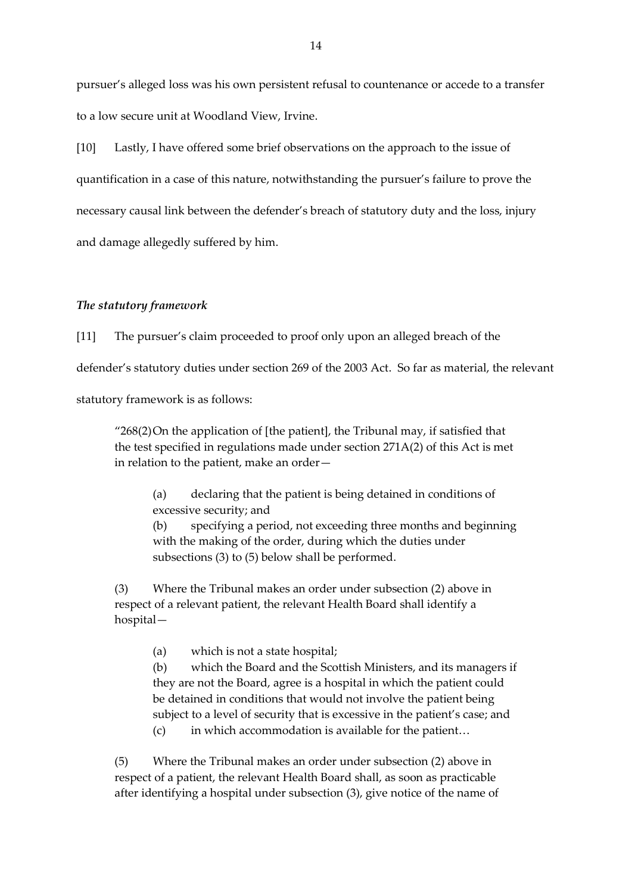pursuer's alleged loss was his own persistent refusal to countenance or accede to a transfer to a low secure unit at Woodland View, Irvine.

[10] Lastly, I have offered some brief observations on the approach to the issue of quantification in a case of this nature, notwithstanding the pursuer's failure to prove the necessary causal link between the defender's breach of statutory duty and the loss, injury and damage allegedly suffered by him.

### *The statutory framework*

[11] The pursuer's claim proceeded to proof only upon an alleged breach of the

defender's statutory duties under section 269 of the 2003 Act. So far as material, the relevant

statutory framework is as follows:

"268(2)On the application of [the patient], the Tribunal may, if satisfied that the test specified in regulations made under section 271A(2) of this Act is met in relation to the patient, make an order—

(a) declaring that the patient is being detained in conditions of excessive security; and

(b) specifying a period, not exceeding three months and beginning with the making of the order, during which the duties under subsections (3) to (5) below shall be performed.

(3) Where the Tribunal makes an order under subsection (2) above in respect of a relevant patient, the relevant Health Board shall identify a hospital—

(a) which is not a state hospital;

(b) which the Board and the Scottish Ministers, and its managers if they are not the Board, agree is a hospital in which the patient could be detained in conditions that would not involve the patient being subject to a level of security that is excessive in the patient's case; and

(c) in which accommodation is available for the patient…

(5) Where the Tribunal makes an order under subsection (2) above in respect of a patient, the relevant Health Board shall, as soon as practicable after identifying a hospital under subsection (3), give notice of the name of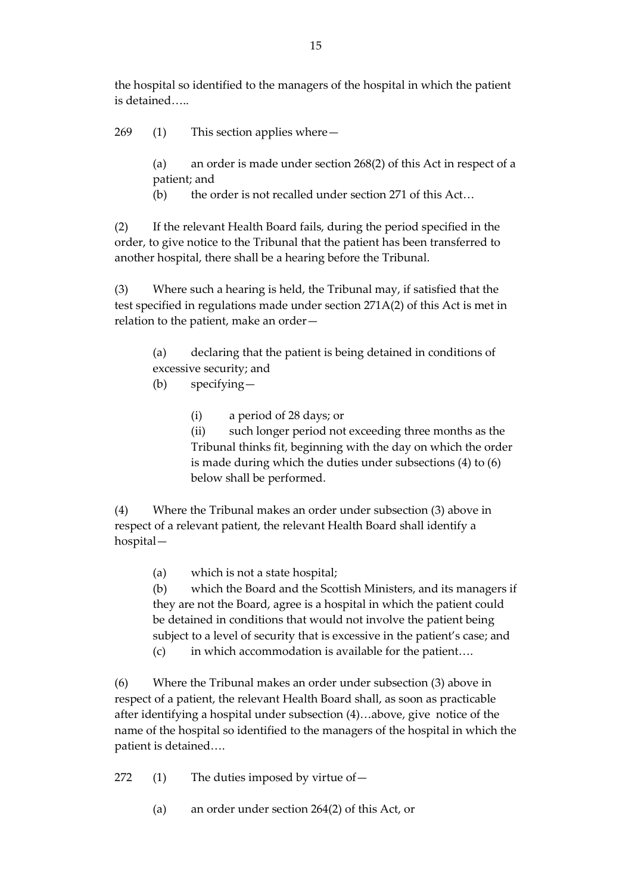the hospital so identified to the managers of the hospital in which the patient is detained…..

269 (1) This section applies where—

(a) an order is made under section 268(2) of this Act in respect of a patient; and

(b) the order is not recalled under section 271 of this Act…

(2) If the relevant Health Board fails, during the period specified in the order, to give notice to the Tribunal that the patient has been transferred to another hospital, there shall be a hearing before the Tribunal.

(3) Where such a hearing is held, the Tribunal may, if satisfied that the test specified in regulations made under section 271A(2) of this Act is met in relation to the patient, make an order—

(a) declaring that the patient is being detained in conditions of excessive security; and

(b) specifying—

(i) a period of 28 days; or

(ii) such longer period not exceeding three months as the Tribunal thinks fit, beginning with the day on which the order is made during which the duties under subsections (4) to (6) below shall be performed.

(4) Where the Tribunal makes an order under subsection (3) above in respect of a relevant patient, the relevant Health Board shall identify a hospital—

(a) which is not a state hospital;

(b) which the Board and the Scottish Ministers, and its managers if they are not the Board, agree is a hospital in which the patient could be detained in conditions that would not involve the patient being subject to a level of security that is excessive in the patient's case; and (c) in which accommodation is available for the patient….

(6) Where the Tribunal makes an order under subsection (3) above in respect of a patient, the relevant Health Board shall, as soon as practicable after identifying a hospital under subsection (4)…above, give notice of the name of the hospital so identified to the managers of the hospital in which the patient is detained….

272 (1) The duties imposed by virtue of—

(a) an order under section 264(2) of this Act, or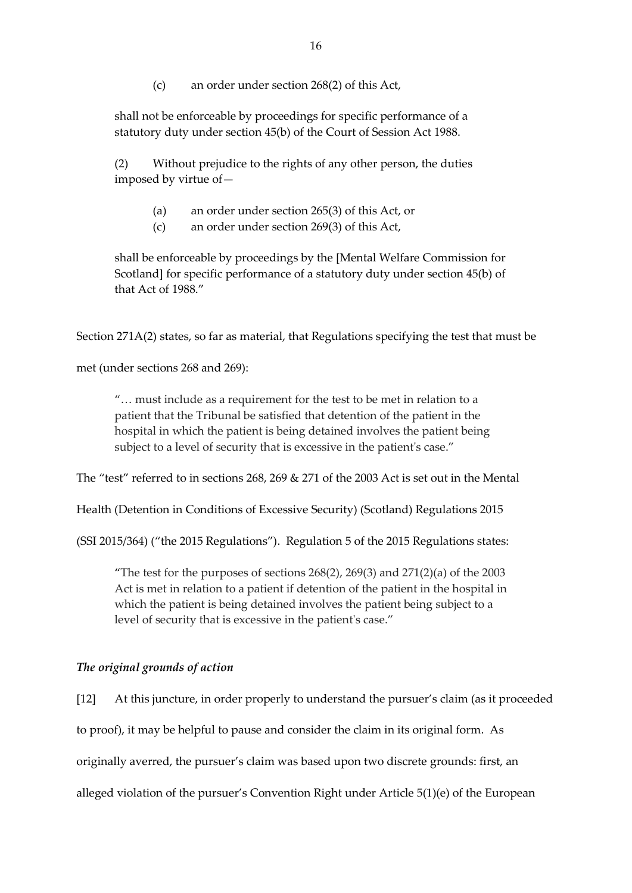(c) an order under section 268(2) of this Act,

shall not be enforceable by proceedings for specific performance of a statutory duty under section 45(b) of the Court of Session Act 1988.

(2) Without prejudice to the rights of any other person, the duties imposed by virtue of—

- (a) an order under section 265(3) of this Act, or
- (c) an order under section 269(3) of this Act,

shall be enforceable by proceedings by the [Mental Welfare Commission for Scotland] for specific performance of a statutory duty under section 45(b) of that Act of 1988."

Section 271A(2) states, so far as material, that Regulations specifying the test that must be

met (under sections 268 and 269):

"… must include as a requirement for the test to be met in relation to a patient that the Tribunal be satisfied that detention of the patient in the hospital in which the patient is being detained involves the patient being subject to a level of security that is excessive in the patient's case."

The "test" referred to in sections 268, 269 & 271 of the 2003 Act is set out in the Mental

Health (Detention in Conditions of Excessive Security) (Scotland) Regulations 2015

(SSI 2015/364) ("the 2015 Regulations"). Regulation 5 of the 2015 Regulations states:

"The test for the purposes of sections  $268(2)$ ,  $269(3)$  and  $271(2)(a)$  of the 2003 Act is met in relation to a patient if detention of the patient in the hospital in which the patient is being detained involves the patient being subject to a level of security that is excessive in the patient's case."

# *The original grounds of action*

[12] At this juncture, in order properly to understand the pursuer's claim (as it proceeded to proof), it may be helpful to pause and consider the claim in its original form. As originally averred, the pursuer's claim was based upon two discrete grounds: first, an alleged violation of the pursuer's Convention Right under Article 5(1)(e) of the European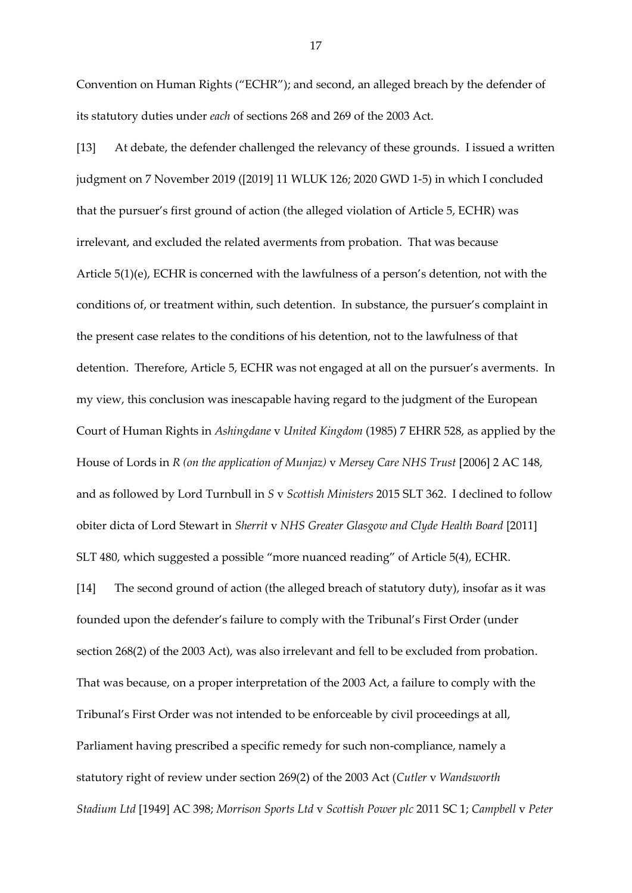Convention on Human Rights ("ECHR"); and second, an alleged breach by the defender of its statutory duties under *each* of sections 268 and 269 of the 2003 Act.

[13] At debate, the defender challenged the relevancy of these grounds. I issued a written judgment on 7 November 2019 ([2019] 11 WLUK 126; 2020 GWD 1-5) in which I concluded that the pursuer's first ground of action (the alleged violation of Article 5, ECHR) was irrelevant, and excluded the related averments from probation. That was because Article 5(1)(e), ECHR is concerned with the lawfulness of a person's detention, not with the conditions of, or treatment within, such detention. In substance, the pursuer's complaint in the present case relates to the conditions of his detention, not to the lawfulness of that detention. Therefore, Article 5, ECHR was not engaged at all on the pursuer's averments. In my view, this conclusion was inescapable having regard to the judgment of the European Court of Human Rights in *Ashingdane* v *United Kingdom* (1985) 7 EHRR 528, as applied by the House of Lords in *R (on the application of Munjaz)* v *Mersey Care NHS Trust* [2006] 2 AC 148, and as followed by Lord Turnbull in *S* v *Scottish Ministers* 2015 SLT 362. I declined to follow obiter dicta of Lord Stewart in *Sherrit* v *NHS Greater Glasgow and Clyde Health Board* [2011] SLT 480, which suggested a possible "more nuanced reading" of Article 5(4), ECHR.

[14] The second ground of action (the alleged breach of statutory duty), insofar as it was founded upon the defender's failure to comply with the Tribunal's First Order (under section 268(2) of the 2003 Act), was also irrelevant and fell to be excluded from probation. That was because, on a proper interpretation of the 2003 Act, a failure to comply with the Tribunal's First Order was not intended to be enforceable by civil proceedings at all, Parliament having prescribed a specific remedy for such non-compliance, namely a statutory right of review under section 269(2) of the 2003 Act (*Cutler* v *Wandsworth Stadium Ltd* [1949] AC 398; *Morrison Sports Ltd* v *Scottish Power plc* 2011 SC 1; *Campbell* v *Peter*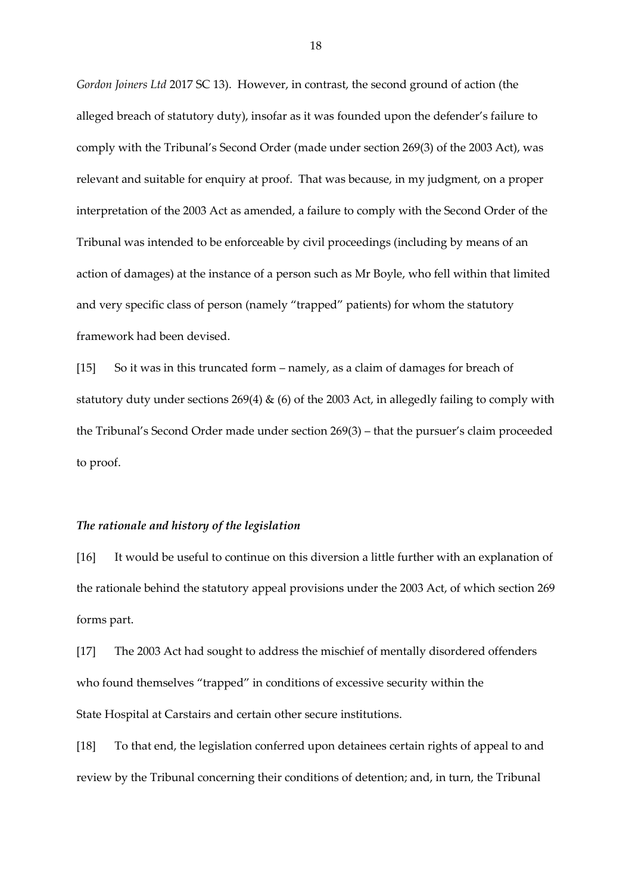*Gordon Joiners Ltd* 2017 SC 13). However, in contrast, the second ground of action (the alleged breach of statutory duty), insofar as it was founded upon the defender's failure to comply with the Tribunal's Second Order (made under section 269(3) of the 2003 Act), was relevant and suitable for enquiry at proof. That was because, in my judgment, on a proper interpretation of the 2003 Act as amended, a failure to comply with the Second Order of the Tribunal was intended to be enforceable by civil proceedings (including by means of an action of damages) at the instance of a person such as Mr Boyle, who fell within that limited and very specific class of person (namely "trapped" patients) for whom the statutory framework had been devised.

[15] So it was in this truncated form – namely, as a claim of damages for breach of statutory duty under sections  $269(4)$  & (6) of the 2003 Act, in allegedly failing to comply with the Tribunal's Second Order made under section 269(3) – that the pursuer's claim proceeded to proof.

#### *The rationale and history of the legislation*

[16] It would be useful to continue on this diversion a little further with an explanation of the rationale behind the statutory appeal provisions under the 2003 Act, of which section 269 forms part.

[17] The 2003 Act had sought to address the mischief of mentally disordered offenders who found themselves "trapped" in conditions of excessive security within the State Hospital at Carstairs and certain other secure institutions.

[18] To that end, the legislation conferred upon detainees certain rights of appeal to and review by the Tribunal concerning their conditions of detention; and, in turn, the Tribunal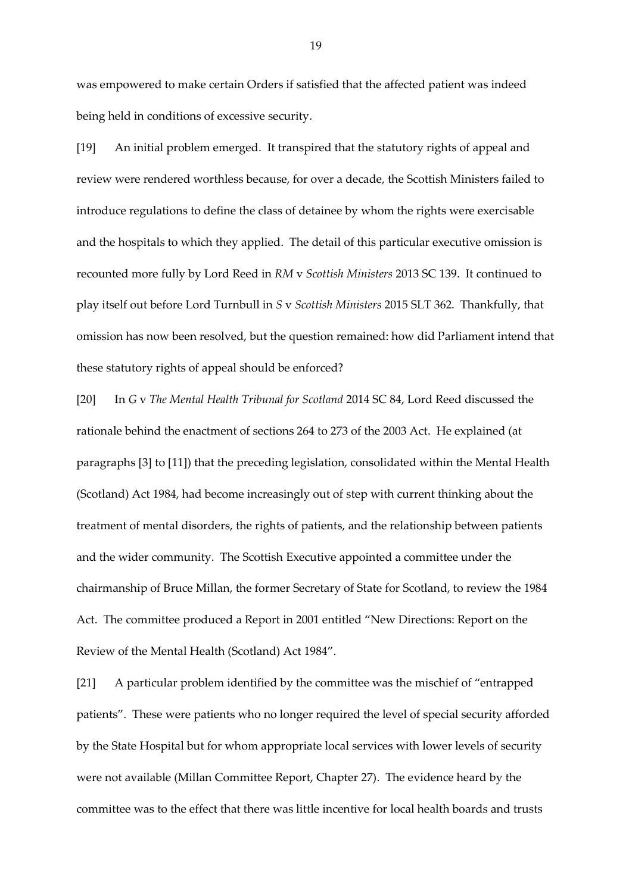was empowered to make certain Orders if satisfied that the affected patient was indeed being held in conditions of excessive security.

[19] An initial problem emerged. It transpired that the statutory rights of appeal and review were rendered worthless because, for over a decade, the Scottish Ministers failed to introduce regulations to define the class of detainee by whom the rights were exercisable and the hospitals to which they applied. The detail of this particular executive omission is recounted more fully by Lord Reed in *RM* v *Scottish Ministers* 2013 SC 139. It continued to play itself out before Lord Turnbull in *S* v *Scottish Ministers* 2015 SLT 362. Thankfully, that omission has now been resolved, but the question remained: how did Parliament intend that these statutory rights of appeal should be enforced?

[20] In *G* v *The Mental Health Tribunal for Scotland* 2014 SC 84, Lord Reed discussed the rationale behind the enactment of sections 264 to 273 of the 2003 Act. He explained (at paragraphs [3] to [11]) that the preceding legislation, consolidated within the Mental Health (Scotland) Act 1984, had become increasingly out of step with current thinking about the treatment of mental disorders, the rights of patients, and the relationship between patients and the wider community. The Scottish Executive appointed a committee under the chairmanship of Bruce Millan, the former Secretary of State for Scotland, to review the 1984 Act. The committee produced a Report in 2001 entitled "New Directions: Report on the Review of the Mental Health (Scotland) Act 1984".

[21] A particular problem identified by the committee was the mischief of "entrapped patients". These were patients who no longer required the level of special security afforded by the State Hospital but for whom appropriate local services with lower levels of security were not available (Millan Committee Report, Chapter 27). The evidence heard by the committee was to the effect that there was little incentive for local health boards and trusts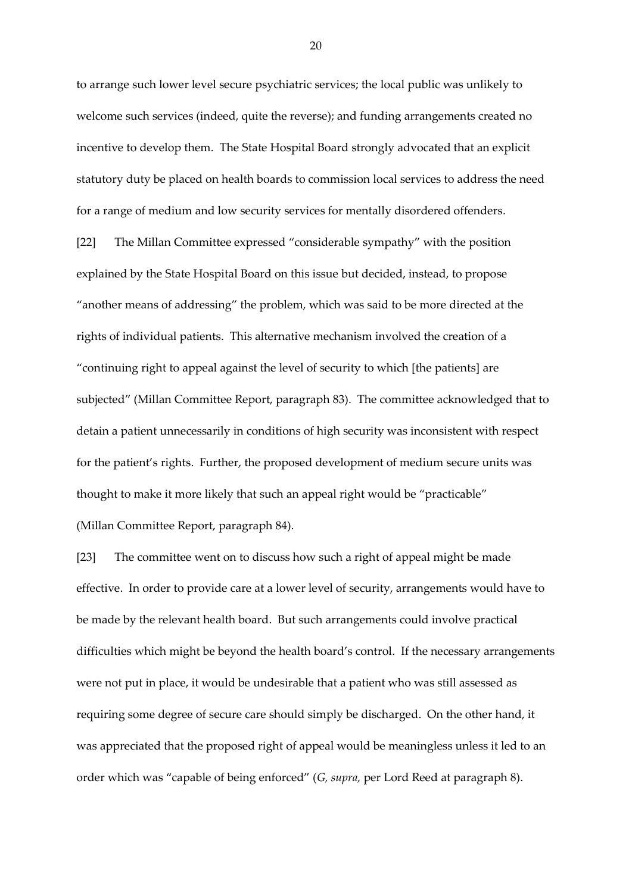to arrange such lower level secure psychiatric services; the local public was unlikely to welcome such services (indeed, quite the reverse); and funding arrangements created no incentive to develop them. The State Hospital Board strongly advocated that an explicit statutory duty be placed on health boards to commission local services to address the need for a range of medium and low security services for mentally disordered offenders.

[22] The Millan Committee expressed "considerable sympathy" with the position explained by the State Hospital Board on this issue but decided, instead, to propose "another means of addressing" the problem, which was said to be more directed at the rights of individual patients. This alternative mechanism involved the creation of a "continuing right to appeal against the level of security to which [the patients] are subjected" (Millan Committee Report, paragraph 83). The committee acknowledged that to detain a patient unnecessarily in conditions of high security was inconsistent with respect for the patient's rights. Further, the proposed development of medium secure units was thought to make it more likely that such an appeal right would be "practicable" (Millan Committee Report, paragraph 84).

[23] The committee went on to discuss how such a right of appeal might be made effective. In order to provide care at a lower level of security, arrangements would have to be made by the relevant health board. But such arrangements could involve practical difficulties which might be beyond the health board's control. If the necessary arrangements were not put in place, it would be undesirable that a patient who was still assessed as requiring some degree of secure care should simply be discharged. On the other hand, it was appreciated that the proposed right of appeal would be meaningless unless it led to an order which was "capable of being enforced" (*G, supra,* per Lord Reed at paragraph 8).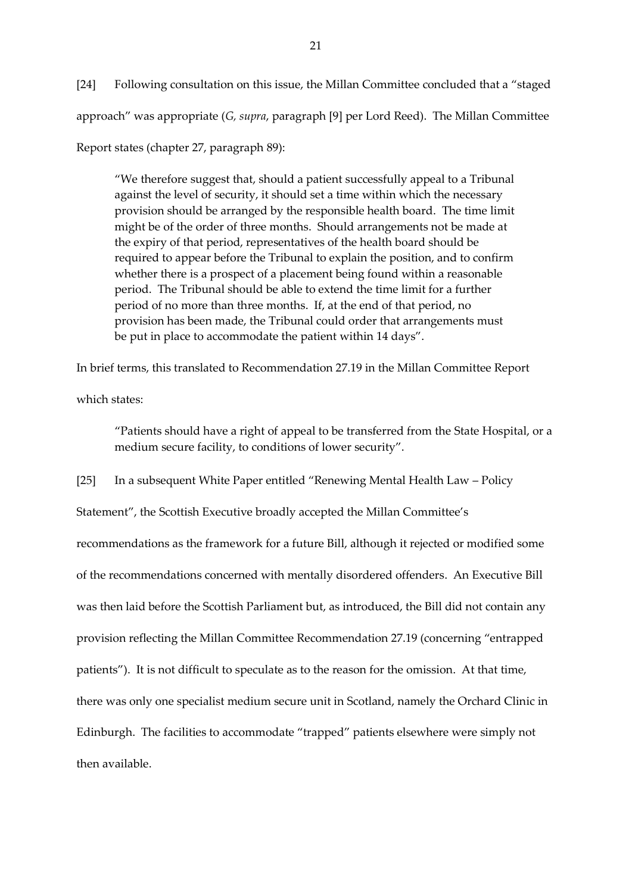[24] Following consultation on this issue, the Millan Committee concluded that a "staged approach" was appropriate (*G, supra*, paragraph [9] per Lord Reed). The Millan Committee

Report states (chapter 27, paragraph 89):

"We therefore suggest that, should a patient successfully appeal to a Tribunal against the level of security, it should set a time within which the necessary provision should be arranged by the responsible health board. The time limit might be of the order of three months. Should arrangements not be made at the expiry of that period, representatives of the health board should be required to appear before the Tribunal to explain the position, and to confirm whether there is a prospect of a placement being found within a reasonable period. The Tribunal should be able to extend the time limit for a further period of no more than three months. If, at the end of that period, no provision has been made, the Tribunal could order that arrangements must be put in place to accommodate the patient within 14 days".

In brief terms, this translated to Recommendation 27.19 in the Millan Committee Report

which states:

"Patients should have a right of appeal to be transferred from the State Hospital, or a medium secure facility, to conditions of lower security".

[25] In a subsequent White Paper entitled "Renewing Mental Health Law – Policy

Statement", the Scottish Executive broadly accepted the Millan Committee's

recommendations as the framework for a future Bill, although it rejected or modified some of the recommendations concerned with mentally disordered offenders. An Executive Bill was then laid before the Scottish Parliament but, as introduced, the Bill did not contain any provision reflecting the Millan Committee Recommendation 27.19 (concerning "entrapped patients"). It is not difficult to speculate as to the reason for the omission. At that time, there was only one specialist medium secure unit in Scotland, namely the Orchard Clinic in Edinburgh. The facilities to accommodate "trapped" patients elsewhere were simply not then available.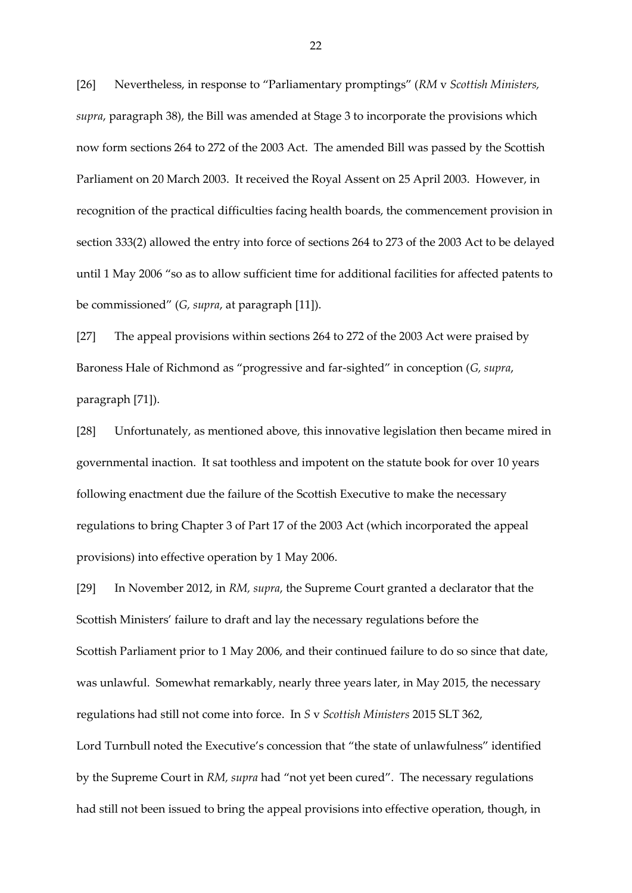[26] Nevertheless, in response to "Parliamentary promptings" (*RM* v *Scottish Ministers, supra*, paragraph 38), the Bill was amended at Stage 3 to incorporate the provisions which now form sections 264 to 272 of the 2003 Act. The amended Bill was passed by the Scottish Parliament on 20 March 2003. It received the Royal Assent on 25 April 2003. However, in recognition of the practical difficulties facing health boards, the commencement provision in section 333(2) allowed the entry into force of sections 264 to 273 of the 2003 Act to be delayed until 1 May 2006 "so as to allow sufficient time for additional facilities for affected patents to be commissioned" (*G, supra*, at paragraph [11]).

[27] The appeal provisions within sections 264 to 272 of the 2003 Act were praised by Baroness Hale of Richmond as "progressive and far-sighted" in conception (*G, supra*, paragraph [71]).

[28] Unfortunately, as mentioned above, this innovative legislation then became mired in governmental inaction. It sat toothless and impotent on the statute book for over 10 years following enactment due the failure of the Scottish Executive to make the necessary regulations to bring Chapter 3 of Part 17 of the 2003 Act (which incorporated the appeal provisions) into effective operation by 1 May 2006.

[29] In November 2012, in *RM, supra*, the Supreme Court granted a declarator that the Scottish Ministers' failure to draft and lay the necessary regulations before the Scottish Parliament prior to 1 May 2006, and their continued failure to do so since that date, was unlawful. Somewhat remarkably, nearly three years later, in May 2015, the necessary regulations had still not come into force. In *S* v *Scottish Ministers* 2015 SLT 362, Lord Turnbull noted the Executive's concession that "the state of unlawfulness" identified by the Supreme Court in *RM, supra* had "not yet been cured". The necessary regulations had still not been issued to bring the appeal provisions into effective operation, though, in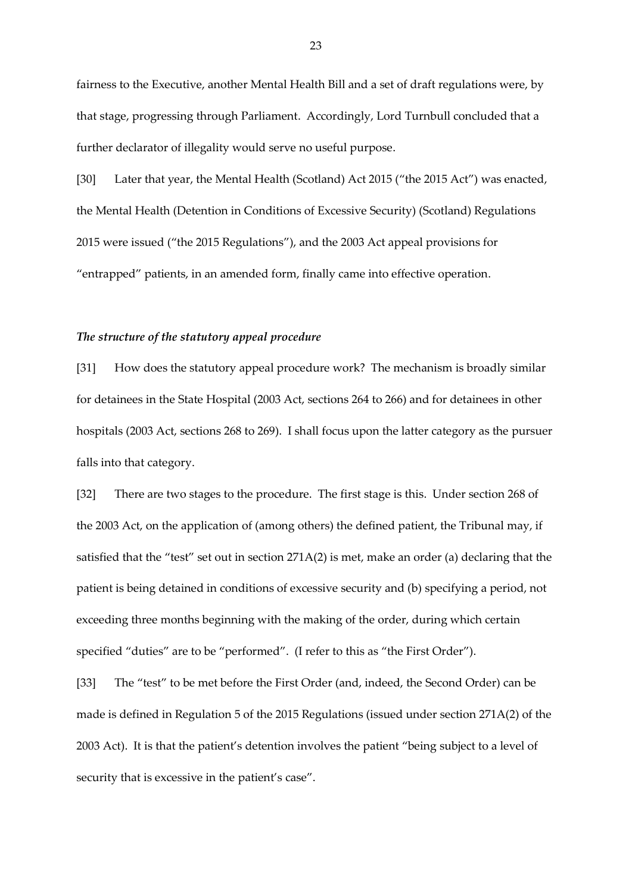fairness to the Executive, another Mental Health Bill and a set of draft regulations were, by that stage, progressing through Parliament. Accordingly, Lord Turnbull concluded that a further declarator of illegality would serve no useful purpose.

[30] Later that year, the Mental Health (Scotland) Act 2015 ("the 2015 Act") was enacted, the Mental Health (Detention in Conditions of Excessive Security) (Scotland) Regulations 2015 were issued ("the 2015 Regulations"), and the 2003 Act appeal provisions for "entrapped" patients, in an amended form, finally came into effective operation.

### *The structure of the statutory appeal procedure*

[31] How does the statutory appeal procedure work? The mechanism is broadly similar for detainees in the State Hospital (2003 Act, sections 264 to 266) and for detainees in other hospitals (2003 Act, sections 268 to 269). I shall focus upon the latter category as the pursuer falls into that category.

[32] There are two stages to the procedure. The first stage is this. Under section 268 of the 2003 Act, on the application of (among others) the defined patient, the Tribunal may, if satisfied that the "test" set out in section 271A(2) is met, make an order (a) declaring that the patient is being detained in conditions of excessive security and (b) specifying a period, not exceeding three months beginning with the making of the order, during which certain specified "duties" are to be "performed". (I refer to this as "the First Order").

[33] The "test" to be met before the First Order (and, indeed, the Second Order) can be made is defined in Regulation 5 of the 2015 Regulations (issued under section 271A(2) of the 2003 Act). It is that the patient's detention involves the patient "being subject to a level of security that is excessive in the patient's case".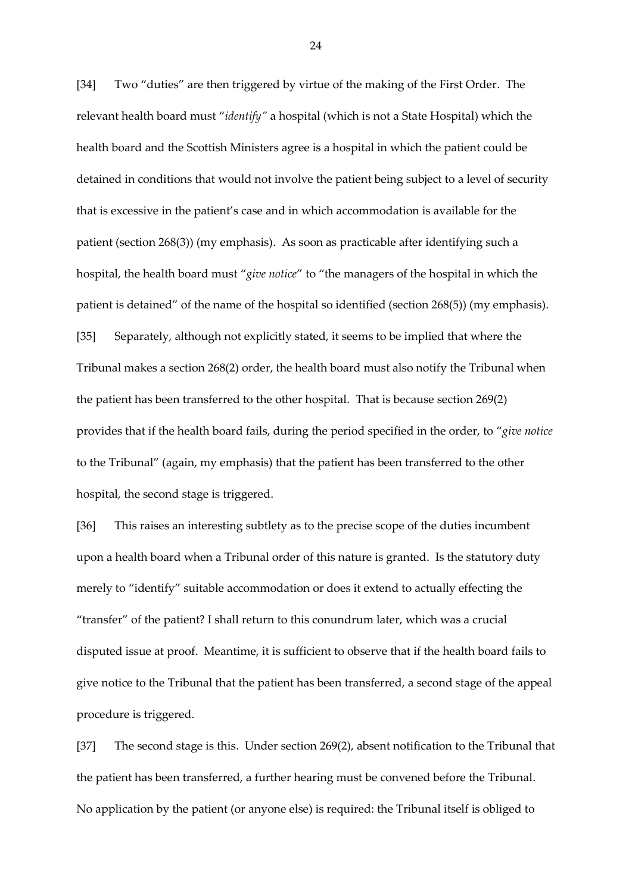[34] Two "duties" are then triggered by virtue of the making of the First Order. The relevant health board must "*identify"* a hospital (which is not a State Hospital) which the health board and the Scottish Ministers agree is a hospital in which the patient could be detained in conditions that would not involve the patient being subject to a level of security that is excessive in the patient's case and in which accommodation is available for the patient (section 268(3)) (my emphasis). As soon as practicable after identifying such a hospital, the health board must "*give notice*" to "the managers of the hospital in which the patient is detained" of the name of the hospital so identified (section 268(5)) (my emphasis). [35] Separately, although not explicitly stated, it seems to be implied that where the Tribunal makes a section 268(2) order, the health board must also notify the Tribunal when the patient has been transferred to the other hospital. That is because section 269(2) provides that if the health board fails, during the period specified in the order, to "*give notice* to the Tribunal" (again, my emphasis) that the patient has been transferred to the other hospital, the second stage is triggered.

[36] This raises an interesting subtlety as to the precise scope of the duties incumbent upon a health board when a Tribunal order of this nature is granted. Is the statutory duty merely to "identify" suitable accommodation or does it extend to actually effecting the "transfer" of the patient? I shall return to this conundrum later, which was a crucial disputed issue at proof. Meantime, it is sufficient to observe that if the health board fails to give notice to the Tribunal that the patient has been transferred, a second stage of the appeal procedure is triggered.

[37] The second stage is this. Under section 269(2), absent notification to the Tribunal that the patient has been transferred, a further hearing must be convened before the Tribunal. No application by the patient (or anyone else) is required: the Tribunal itself is obliged to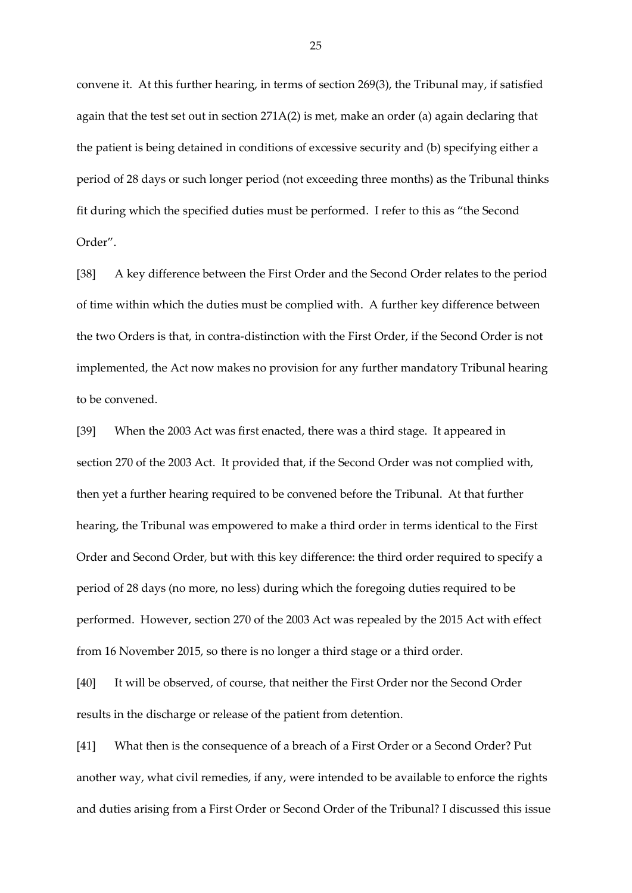convene it. At this further hearing, in terms of section 269(3), the Tribunal may, if satisfied again that the test set out in section  $271A(2)$  is met, make an order (a) again declaring that the patient is being detained in conditions of excessive security and (b) specifying either a period of 28 days or such longer period (not exceeding three months) as the Tribunal thinks fit during which the specified duties must be performed. I refer to this as "the Second Order".

[38] A key difference between the First Order and the Second Order relates to the period of time within which the duties must be complied with. A further key difference between the two Orders is that, in contra-distinction with the First Order, if the Second Order is not implemented, the Act now makes no provision for any further mandatory Tribunal hearing to be convened.

[39] When the 2003 Act was first enacted, there was a third stage. It appeared in section 270 of the 2003 Act. It provided that, if the Second Order was not complied with, then yet a further hearing required to be convened before the Tribunal. At that further hearing, the Tribunal was empowered to make a third order in terms identical to the First Order and Second Order, but with this key difference: the third order required to specify a period of 28 days (no more, no less) during which the foregoing duties required to be performed. However, section 270 of the 2003 Act was repealed by the 2015 Act with effect from 16 November 2015, so there is no longer a third stage or a third order.

[40] It will be observed, of course, that neither the First Order nor the Second Order results in the discharge or release of the patient from detention.

[41] What then is the consequence of a breach of a First Order or a Second Order? Put another way, what civil remedies, if any, were intended to be available to enforce the rights and duties arising from a First Order or Second Order of the Tribunal? I discussed this issue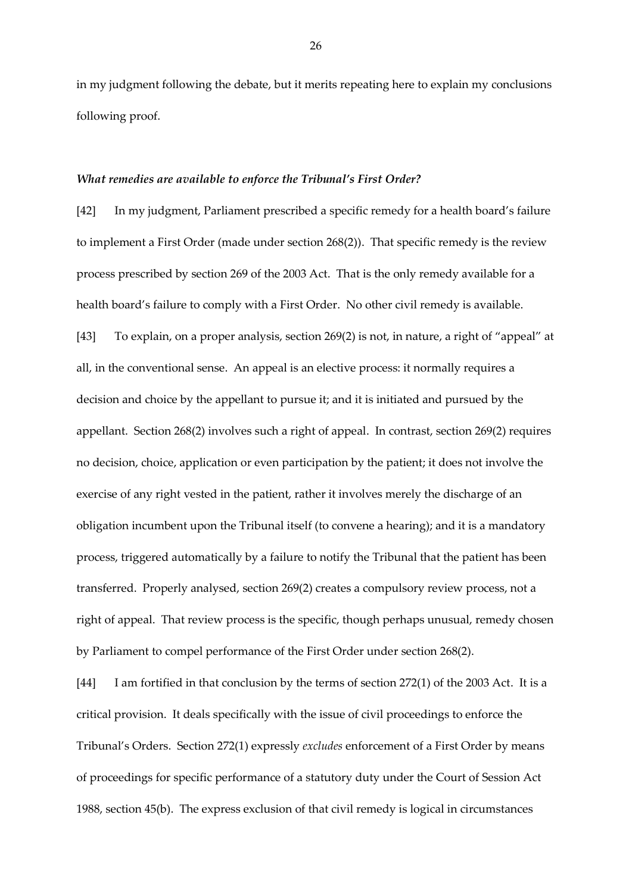in my judgment following the debate, but it merits repeating here to explain my conclusions following proof.

#### *What remedies are available to enforce the Tribunal's First Order?*

[42] In my judgment, Parliament prescribed a specific remedy for a health board's failure to implement a First Order (made under section 268(2)). That specific remedy is the review process prescribed by section 269 of the 2003 Act. That is the only remedy available for a health board's failure to comply with a First Order. No other civil remedy is available. [43] To explain, on a proper analysis, section 269(2) is not, in nature, a right of "appeal" at all, in the conventional sense. An appeal is an elective process: it normally requires a decision and choice by the appellant to pursue it; and it is initiated and pursued by the appellant. Section 268(2) involves such a right of appeal. In contrast, section 269(2) requires no decision, choice, application or even participation by the patient; it does not involve the exercise of any right vested in the patient, rather it involves merely the discharge of an obligation incumbent upon the Tribunal itself (to convene a hearing); and it is a mandatory process, triggered automatically by a failure to notify the Tribunal that the patient has been transferred. Properly analysed, section 269(2) creates a compulsory review process, not a right of appeal. That review process is the specific, though perhaps unusual, remedy chosen by Parliament to compel performance of the First Order under section 268(2).

[44] I am fortified in that conclusion by the terms of section 272(1) of the 2003 Act. It is a critical provision. It deals specifically with the issue of civil proceedings to enforce the Tribunal's Orders. Section 272(1) expressly *excludes* enforcement of a First Order by means of proceedings for specific performance of a statutory duty under the Court of Session Act 1988, section 45(b). The express exclusion of that civil remedy is logical in circumstances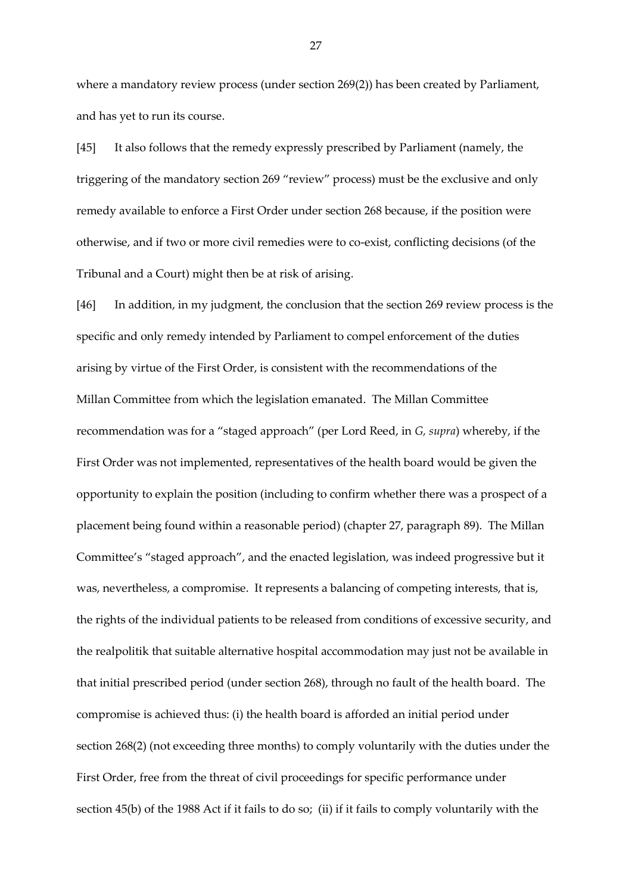where a mandatory review process (under section 269(2)) has been created by Parliament, and has yet to run its course.

[45] It also follows that the remedy expressly prescribed by Parliament (namely, the triggering of the mandatory section 269 "review" process) must be the exclusive and only remedy available to enforce a First Order under section 268 because, if the position were otherwise, and if two or more civil remedies were to co-exist, conflicting decisions (of the Tribunal and a Court) might then be at risk of arising.

[46] In addition, in my judgment, the conclusion that the section 269 review process is the specific and only remedy intended by Parliament to compel enforcement of the duties arising by virtue of the First Order, is consistent with the recommendations of the Millan Committee from which the legislation emanated. The Millan Committee recommendation was for a "staged approach" (per Lord Reed, in *G, supra*) whereby, if the First Order was not implemented, representatives of the health board would be given the opportunity to explain the position (including to confirm whether there was a prospect of a placement being found within a reasonable period) (chapter 27, paragraph 89). The Millan Committee's "staged approach", and the enacted legislation, was indeed progressive but it was, nevertheless, a compromise. It represents a balancing of competing interests, that is, the rights of the individual patients to be released from conditions of excessive security, and the realpolitik that suitable alternative hospital accommodation may just not be available in that initial prescribed period (under section 268), through no fault of the health board. The compromise is achieved thus: (i) the health board is afforded an initial period under section 268(2) (not exceeding three months) to comply voluntarily with the duties under the First Order, free from the threat of civil proceedings for specific performance under section 45(b) of the 1988 Act if it fails to do so; (ii) if it fails to comply voluntarily with the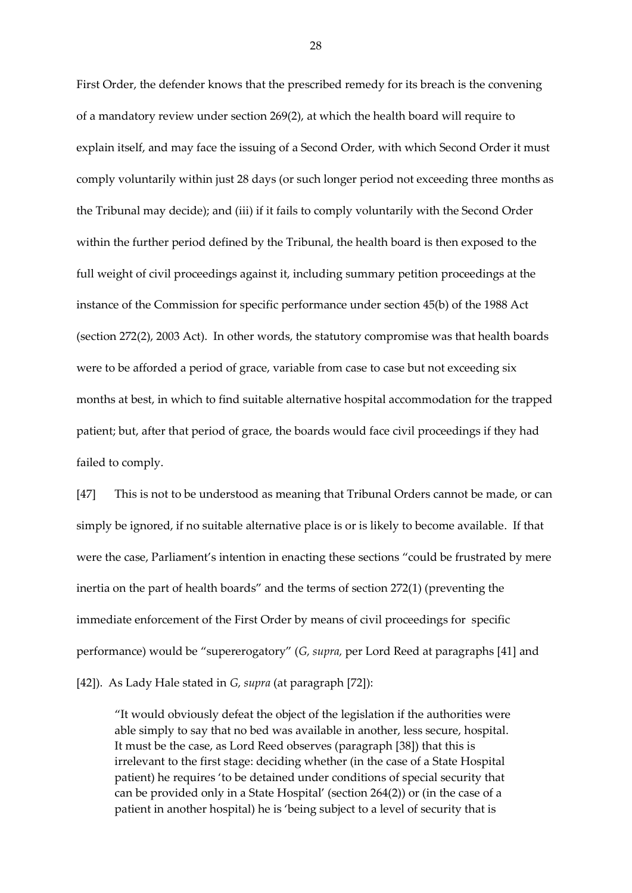First Order, the defender knows that the prescribed remedy for its breach is the convening of a mandatory review under section 269(2), at which the health board will require to explain itself, and may face the issuing of a Second Order, with which Second Order it must comply voluntarily within just 28 days (or such longer period not exceeding three months as the Tribunal may decide); and (iii) if it fails to comply voluntarily with the Second Order within the further period defined by the Tribunal, the health board is then exposed to the full weight of civil proceedings against it, including summary petition proceedings at the instance of the Commission for specific performance under section 45(b) of the 1988 Act (section 272(2), 2003 Act). In other words, the statutory compromise was that health boards were to be afforded a period of grace, variable from case to case but not exceeding six months at best, in which to find suitable alternative hospital accommodation for the trapped patient; but, after that period of grace, the boards would face civil proceedings if they had failed to comply.

[47] This is not to be understood as meaning that Tribunal Orders cannot be made, or can simply be ignored, if no suitable alternative place is or is likely to become available. If that were the case, Parliament's intention in enacting these sections "could be frustrated by mere inertia on the part of health boards" and the terms of section 272(1) (preventing the immediate enforcement of the First Order by means of civil proceedings for specific performance) would be "supererogatory" (*G, supra,* per Lord Reed at paragraphs [41] and [42]). As Lady Hale stated in *G, supra* (at paragraph [72]):

"It would obviously defeat the object of the legislation if the authorities were able simply to say that no bed was available in another, less secure, hospital. It must be the case, as Lord Reed observes (paragraph [38]) that this is irrelevant to the first stage: deciding whether (in the case of a State Hospital patient) he requires 'to be detained under conditions of special security that can be provided only in a State Hospital' (section 264(2)) or (in the case of a patient in another hospital) he is 'being subject to a level of security that is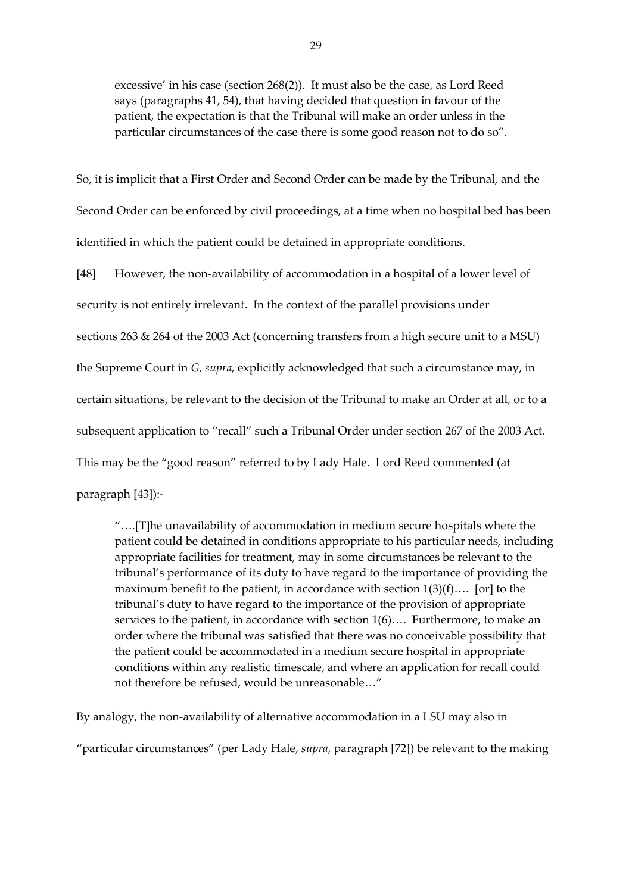excessive' in his case (section 268(2)). It must also be the case, as Lord Reed says (paragraphs 41, 54), that having decided that question in favour of the patient, the expectation is that the Tribunal will make an order unless in the particular circumstances of the case there is some good reason not to do so".

So, it is implicit that a First Order and Second Order can be made by the Tribunal, and the Second Order can be enforced by civil proceedings, at a time when no hospital bed has been identified in which the patient could be detained in appropriate conditions.

[48] However, the non-availability of accommodation in a hospital of a lower level of security is not entirely irrelevant. In the context of the parallel provisions under sections 263 & 264 of the 2003 Act (concerning transfers from a high secure unit to a MSU) the Supreme Court in *G, supra,* explicitly acknowledged that such a circumstance may, in certain situations, be relevant to the decision of the Tribunal to make an Order at all, or to a subsequent application to "recall" such a Tribunal Order under section 267 of the 2003 Act. This may be the "good reason" referred to by Lady Hale. Lord Reed commented (at paragraph [43]):-

"….[T]he unavailability of accommodation in medium secure hospitals where the patient could be detained in conditions appropriate to his particular needs, including appropriate facilities for treatment, may in some circumstances be relevant to the tribunal's performance of its duty to have regard to the importance of providing the maximum benefit to the patient, in accordance with section 1(3)(f)…. [or] to the tribunal's duty to have regard to the importance of the provision of appropriate services to the patient, in accordance with section 1(6)…. Furthermore, to make an order where the tribunal was satisfied that there was no conceivable possibility that the patient could be accommodated in a medium secure hospital in appropriate conditions within any realistic timescale, and where an application for recall could not therefore be refused, would be unreasonable…"

By analogy, the non-availability of alternative accommodation in a LSU may also in

"particular circumstances" (per Lady Hale, *supra*, paragraph [72]) be relevant to the making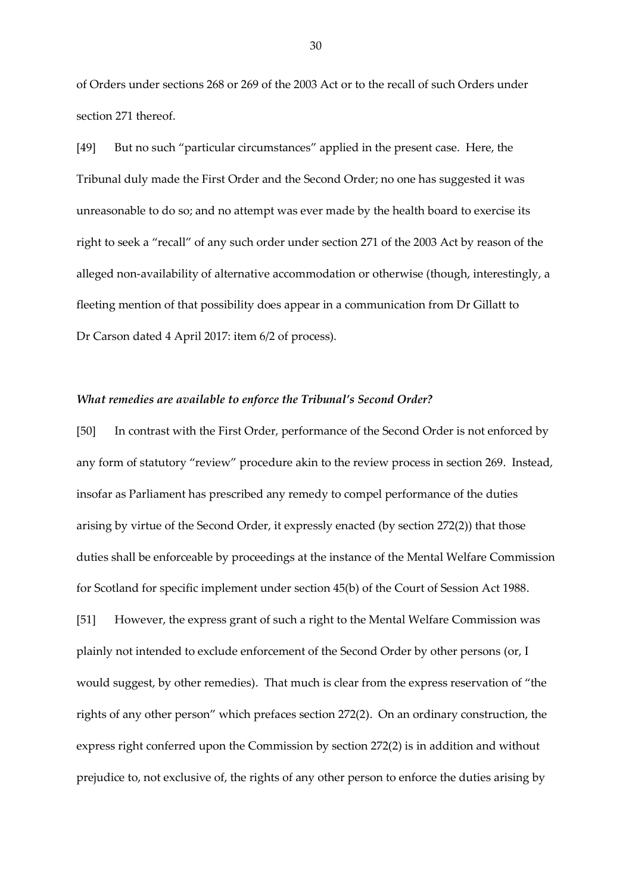of Orders under sections 268 or 269 of the 2003 Act or to the recall of such Orders under section 271 thereof.

[49] But no such "particular circumstances" applied in the present case. Here, the Tribunal duly made the First Order and the Second Order; no one has suggested it was unreasonable to do so; and no attempt was ever made by the health board to exercise its right to seek a "recall" of any such order under section 271 of the 2003 Act by reason of the alleged non-availability of alternative accommodation or otherwise (though, interestingly, a fleeting mention of that possibility does appear in a communication from Dr Gillatt to Dr Carson dated 4 April 2017: item 6/2 of process).

### *What remedies are available to enforce the Tribunal's Second Order?*

[50] In contrast with the First Order, performance of the Second Order is not enforced by any form of statutory "review" procedure akin to the review process in section 269. Instead, insofar as Parliament has prescribed any remedy to compel performance of the duties arising by virtue of the Second Order, it expressly enacted (by section 272(2)) that those duties shall be enforceable by proceedings at the instance of the Mental Welfare Commission for Scotland for specific implement under section 45(b) of the Court of Session Act 1988. [51] However, the express grant of such a right to the Mental Welfare Commission was plainly not intended to exclude enforcement of the Second Order by other persons (or, I would suggest, by other remedies). That much is clear from the express reservation of "the rights of any other person" which prefaces section 272(2). On an ordinary construction, the express right conferred upon the Commission by section 272(2) is in addition and without

prejudice to, not exclusive of, the rights of any other person to enforce the duties arising by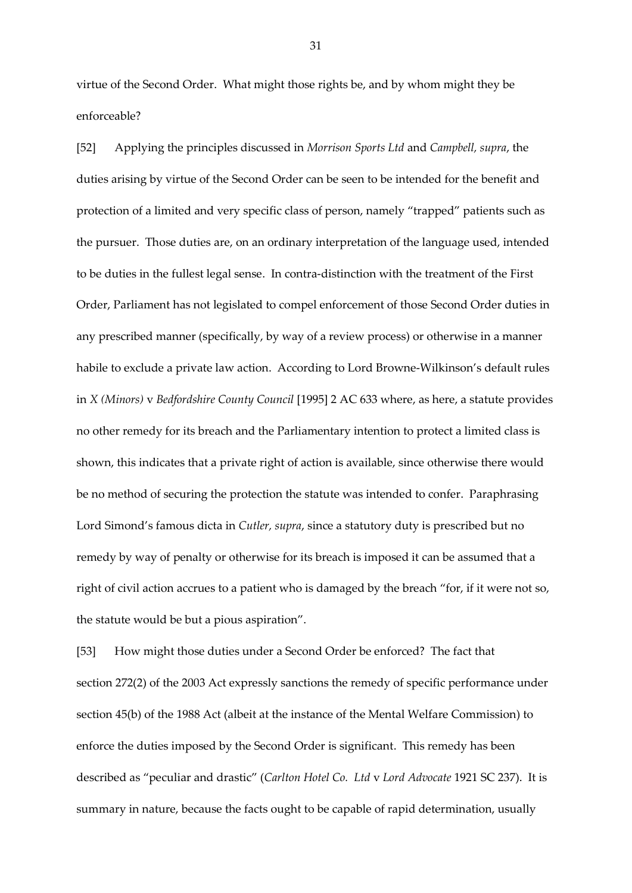virtue of the Second Order. What might those rights be, and by whom might they be enforceable?

[52] Applying the principles discussed in *Morrison Sports Ltd* and *Campbell, supra*, the duties arising by virtue of the Second Order can be seen to be intended for the benefit and protection of a limited and very specific class of person, namely "trapped" patients such as the pursuer. Those duties are, on an ordinary interpretation of the language used, intended to be duties in the fullest legal sense. In contra-distinction with the treatment of the First Order, Parliament has not legislated to compel enforcement of those Second Order duties in any prescribed manner (specifically, by way of a review process) or otherwise in a manner habile to exclude a private law action. According to Lord Browne-Wilkinson's default rules in *X (Minors)* v *Bedfordshire County Council* [1995] 2 AC 633 where, as here, a statute provides no other remedy for its breach and the Parliamentary intention to protect a limited class is shown, this indicates that a private right of action is available, since otherwise there would be no method of securing the protection the statute was intended to confer. Paraphrasing Lord Simond's famous dicta in *Cutler, supra*, since a statutory duty is prescribed but no remedy by way of penalty or otherwise for its breach is imposed it can be assumed that a right of civil action accrues to a patient who is damaged by the breach "for, if it were not so, the statute would be but a pious aspiration".

[53] How might those duties under a Second Order be enforced? The fact that section 272(2) of the 2003 Act expressly sanctions the remedy of specific performance under section 45(b) of the 1988 Act (albeit at the instance of the Mental Welfare Commission) to enforce the duties imposed by the Second Order is significant. This remedy has been described as "peculiar and drastic" (*Carlton Hotel Co. Ltd* v *Lord Advocate* 1921 SC 237). It is summary in nature, because the facts ought to be capable of rapid determination, usually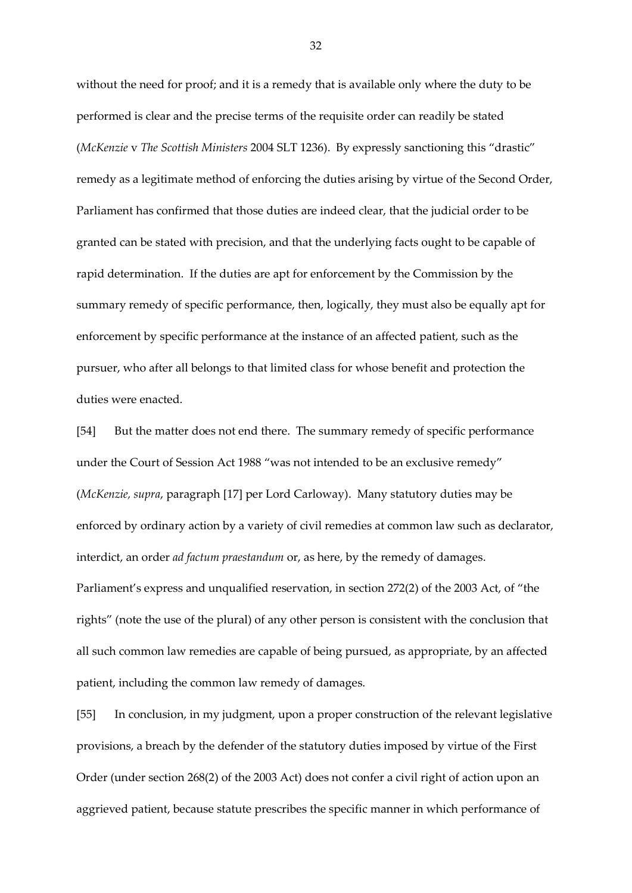without the need for proof; and it is a remedy that is available only where the duty to be performed is clear and the precise terms of the requisite order can readily be stated (*McKenzie* v *The Scottish Ministers* 2004 SLT 1236). By expressly sanctioning this "drastic" remedy as a legitimate method of enforcing the duties arising by virtue of the Second Order, Parliament has confirmed that those duties are indeed clear, that the judicial order to be granted can be stated with precision, and that the underlying facts ought to be capable of rapid determination. If the duties are apt for enforcement by the Commission by the summary remedy of specific performance, then, logically, they must also be equally apt for enforcement by specific performance at the instance of an affected patient, such as the pursuer, who after all belongs to that limited class for whose benefit and protection the duties were enacted.

[54] But the matter does not end there. The summary remedy of specific performance under the Court of Session Act 1988 "was not intended to be an exclusive remedy" (*McKenzie, supra*, paragraph [17] per Lord Carloway). Many statutory duties may be enforced by ordinary action by a variety of civil remedies at common law such as declarator, interdict, an order *ad factum praestandum* or, as here, by the remedy of damages. Parliament's express and unqualified reservation, in section 272(2) of the 2003 Act, of "the rights" (note the use of the plural) of any other person is consistent with the conclusion that all such common law remedies are capable of being pursued, as appropriate, by an affected patient, including the common law remedy of damages.

[55] In conclusion, in my judgment, upon a proper construction of the relevant legislative provisions, a breach by the defender of the statutory duties imposed by virtue of the First Order (under section 268(2) of the 2003 Act) does not confer a civil right of action upon an aggrieved patient, because statute prescribes the specific manner in which performance of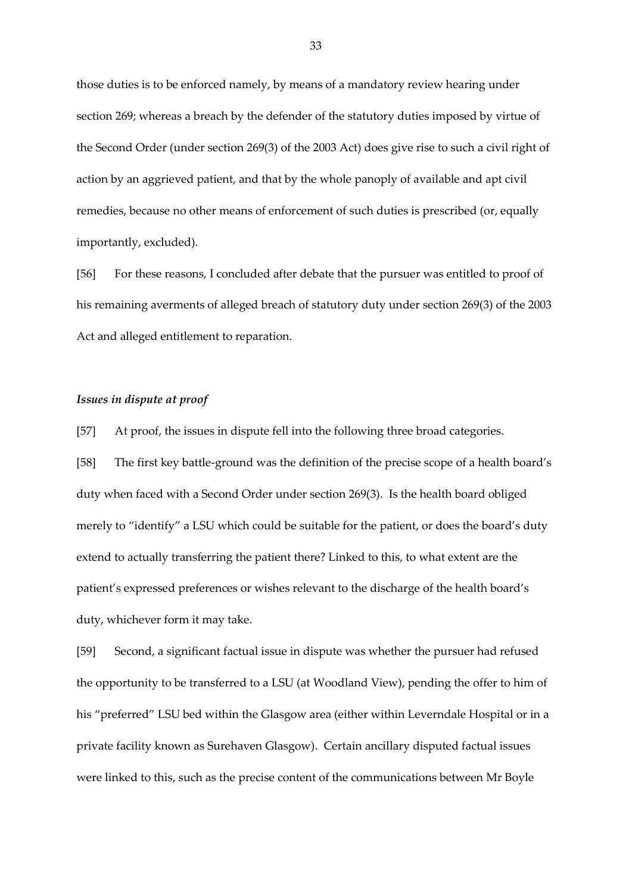those duties is to be enforced namely, by means of a mandatory review hearing under section 269; whereas a breach by the defender of the statutory duties imposed by virtue of the Second Order (under section 269(3) of the 2003 Act) does give rise to such a civil right of action by an aggrieved patient, and that by the whole panoply of available and apt civil remedies, because no other means of enforcement of such duties is prescribed (or, equally importantly, excluded).

[56] For these reasons, I concluded after debate that the pursuer was entitled to proof of his remaining averments of alleged breach of statutory duty under section 269(3) of the 2003 Act and alleged entitlement to reparation.

## *Issues in dispute at proof*

[57] At proof, the issues in dispute fell into the following three broad categories.

[58] The first key battle-ground was the definition of the precise scope of a health board's duty when faced with a Second Order under section 269(3). Is the health board obliged merely to "identify" a LSU which could be suitable for the patient, or does the board's duty extend to actually transferring the patient there? Linked to this, to what extent are the patient's expressed preferences or wishes relevant to the discharge of the health board's duty, whichever form it may take.

[59] Second, a significant factual issue in dispute was whether the pursuer had refused the opportunity to be transferred to a LSU (at Woodland View), pending the offer to him of his "preferred" LSU bed within the Glasgow area (either within Leverndale Hospital or in a private facility known as Surehaven Glasgow). Certain ancillary disputed factual issues were linked to this, such as the precise content of the communications between Mr Boyle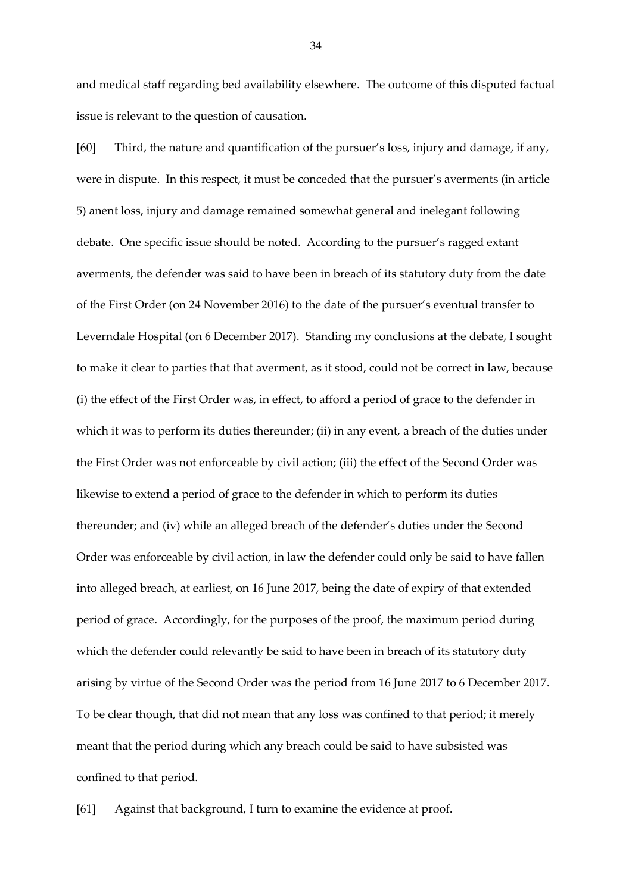and medical staff regarding bed availability elsewhere. The outcome of this disputed factual issue is relevant to the question of causation.

[60] Third, the nature and quantification of the pursuer's loss, injury and damage, if any, were in dispute. In this respect, it must be conceded that the pursuer's averments (in article 5) anent loss, injury and damage remained somewhat general and inelegant following debate. One specific issue should be noted. According to the pursuer's ragged extant averments, the defender was said to have been in breach of its statutory duty from the date of the First Order (on 24 November 2016) to the date of the pursuer's eventual transfer to Leverndale Hospital (on 6 December 2017). Standing my conclusions at the debate, I sought to make it clear to parties that that averment, as it stood, could not be correct in law, because (i) the effect of the First Order was, in effect, to afford a period of grace to the defender in which it was to perform its duties thereunder; (ii) in any event, a breach of the duties under the First Order was not enforceable by civil action; (iii) the effect of the Second Order was likewise to extend a period of grace to the defender in which to perform its duties thereunder; and (iv) while an alleged breach of the defender's duties under the Second Order was enforceable by civil action, in law the defender could only be said to have fallen into alleged breach, at earliest, on 16 June 2017, being the date of expiry of that extended period of grace. Accordingly, for the purposes of the proof, the maximum period during which the defender could relevantly be said to have been in breach of its statutory duty arising by virtue of the Second Order was the period from 16 June 2017 to 6 December 2017. To be clear though, that did not mean that any loss was confined to that period; it merely meant that the period during which any breach could be said to have subsisted was confined to that period.

[61] Against that background, I turn to examine the evidence at proof.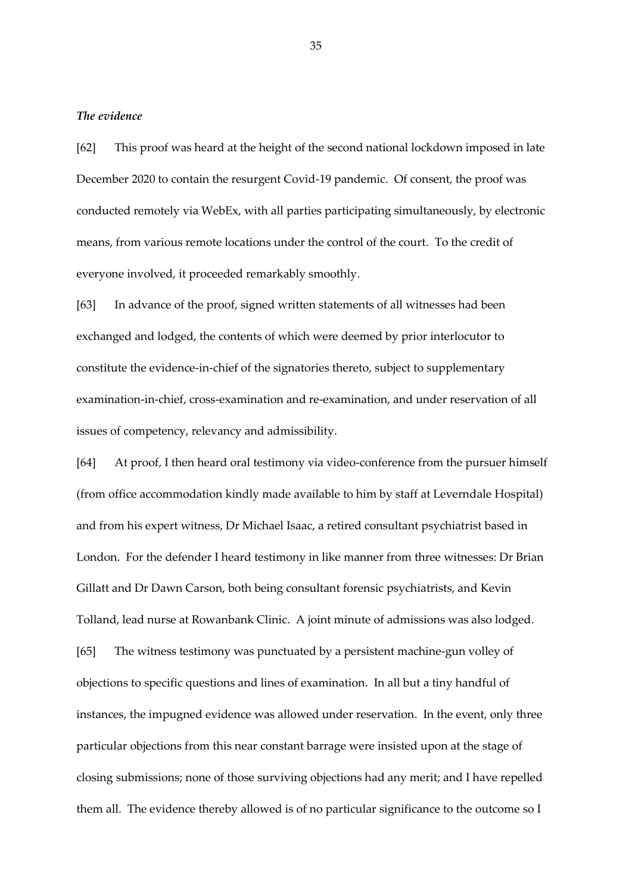### *The evidence*

[62] This proof was heard at the height of the second national lockdown imposed in late December 2020 to contain the resurgent Covid-19 pandemic. Of consent, the proof was conducted remotely via WebEx, with all parties participating simultaneously, by electronic means, from various remote locations under the control of the court. To the credit of everyone involved, it proceeded remarkably smoothly.

[63] In advance of the proof, signed written statements of all witnesses had been exchanged and lodged, the contents of which were deemed by prior interlocutor to constitute the evidence-in-chief of the signatories thereto, subject to supplementary examination-in-chief, cross-examination and re-examination, and under reservation of all issues of competency, relevancy and admissibility.

[64] At proof, I then heard oral testimony via video-conference from the pursuer himself (from office accommodation kindly made available to him by staff at Leverndale Hospital) and from his expert witness, Dr Michael Isaac, a retired consultant psychiatrist based in London. For the defender I heard testimony in like manner from three witnesses: Dr Brian Gillatt and Dr Dawn Carson, both being consultant forensic psychiatrists, and Kevin Tolland, lead nurse at Rowanbank Clinic. A joint minute of admissions was also lodged. [65] The witness testimony was punctuated by a persistent machine-gun volley of objections to specific questions and lines of examination. In all but a tiny handful of instances, the impugned evidence was allowed under reservation. In the event, only three particular objections from this near constant barrage were insisted upon at the stage of closing submissions; none of those surviving objections had any merit; and I have repelled them all. The evidence thereby allowed is of no particular significance to the outcome so I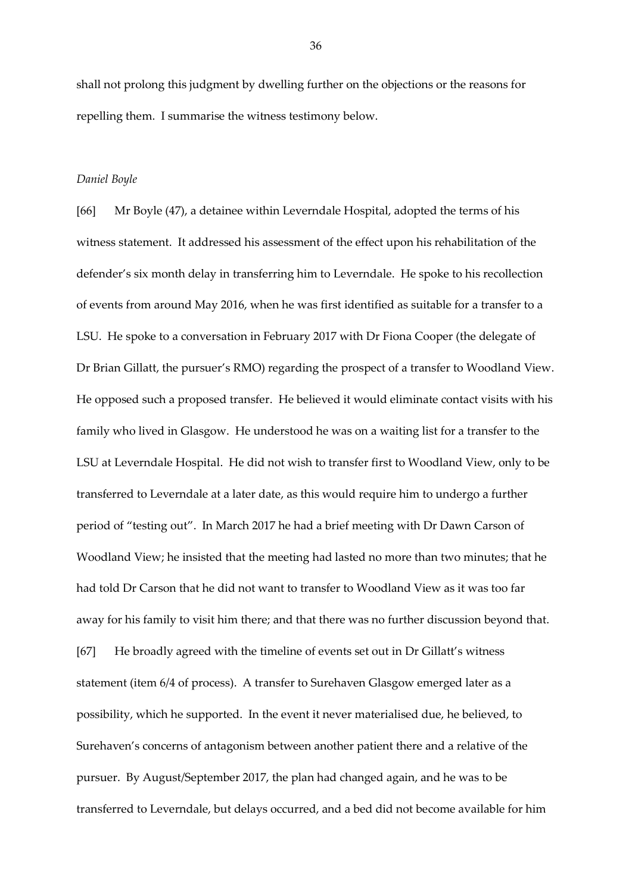shall not prolong this judgment by dwelling further on the objections or the reasons for repelling them. I summarise the witness testimony below.

#### *Daniel Boyle*

[66] Mr Boyle (47), a detainee within Leverndale Hospital, adopted the terms of his witness statement. It addressed his assessment of the effect upon his rehabilitation of the defender's six month delay in transferring him to Leverndale. He spoke to his recollection of events from around May 2016, when he was first identified as suitable for a transfer to a LSU. He spoke to a conversation in February 2017 with Dr Fiona Cooper (the delegate of Dr Brian Gillatt, the pursuer's RMO) regarding the prospect of a transfer to Woodland View. He opposed such a proposed transfer. He believed it would eliminate contact visits with his family who lived in Glasgow. He understood he was on a waiting list for a transfer to the LSU at Leverndale Hospital. He did not wish to transfer first to Woodland View, only to be transferred to Leverndale at a later date, as this would require him to undergo a further period of "testing out". In March 2017 he had a brief meeting with Dr Dawn Carson of Woodland View; he insisted that the meeting had lasted no more than two minutes; that he had told Dr Carson that he did not want to transfer to Woodland View as it was too far away for his family to visit him there; and that there was no further discussion beyond that. [67] He broadly agreed with the timeline of events set out in Dr Gillatt's witness statement (item 6/4 of process). A transfer to Surehaven Glasgow emerged later as a possibility, which he supported. In the event it never materialised due, he believed, to Surehaven's concerns of antagonism between another patient there and a relative of the pursuer. By August/September 2017, the plan had changed again, and he was to be transferred to Leverndale, but delays occurred, and a bed did not become available for him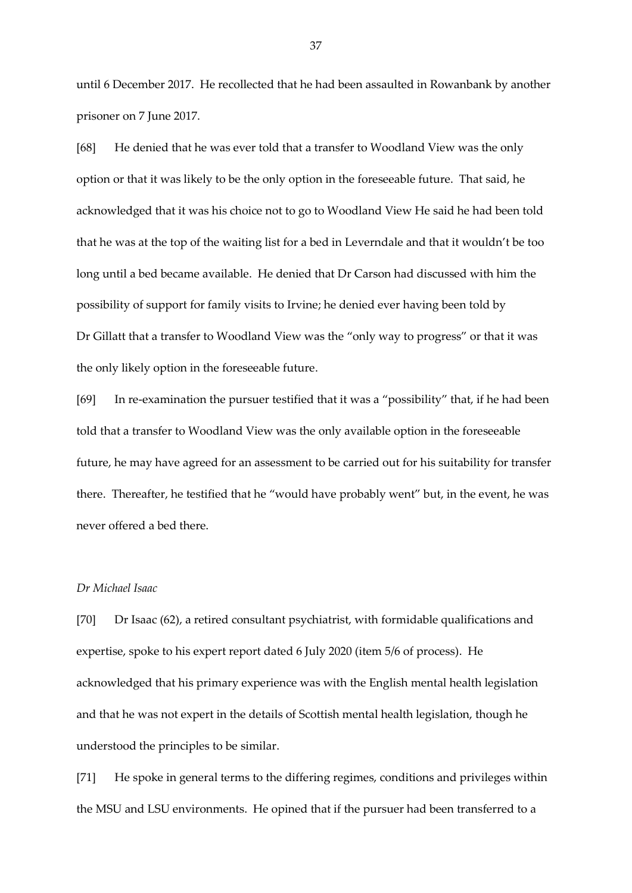until 6 December 2017. He recollected that he had been assaulted in Rowanbank by another prisoner on 7 June 2017.

[68] He denied that he was ever told that a transfer to Woodland View was the only option or that it was likely to be the only option in the foreseeable future. That said, he acknowledged that it was his choice not to go to Woodland View He said he had been told that he was at the top of the waiting list for a bed in Leverndale and that it wouldn't be too long until a bed became available. He denied that Dr Carson had discussed with him the possibility of support for family visits to Irvine; he denied ever having been told by Dr Gillatt that a transfer to Woodland View was the "only way to progress" or that it was the only likely option in the foreseeable future.

[69] In re-examination the pursuer testified that it was a "possibility" that, if he had been told that a transfer to Woodland View was the only available option in the foreseeable future, he may have agreed for an assessment to be carried out for his suitability for transfer there. Thereafter, he testified that he "would have probably went" but, in the event, he was never offered a bed there.

# *Dr Michael Isaac*

[70] Dr Isaac (62), a retired consultant psychiatrist, with formidable qualifications and expertise, spoke to his expert report dated 6 July 2020 (item 5/6 of process). He acknowledged that his primary experience was with the English mental health legislation and that he was not expert in the details of Scottish mental health legislation, though he understood the principles to be similar.

[71] He spoke in general terms to the differing regimes, conditions and privileges within the MSU and LSU environments. He opined that if the pursuer had been transferred to a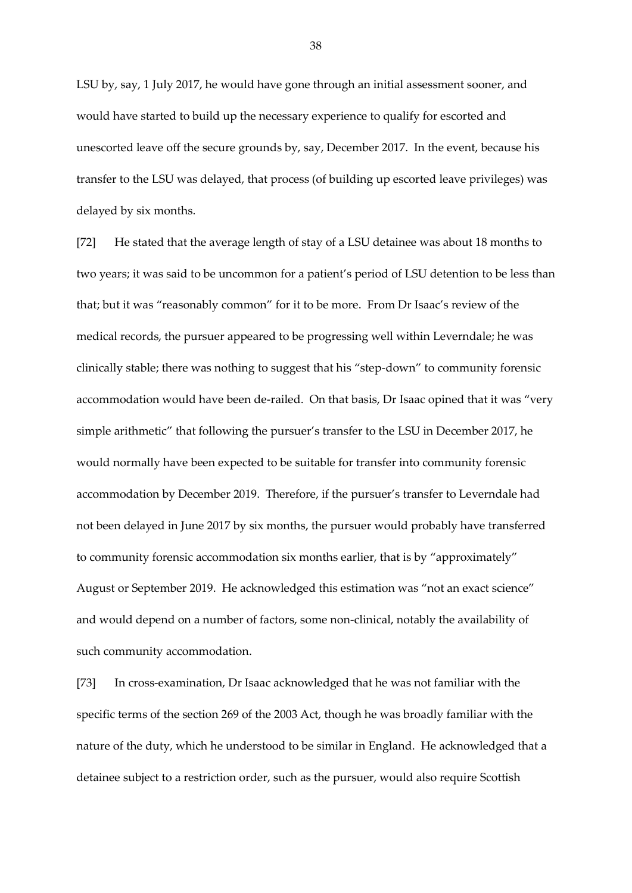LSU by, say, 1 July 2017, he would have gone through an initial assessment sooner, and would have started to build up the necessary experience to qualify for escorted and unescorted leave off the secure grounds by, say, December 2017. In the event, because his transfer to the LSU was delayed, that process (of building up escorted leave privileges) was delayed by six months.

[72] He stated that the average length of stay of a LSU detainee was about 18 months to two years; it was said to be uncommon for a patient's period of LSU detention to be less than that; but it was "reasonably common" for it to be more. From Dr Isaac's review of the medical records, the pursuer appeared to be progressing well within Leverndale; he was clinically stable; there was nothing to suggest that his "step-down" to community forensic accommodation would have been de-railed. On that basis, Dr Isaac opined that it was "very simple arithmetic" that following the pursuer's transfer to the LSU in December 2017, he would normally have been expected to be suitable for transfer into community forensic accommodation by December 2019. Therefore, if the pursuer's transfer to Leverndale had not been delayed in June 2017 by six months, the pursuer would probably have transferred to community forensic accommodation six months earlier, that is by "approximately" August or September 2019. He acknowledged this estimation was "not an exact science" and would depend on a number of factors, some non-clinical, notably the availability of such community accommodation.

[73] In cross-examination, Dr Isaac acknowledged that he was not familiar with the specific terms of the section 269 of the 2003 Act, though he was broadly familiar with the nature of the duty, which he understood to be similar in England. He acknowledged that a detainee subject to a restriction order, such as the pursuer, would also require Scottish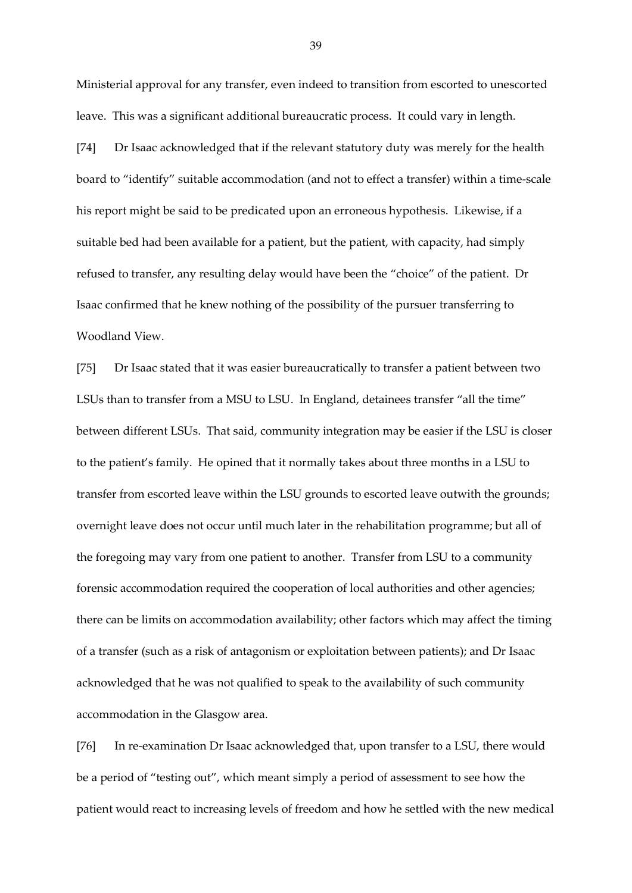Ministerial approval for any transfer, even indeed to transition from escorted to unescorted leave. This was a significant additional bureaucratic process. It could vary in length.

[74] Dr Isaac acknowledged that if the relevant statutory duty was merely for the health board to "identify" suitable accommodation (and not to effect a transfer) within a time-scale his report might be said to be predicated upon an erroneous hypothesis. Likewise, if a suitable bed had been available for a patient, but the patient, with capacity, had simply refused to transfer, any resulting delay would have been the "choice" of the patient. Dr Isaac confirmed that he knew nothing of the possibility of the pursuer transferring to Woodland View.

[75] Dr Isaac stated that it was easier bureaucratically to transfer a patient between two LSUs than to transfer from a MSU to LSU. In England, detainees transfer "all the time" between different LSUs. That said, community integration may be easier if the LSU is closer to the patient's family. He opined that it normally takes about three months in a LSU to transfer from escorted leave within the LSU grounds to escorted leave outwith the grounds; overnight leave does not occur until much later in the rehabilitation programme; but all of the foregoing may vary from one patient to another. Transfer from LSU to a community forensic accommodation required the cooperation of local authorities and other agencies; there can be limits on accommodation availability; other factors which may affect the timing of a transfer (such as a risk of antagonism or exploitation between patients); and Dr Isaac acknowledged that he was not qualified to speak to the availability of such community accommodation in the Glasgow area.

[76] In re-examination Dr Isaac acknowledged that, upon transfer to a LSU, there would be a period of "testing out", which meant simply a period of assessment to see how the patient would react to increasing levels of freedom and how he settled with the new medical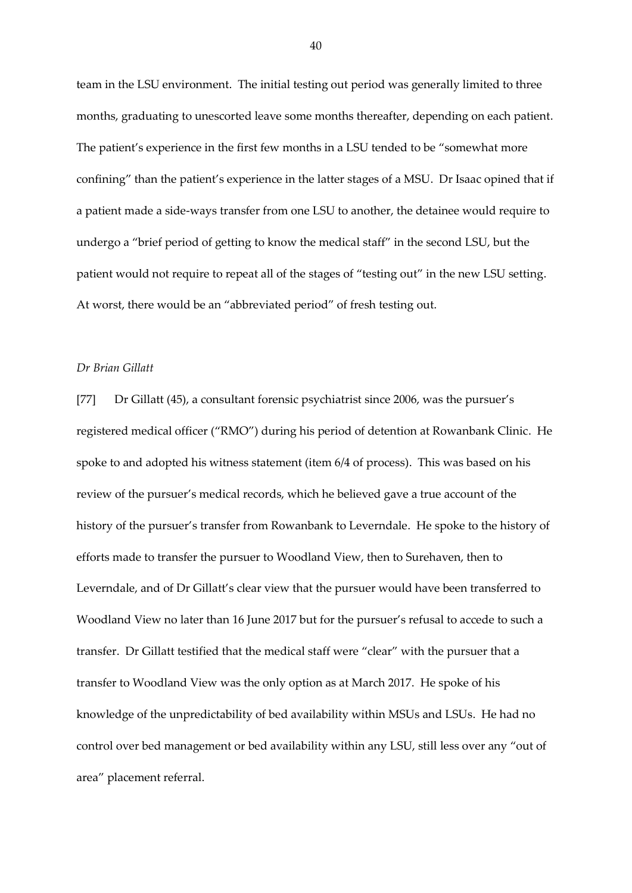team in the LSU environment. The initial testing out period was generally limited to three months, graduating to unescorted leave some months thereafter, depending on each patient. The patient's experience in the first few months in a LSU tended to be "somewhat more confining" than the patient's experience in the latter stages of a MSU. Dr Isaac opined that if a patient made a side-ways transfer from one LSU to another, the detainee would require to undergo a "brief period of getting to know the medical staff" in the second LSU, but the patient would not require to repeat all of the stages of "testing out" in the new LSU setting. At worst, there would be an "abbreviated period" of fresh testing out.

### *Dr Brian Gillatt*

[77] Dr Gillatt (45), a consultant forensic psychiatrist since 2006, was the pursuer's registered medical officer ("RMO") during his period of detention at Rowanbank Clinic. He spoke to and adopted his witness statement (item 6/4 of process). This was based on his review of the pursuer's medical records, which he believed gave a true account of the history of the pursuer's transfer from Rowanbank to Leverndale. He spoke to the history of efforts made to transfer the pursuer to Woodland View, then to Surehaven, then to Leverndale, and of Dr Gillatt's clear view that the pursuer would have been transferred to Woodland View no later than 16 June 2017 but for the pursuer's refusal to accede to such a transfer. Dr Gillatt testified that the medical staff were "clear" with the pursuer that a transfer to Woodland View was the only option as at March 2017. He spoke of his knowledge of the unpredictability of bed availability within MSUs and LSUs. He had no control over bed management or bed availability within any LSU, still less over any "out of area" placement referral.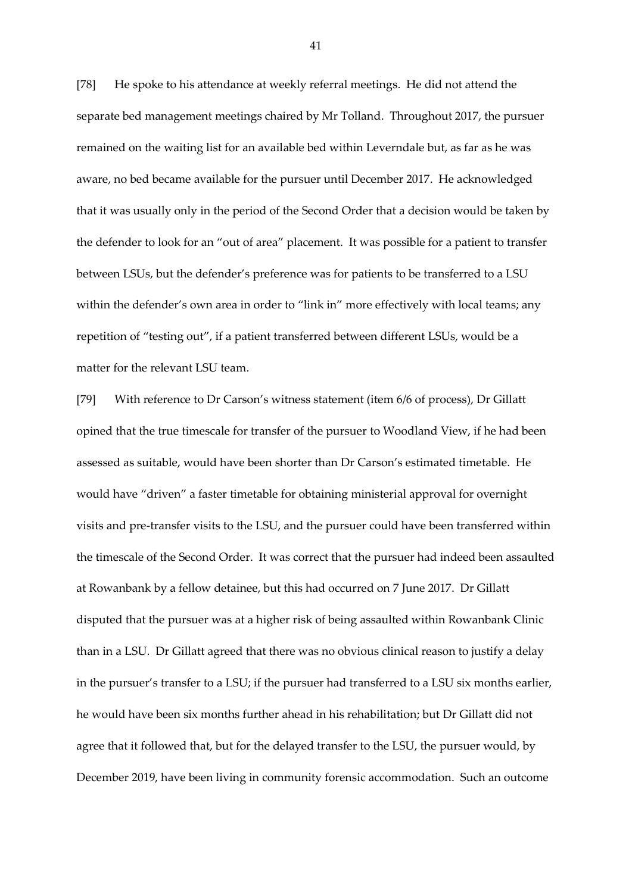[78] He spoke to his attendance at weekly referral meetings. He did not attend the separate bed management meetings chaired by Mr Tolland. Throughout 2017, the pursuer remained on the waiting list for an available bed within Leverndale but, as far as he was aware, no bed became available for the pursuer until December 2017. He acknowledged that it was usually only in the period of the Second Order that a decision would be taken by the defender to look for an "out of area" placement. It was possible for a patient to transfer between LSUs, but the defender's preference was for patients to be transferred to a LSU within the defender's own area in order to "link in" more effectively with local teams; any repetition of "testing out", if a patient transferred between different LSUs, would be a matter for the relevant LSU team.

[79] With reference to Dr Carson's witness statement (item 6/6 of process), Dr Gillatt opined that the true timescale for transfer of the pursuer to Woodland View, if he had been assessed as suitable, would have been shorter than Dr Carson's estimated timetable. He would have "driven" a faster timetable for obtaining ministerial approval for overnight visits and pre-transfer visits to the LSU, and the pursuer could have been transferred within the timescale of the Second Order. It was correct that the pursuer had indeed been assaulted at Rowanbank by a fellow detainee, but this had occurred on 7 June 2017. Dr Gillatt disputed that the pursuer was at a higher risk of being assaulted within Rowanbank Clinic than in a LSU. Dr Gillatt agreed that there was no obvious clinical reason to justify a delay in the pursuer's transfer to a LSU; if the pursuer had transferred to a LSU six months earlier, he would have been six months further ahead in his rehabilitation; but Dr Gillatt did not agree that it followed that, but for the delayed transfer to the LSU, the pursuer would, by December 2019, have been living in community forensic accommodation. Such an outcome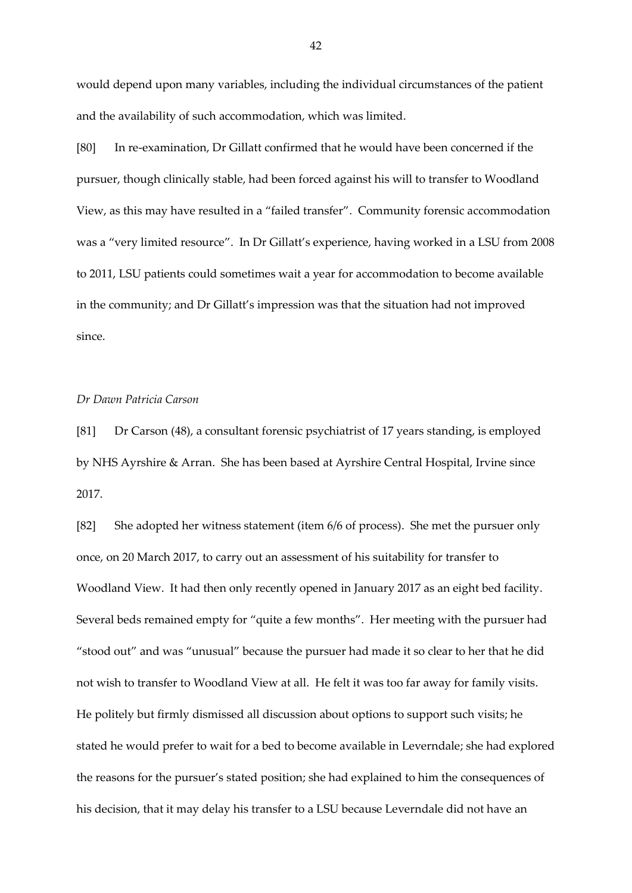would depend upon many variables, including the individual circumstances of the patient and the availability of such accommodation, which was limited.

[80] In re-examination, Dr Gillatt confirmed that he would have been concerned if the pursuer, though clinically stable, had been forced against his will to transfer to Woodland View, as this may have resulted in a "failed transfer". Community forensic accommodation was a "very limited resource". In Dr Gillatt's experience, having worked in a LSU from 2008 to 2011, LSU patients could sometimes wait a year for accommodation to become available in the community; and Dr Gillatt's impression was that the situation had not improved since.

### *Dr Dawn Patricia Carson*

[81] Dr Carson (48), a consultant forensic psychiatrist of 17 years standing, is employed by NHS Ayrshire & Arran. She has been based at Ayrshire Central Hospital, Irvine since 2017.

[82] She adopted her witness statement (item 6/6 of process). She met the pursuer only once, on 20 March 2017, to carry out an assessment of his suitability for transfer to Woodland View. It had then only recently opened in January 2017 as an eight bed facility. Several beds remained empty for "quite a few months". Her meeting with the pursuer had "stood out" and was "unusual" because the pursuer had made it so clear to her that he did not wish to transfer to Woodland View at all. He felt it was too far away for family visits. He politely but firmly dismissed all discussion about options to support such visits; he stated he would prefer to wait for a bed to become available in Leverndale; she had explored the reasons for the pursuer's stated position; she had explained to him the consequences of his decision, that it may delay his transfer to a LSU because Leverndale did not have an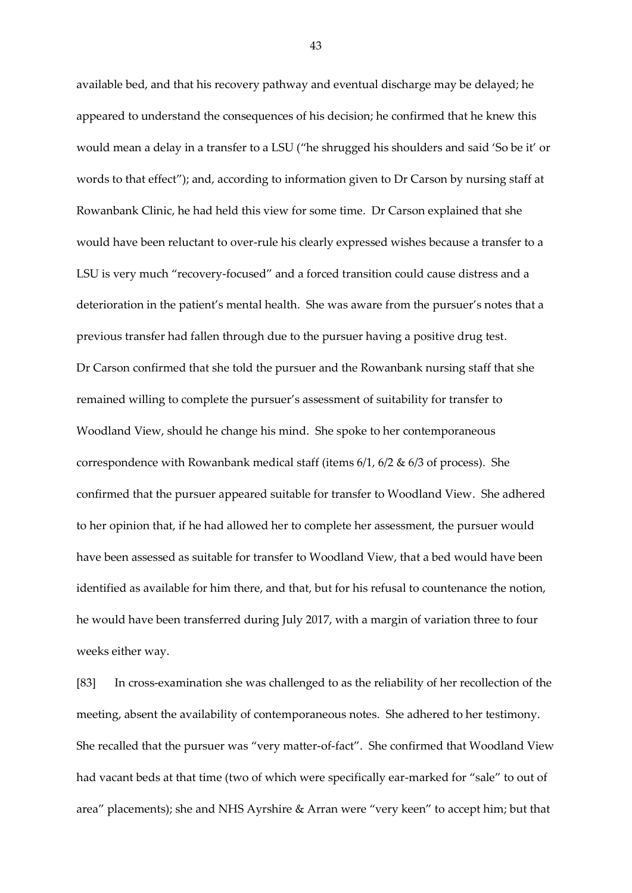available bed, and that his recovery pathway and eventual discharge may be delayed; he appeared to understand the consequences of his decision; he confirmed that he knew this would mean a delay in a transfer to a LSU ("he shrugged his shoulders and said 'So be it' or words to that effect"); and, according to information given to Dr Carson by nursing staff at Rowanbank Clinic, he had held this view for some time. Dr Carson explained that she would have been reluctant to over-rule his clearly expressed wishes because a transfer to a LSU is very much "recovery-focused" and a forced transition could cause distress and a deterioration in the patient's mental health. She was aware from the pursuer's notes that a previous transfer had fallen through due to the pursuer having a positive drug test. Dr Carson confirmed that she told the pursuer and the Rowanbank nursing staff that she remained willing to complete the pursuer's assessment of suitability for transfer to Woodland View, should he change his mind. She spoke to her contemporaneous correspondence with Rowanbank medical staff (items 6/1, 6/2 & 6/3 of process). She confirmed that the pursuer appeared suitable for transfer to Woodland View. She adhered to her opinion that, if he had allowed her to complete her assessment, the pursuer would have been assessed as suitable for transfer to Woodland View, that a bed would have been identified as available for him there, and that, but for his refusal to countenance the notion, he would have been transferred during July 2017, with a margin of variation three to four weeks either way.

[83] In cross-examination she was challenged to as the reliability of her recollection of the meeting, absent the availability of contemporaneous notes. She adhered to her testimony. She recalled that the pursuer was "very matter-of-fact". She confirmed that Woodland View had vacant beds at that time (two of which were specifically ear-marked for "sale" to out of area" placements); she and NHS Ayrshire & Arran were "very keen" to accept him; but that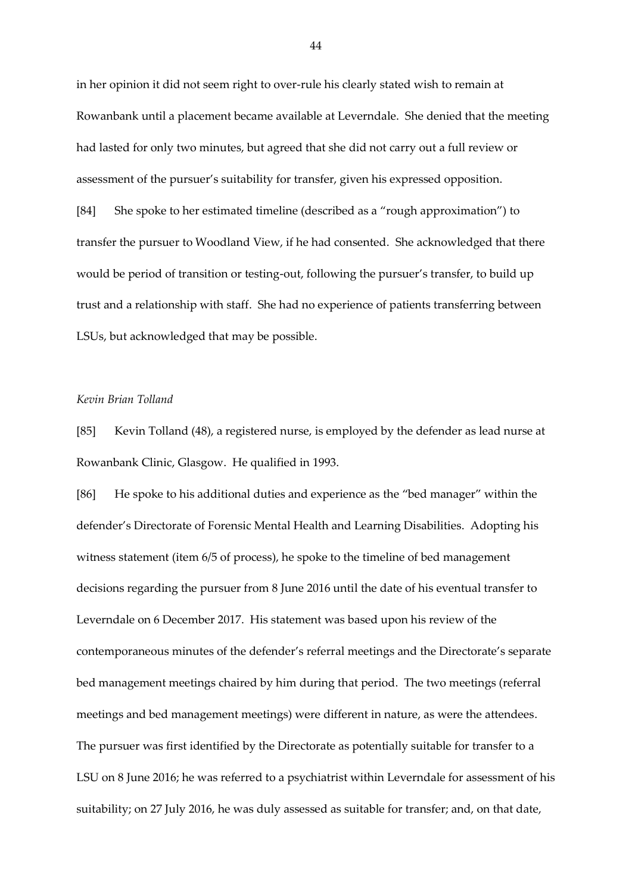in her opinion it did not seem right to over-rule his clearly stated wish to remain at Rowanbank until a placement became available at Leverndale. She denied that the meeting had lasted for only two minutes, but agreed that she did not carry out a full review or assessment of the pursuer's suitability for transfer, given his expressed opposition. [84] She spoke to her estimated timeline (described as a "rough approximation") to transfer the pursuer to Woodland View, if he had consented. She acknowledged that there would be period of transition or testing-out, following the pursuer's transfer, to build up trust and a relationship with staff. She had no experience of patients transferring between LSUs, but acknowledged that may be possible.

### *Kevin Brian Tolland*

[85] Kevin Tolland (48), a registered nurse, is employed by the defender as lead nurse at Rowanbank Clinic, Glasgow. He qualified in 1993.

[86] He spoke to his additional duties and experience as the "bed manager" within the defender's Directorate of Forensic Mental Health and Learning Disabilities. Adopting his witness statement (item 6/5 of process), he spoke to the timeline of bed management decisions regarding the pursuer from 8 June 2016 until the date of his eventual transfer to Leverndale on 6 December 2017. His statement was based upon his review of the contemporaneous minutes of the defender's referral meetings and the Directorate's separate bed management meetings chaired by him during that period. The two meetings (referral meetings and bed management meetings) were different in nature, as were the attendees. The pursuer was first identified by the Directorate as potentially suitable for transfer to a LSU on 8 June 2016; he was referred to a psychiatrist within Leverndale for assessment of his suitability; on 27 July 2016, he was duly assessed as suitable for transfer; and, on that date,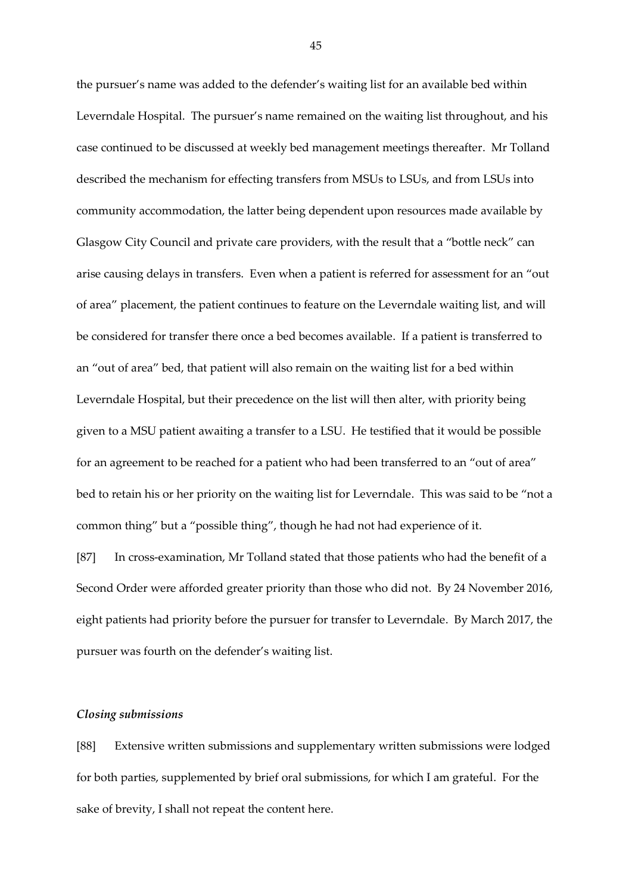the pursuer's name was added to the defender's waiting list for an available bed within Leverndale Hospital. The pursuer's name remained on the waiting list throughout, and his case continued to be discussed at weekly bed management meetings thereafter. Mr Tolland described the mechanism for effecting transfers from MSUs to LSUs, and from LSUs into community accommodation, the latter being dependent upon resources made available by Glasgow City Council and private care providers, with the result that a "bottle neck" can arise causing delays in transfers. Even when a patient is referred for assessment for an "out of area" placement, the patient continues to feature on the Leverndale waiting list, and will be considered for transfer there once a bed becomes available. If a patient is transferred to an "out of area" bed, that patient will also remain on the waiting list for a bed within Leverndale Hospital, but their precedence on the list will then alter, with priority being given to a MSU patient awaiting a transfer to a LSU. He testified that it would be possible for an agreement to be reached for a patient who had been transferred to an "out of area" bed to retain his or her priority on the waiting list for Leverndale. This was said to be "not a common thing" but a "possible thing", though he had not had experience of it.

[87] In cross-examination, Mr Tolland stated that those patients who had the benefit of a Second Order were afforded greater priority than those who did not. By 24 November 2016, eight patients had priority before the pursuer for transfer to Leverndale. By March 2017, the pursuer was fourth on the defender's waiting list.

### *Closing submissions*

[88] Extensive written submissions and supplementary written submissions were lodged for both parties, supplemented by brief oral submissions, for which I am grateful. For the sake of brevity, I shall not repeat the content here.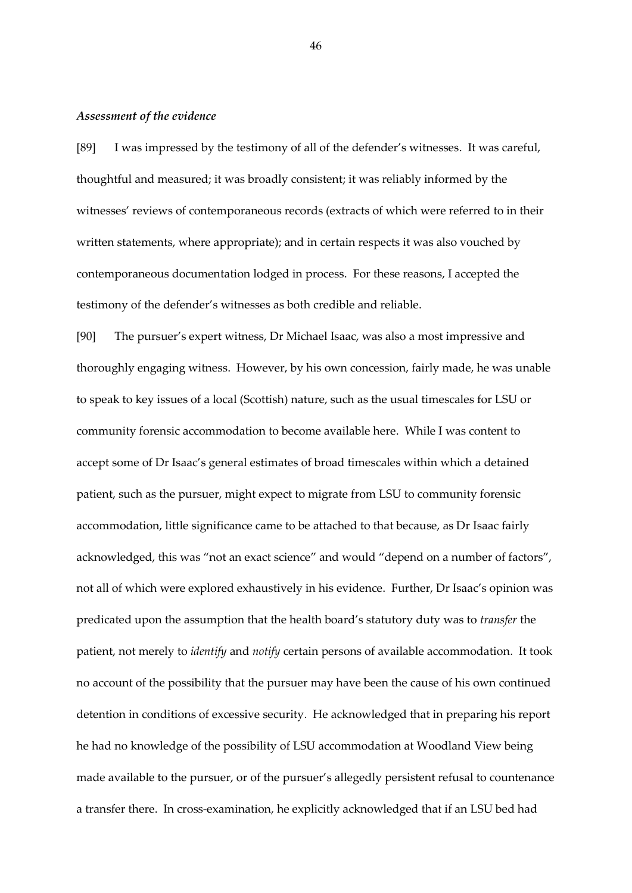#### *Assessment of the evidence*

[89] I was impressed by the testimony of all of the defender's witnesses. It was careful, thoughtful and measured; it was broadly consistent; it was reliably informed by the witnesses' reviews of contemporaneous records (extracts of which were referred to in their written statements, where appropriate); and in certain respects it was also vouched by contemporaneous documentation lodged in process. For these reasons, I accepted the testimony of the defender's witnesses as both credible and reliable.

[90] The pursuer's expert witness, Dr Michael Isaac, was also a most impressive and thoroughly engaging witness. However, by his own concession, fairly made, he was unable to speak to key issues of a local (Scottish) nature, such as the usual timescales for LSU or community forensic accommodation to become available here. While I was content to accept some of Dr Isaac's general estimates of broad timescales within which a detained patient, such as the pursuer, might expect to migrate from LSU to community forensic accommodation, little significance came to be attached to that because, as Dr Isaac fairly acknowledged, this was "not an exact science" and would "depend on a number of factors", not all of which were explored exhaustively in his evidence. Further, Dr Isaac's opinion was predicated upon the assumption that the health board's statutory duty was to *transfer* the patient, not merely to *identify* and *notify* certain persons of available accommodation. It took no account of the possibility that the pursuer may have been the cause of his own continued detention in conditions of excessive security. He acknowledged that in preparing his report he had no knowledge of the possibility of LSU accommodation at Woodland View being made available to the pursuer, or of the pursuer's allegedly persistent refusal to countenance a transfer there. In cross-examination, he explicitly acknowledged that if an LSU bed had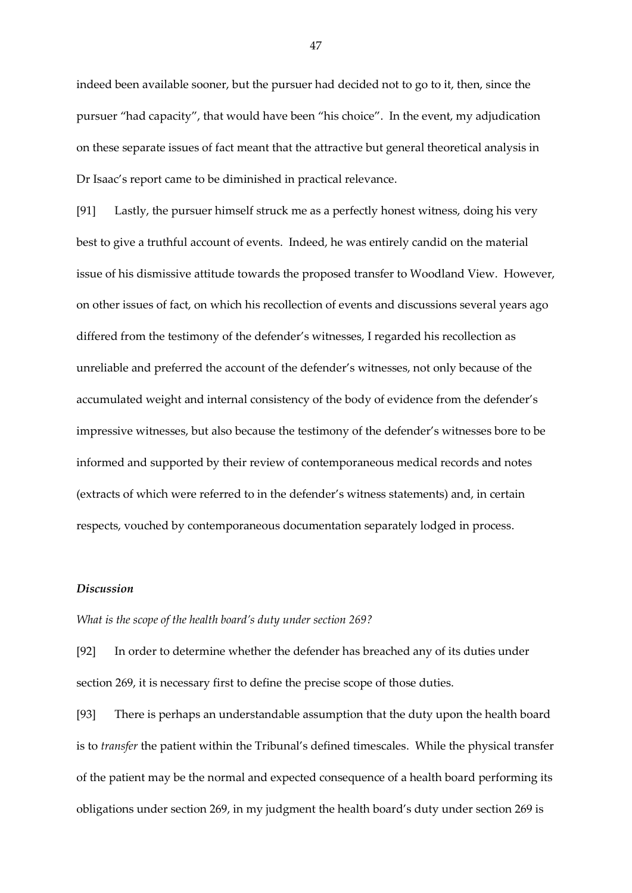indeed been available sooner, but the pursuer had decided not to go to it, then, since the pursuer "had capacity", that would have been "his choice". In the event, my adjudication on these separate issues of fact meant that the attractive but general theoretical analysis in Dr Isaac's report came to be diminished in practical relevance.

[91] Lastly, the pursuer himself struck me as a perfectly honest witness, doing his very best to give a truthful account of events. Indeed, he was entirely candid on the material issue of his dismissive attitude towards the proposed transfer to Woodland View. However, on other issues of fact, on which his recollection of events and discussions several years ago differed from the testimony of the defender's witnesses, I regarded his recollection as unreliable and preferred the account of the defender's witnesses, not only because of the accumulated weight and internal consistency of the body of evidence from the defender's impressive witnesses, but also because the testimony of the defender's witnesses bore to be informed and supported by their review of contemporaneous medical records and notes (extracts of which were referred to in the defender's witness statements) and, in certain respects, vouched by contemporaneous documentation separately lodged in process.

### *Discussion*

### *What is the scope of the health board's duty under section 269?*

[92] In order to determine whether the defender has breached any of its duties under section 269, it is necessary first to define the precise scope of those duties.

[93] There is perhaps an understandable assumption that the duty upon the health board is to *transfer* the patient within the Tribunal's defined timescales. While the physical transfer of the patient may be the normal and expected consequence of a health board performing its obligations under section 269, in my judgment the health board's duty under section 269 is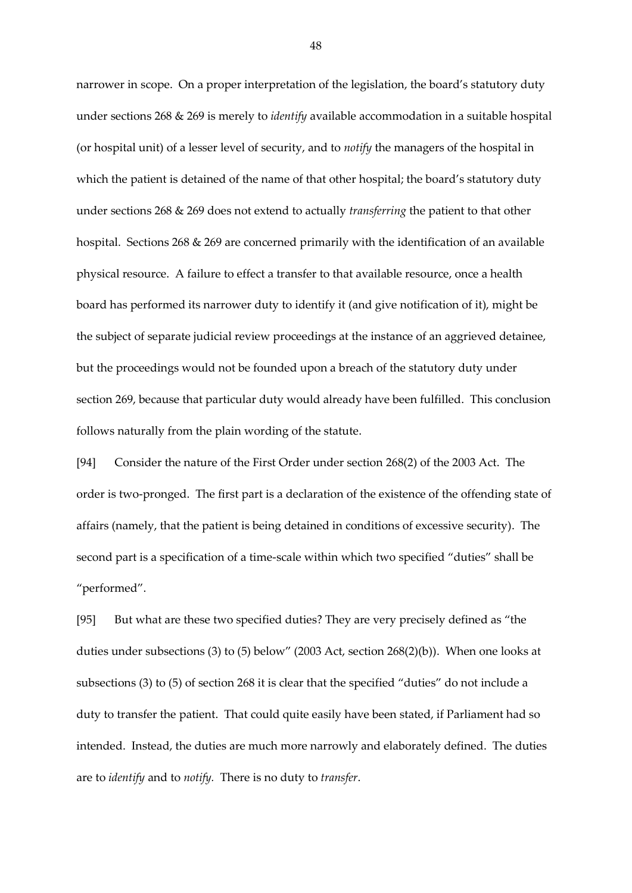narrower in scope. On a proper interpretation of the legislation, the board's statutory duty under sections 268 & 269 is merely to *identify* available accommodation in a suitable hospital (or hospital unit) of a lesser level of security, and to *notify* the managers of the hospital in which the patient is detained of the name of that other hospital; the board's statutory duty under sections 268 & 269 does not extend to actually *transferring* the patient to that other hospital. Sections 268 & 269 are concerned primarily with the identification of an available physical resource. A failure to effect a transfer to that available resource, once a health board has performed its narrower duty to identify it (and give notification of it), might be the subject of separate judicial review proceedings at the instance of an aggrieved detainee, but the proceedings would not be founded upon a breach of the statutory duty under section 269, because that particular duty would already have been fulfilled. This conclusion follows naturally from the plain wording of the statute.

[94] Consider the nature of the First Order under section 268(2) of the 2003 Act. The order is two-pronged. The first part is a declaration of the existence of the offending state of affairs (namely, that the patient is being detained in conditions of excessive security). The second part is a specification of a time-scale within which two specified "duties" shall be "performed".

[95] But what are these two specified duties? They are very precisely defined as "the duties under subsections (3) to (5) below" (2003 Act, section 268(2)(b)). When one looks at subsections (3) to (5) of section 268 it is clear that the specified "duties" do not include a duty to transfer the patient. That could quite easily have been stated, if Parliament had so intended. Instead, the duties are much more narrowly and elaborately defined. The duties are to *identify* and to *notify.* There is no duty to *transfer*.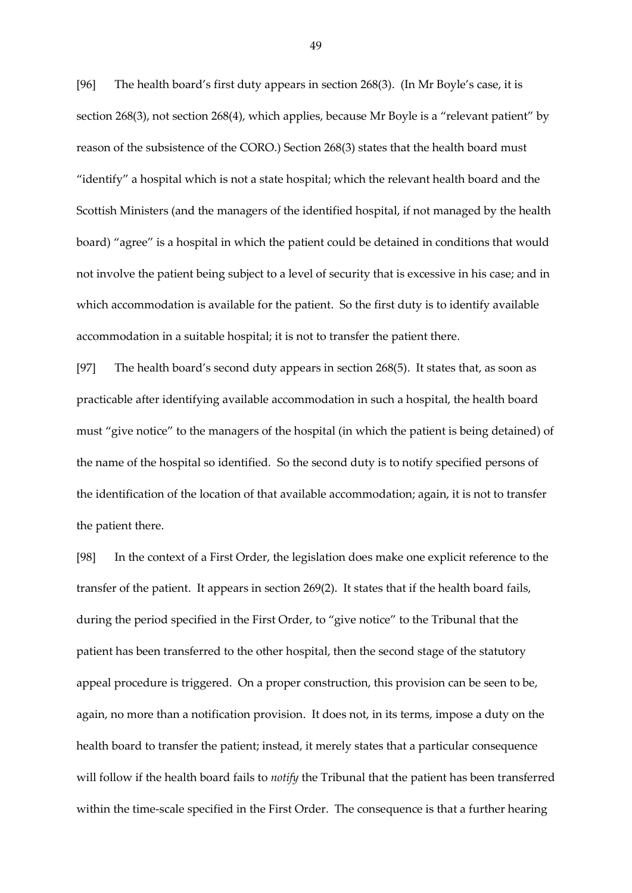[96] The health board's first duty appears in section 268(3). (In Mr Boyle's case, it is section 268(3), not section 268(4), which applies, because Mr Boyle is a "relevant patient" by reason of the subsistence of the CORO.) Section 268(3) states that the health board must "identify" a hospital which is not a state hospital; which the relevant health board and the Scottish Ministers (and the managers of the identified hospital, if not managed by the health board) "agree" is a hospital in which the patient could be detained in conditions that would not involve the patient being subject to a level of security that is excessive in his case; and in which accommodation is available for the patient. So the first duty is to identify available accommodation in a suitable hospital; it is not to transfer the patient there.

[97] The health board's second duty appears in section 268(5). It states that, as soon as practicable after identifying available accommodation in such a hospital, the health board must "give notice" to the managers of the hospital (in which the patient is being detained) of the name of the hospital so identified*.* So the second duty is to notify specified persons of the identification of the location of that available accommodation; again, it is not to transfer the patient there.

[98] In the context of a First Order, the legislation does make one explicit reference to the transfer of the patient. It appears in section 269(2). It states that if the health board fails, during the period specified in the First Order, to "give notice" to the Tribunal that the patient has been transferred to the other hospital, then the second stage of the statutory appeal procedure is triggered. On a proper construction, this provision can be seen to be, again, no more than a notification provision. It does not, in its terms, impose a duty on the health board to transfer the patient; instead, it merely states that a particular consequence will follow if the health board fails to *notify* the Tribunal that the patient has been transferred within the time-scale specified in the First Order. The consequence is that a further hearing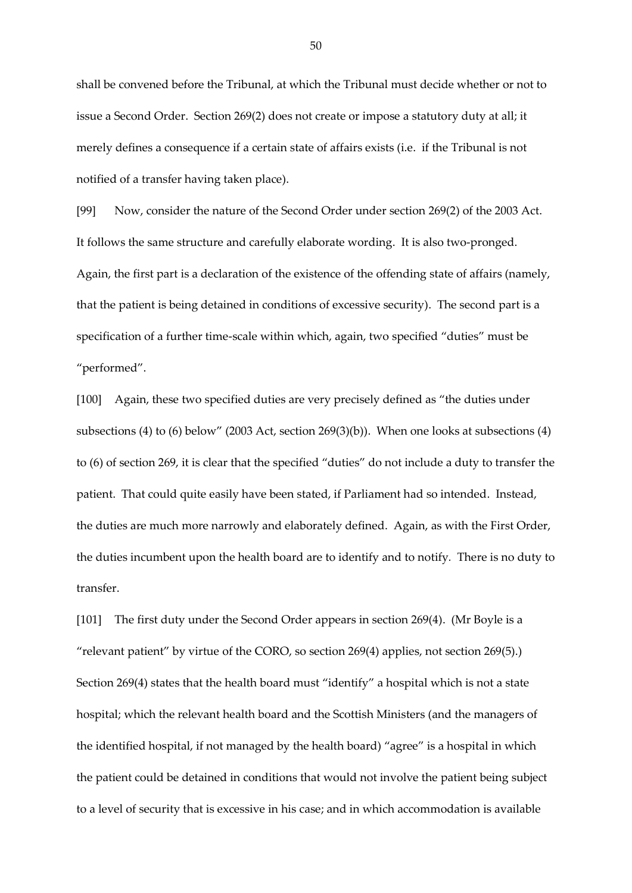shall be convened before the Tribunal, at which the Tribunal must decide whether or not to issue a Second Order. Section 269(2) does not create or impose a statutory duty at all; it merely defines a consequence if a certain state of affairs exists (i.e. if the Tribunal is not notified of a transfer having taken place).

[99] Now, consider the nature of the Second Order under section 269(2) of the 2003 Act. It follows the same structure and carefully elaborate wording. It is also two-pronged. Again, the first part is a declaration of the existence of the offending state of affairs (namely, that the patient is being detained in conditions of excessive security). The second part is a specification of a further time-scale within which, again, two specified "duties" must be "performed".

[100] Again, these two specified duties are very precisely defined as "the duties under subsections (4) to (6) below" (2003 Act, section 269(3)(b)). When one looks at subsections (4) to (6) of section 269, it is clear that the specified "duties" do not include a duty to transfer the patient. That could quite easily have been stated, if Parliament had so intended. Instead, the duties are much more narrowly and elaborately defined. Again, as with the First Order, the duties incumbent upon the health board are to identify and to notify*.* There is no duty to transfer.

[101] The first duty under the Second Order appears in section 269(4). (Mr Boyle is a "relevant patient" by virtue of the CORO, so section 269(4) applies, not section 269(5).) Section 269(4) states that the health board must "identify" a hospital which is not a state hospital; which the relevant health board and the Scottish Ministers (and the managers of the identified hospital, if not managed by the health board) "agree" is a hospital in which the patient could be detained in conditions that would not involve the patient being subject to a level of security that is excessive in his case; and in which accommodation is available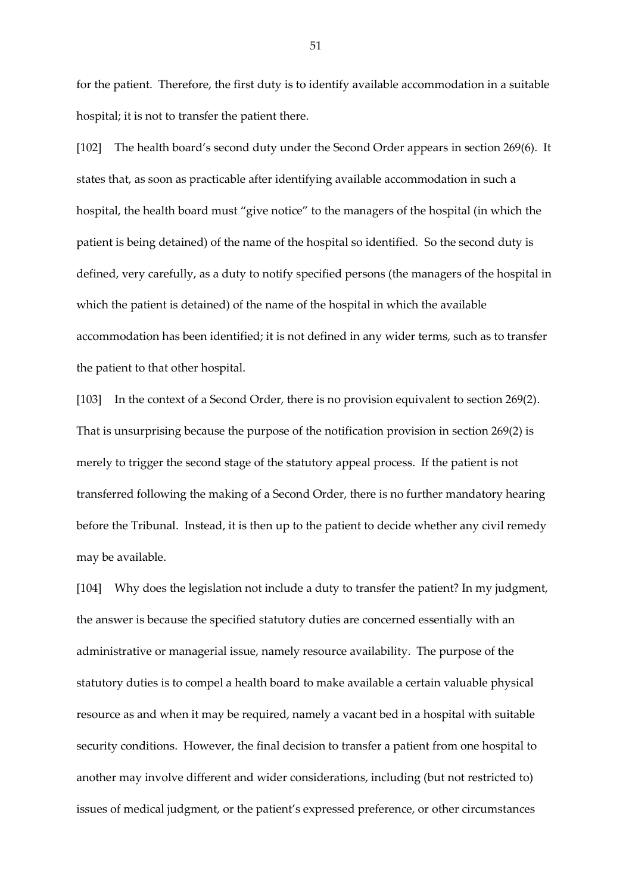for the patient. Therefore, the first duty is to identify available accommodation in a suitable hospital; it is not to transfer the patient there.

[102] The health board's second duty under the Second Order appears in section 269(6). It states that, as soon as practicable after identifying available accommodation in such a hospital, the health board must "give notice" to the managers of the hospital (in which the patient is being detained) of the name of the hospital so identified*.* So the second duty is defined, very carefully, as a duty to notify specified persons (the managers of the hospital in which the patient is detained) of the name of the hospital in which the available accommodation has been identified; it is not defined in any wider terms, such as to transfer the patient to that other hospital.

[103] In the context of a Second Order, there is no provision equivalent to section 269(2). That is unsurprising because the purpose of the notification provision in section 269(2) is merely to trigger the second stage of the statutory appeal process. If the patient is not transferred following the making of a Second Order, there is no further mandatory hearing before the Tribunal. Instead, it is then up to the patient to decide whether any civil remedy may be available.

[104] Why does the legislation not include a duty to transfer the patient? In my judgment, the answer is because the specified statutory duties are concerned essentially with an administrative or managerial issue, namely resource availability. The purpose of the statutory duties is to compel a health board to make available a certain valuable physical resource as and when it may be required, namely a vacant bed in a hospital with suitable security conditions. However, the final decision to transfer a patient from one hospital to another may involve different and wider considerations, including (but not restricted to) issues of medical judgment, or the patient's expressed preference, or other circumstances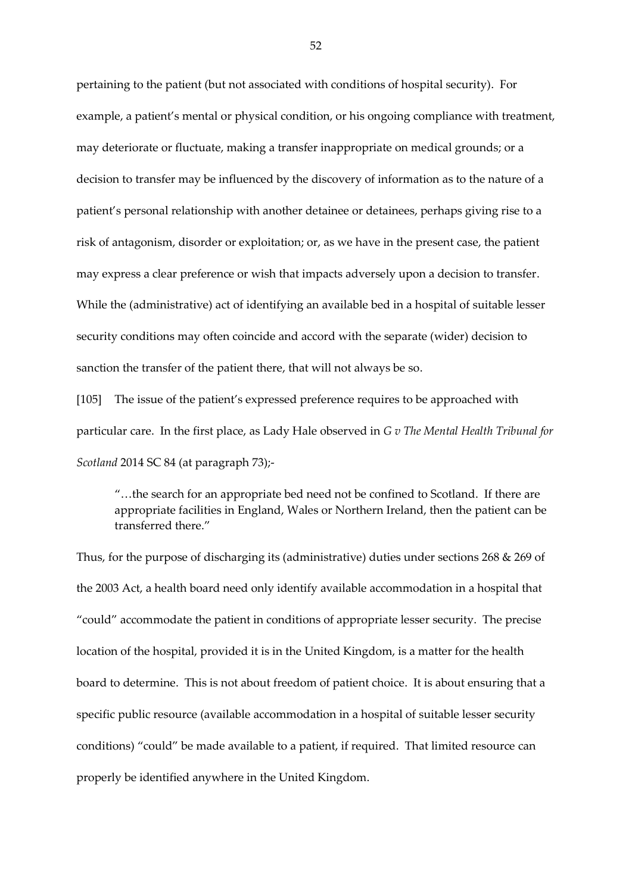pertaining to the patient (but not associated with conditions of hospital security). For example, a patient's mental or physical condition, or his ongoing compliance with treatment, may deteriorate or fluctuate, making a transfer inappropriate on medical grounds; or a decision to transfer may be influenced by the discovery of information as to the nature of a patient's personal relationship with another detainee or detainees, perhaps giving rise to a risk of antagonism, disorder or exploitation; or, as we have in the present case, the patient may express a clear preference or wish that impacts adversely upon a decision to transfer. While the (administrative) act of identifying an available bed in a hospital of suitable lesser security conditions may often coincide and accord with the separate (wider) decision to sanction the transfer of the patient there, that will not always be so.

[105] The issue of the patient's expressed preference requires to be approached with particular care. In the first place, as Lady Hale observed in *G v The Mental Health Tribunal for Scotland* 2014 SC 84 (at paragraph 73);-

"…the search for an appropriate bed need not be confined to Scotland. If there are appropriate facilities in England, Wales or Northern Ireland, then the patient can be transferred there."

Thus, for the purpose of discharging its (administrative) duties under sections 268 & 269 of the 2003 Act, a health board need only identify available accommodation in a hospital that "could" accommodate the patient in conditions of appropriate lesser security. The precise location of the hospital, provided it is in the United Kingdom, is a matter for the health board to determine. This is not about freedom of patient choice. It is about ensuring that a specific public resource (available accommodation in a hospital of suitable lesser security conditions) "could" be made available to a patient, if required. That limited resource can properly be identified anywhere in the United Kingdom.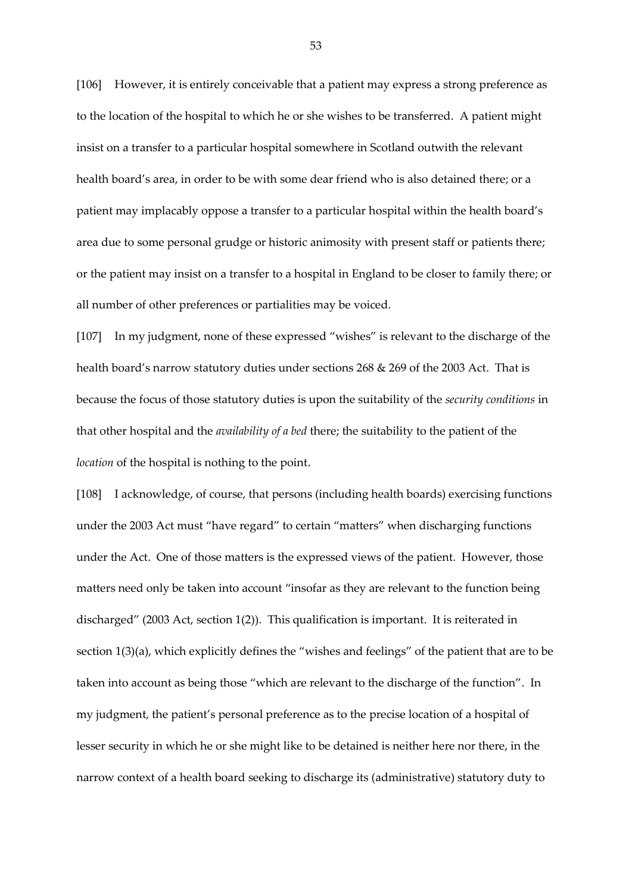[106] However, it is entirely conceivable that a patient may express a strong preference as to the location of the hospital to which he or she wishes to be transferred. A patient might insist on a transfer to a particular hospital somewhere in Scotland outwith the relevant health board's area, in order to be with some dear friend who is also detained there; or a patient may implacably oppose a transfer to a particular hospital within the health board's area due to some personal grudge or historic animosity with present staff or patients there; or the patient may insist on a transfer to a hospital in England to be closer to family there; or all number of other preferences or partialities may be voiced.

[107] In my judgment, none of these expressed "wishes" is relevant to the discharge of the health board's narrow statutory duties under sections 268 & 269 of the 2003 Act. That is because the focus of those statutory duties is upon the suitability of the *security conditions* in that other hospital and the *availability of a bed* there; the suitability to the patient of the *location* of the hospital is nothing to the point.

[108] I acknowledge, of course, that persons (including health boards) exercising functions under the 2003 Act must "have regard" to certain "matters" when discharging functions under the Act. One of those matters is the expressed views of the patient. However, those matters need only be taken into account "insofar as they are relevant to the function being discharged" (2003 Act, section 1(2)). This qualification is important. It is reiterated in section 1(3)(a), which explicitly defines the "wishes and feelings" of the patient that are to be taken into account as being those "which are relevant to the discharge of the function". In my judgment, the patient's personal preference as to the precise location of a hospital of lesser security in which he or she might like to be detained is neither here nor there, in the narrow context of a health board seeking to discharge its (administrative) statutory duty to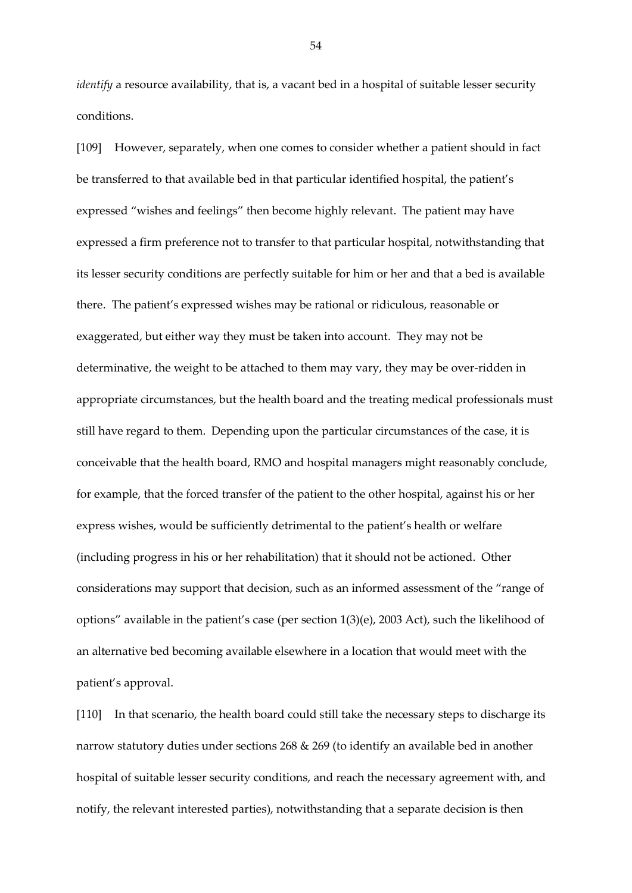*identify* a resource availability, that is, a vacant bed in a hospital of suitable lesser security conditions.

[109] However, separately, when one comes to consider whether a patient should in fact be transferred to that available bed in that particular identified hospital, the patient's expressed "wishes and feelings" then become highly relevant. The patient may have expressed a firm preference not to transfer to that particular hospital, notwithstanding that its lesser security conditions are perfectly suitable for him or her and that a bed is available there. The patient's expressed wishes may be rational or ridiculous, reasonable or exaggerated, but either way they must be taken into account. They may not be determinative, the weight to be attached to them may vary, they may be over-ridden in appropriate circumstances, but the health board and the treating medical professionals must still have regard to them. Depending upon the particular circumstances of the case, it is conceivable that the health board, RMO and hospital managers might reasonably conclude, for example, that the forced transfer of the patient to the other hospital, against his or her express wishes, would be sufficiently detrimental to the patient's health or welfare (including progress in his or her rehabilitation) that it should not be actioned. Other considerations may support that decision, such as an informed assessment of the "range of options" available in the patient's case (per section 1(3)(e), 2003 Act), such the likelihood of an alternative bed becoming available elsewhere in a location that would meet with the patient's approval.

[110] In that scenario, the health board could still take the necessary steps to discharge its narrow statutory duties under sections 268 & 269 (to identify an available bed in another hospital of suitable lesser security conditions, and reach the necessary agreement with, and notify, the relevant interested parties), notwithstanding that a separate decision is then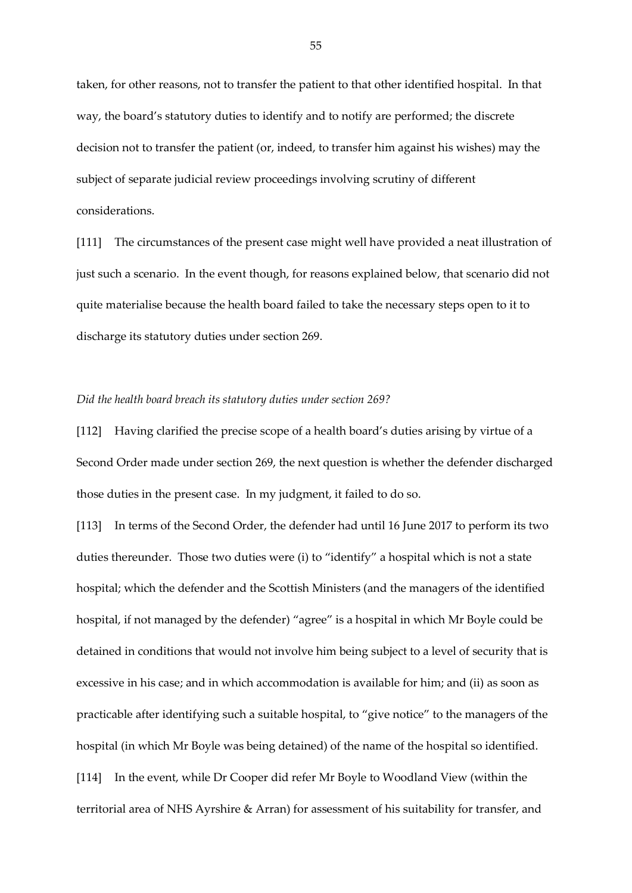taken, for other reasons, not to transfer the patient to that other identified hospital. In that way, the board's statutory duties to identify and to notify are performed; the discrete decision not to transfer the patient (or, indeed, to transfer him against his wishes) may the subject of separate judicial review proceedings involving scrutiny of different considerations.

[111] The circumstances of the present case might well have provided a neat illustration of just such a scenario. In the event though, for reasons explained below, that scenario did not quite materialise because the health board failed to take the necessary steps open to it to discharge its statutory duties under section 269.

### *Did the health board breach its statutory duties under section 269?*

[112] Having clarified the precise scope of a health board's duties arising by virtue of a Second Order made under section 269, the next question is whether the defender discharged those duties in the present case. In my judgment, it failed to do so.

[113] In terms of the Second Order, the defender had until 16 June 2017 to perform its two duties thereunder. Those two duties were (i) to "identify" a hospital which is not a state hospital; which the defender and the Scottish Ministers (and the managers of the identified hospital, if not managed by the defender) "agree" is a hospital in which Mr Boyle could be detained in conditions that would not involve him being subject to a level of security that is excessive in his case; and in which accommodation is available for him; and (ii) as soon as practicable after identifying such a suitable hospital, to "give notice" to the managers of the hospital (in which Mr Boyle was being detained) of the name of the hospital so identified. [114] In the event, while Dr Cooper did refer Mr Boyle to Woodland View (within the territorial area of NHS Ayrshire & Arran) for assessment of his suitability for transfer, and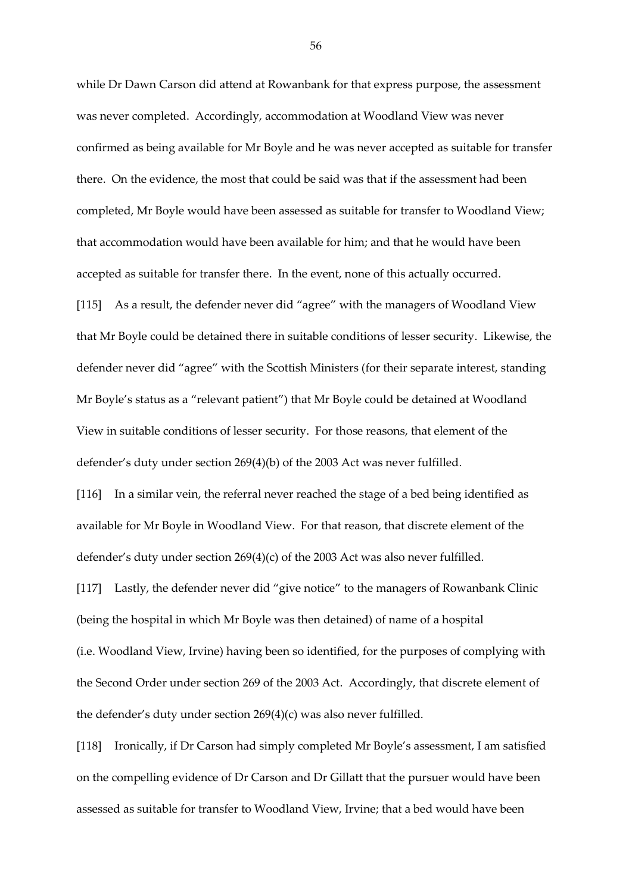while Dr Dawn Carson did attend at Rowanbank for that express purpose, the assessment was never completed. Accordingly, accommodation at Woodland View was never confirmed as being available for Mr Boyle and he was never accepted as suitable for transfer there. On the evidence, the most that could be said was that if the assessment had been completed, Mr Boyle would have been assessed as suitable for transfer to Woodland View; that accommodation would have been available for him; and that he would have been accepted as suitable for transfer there. In the event, none of this actually occurred. [115] As a result, the defender never did "agree" with the managers of Woodland View that Mr Boyle could be detained there in suitable conditions of lesser security. Likewise, the defender never did "agree" with the Scottish Ministers (for their separate interest, standing Mr Boyle's status as a "relevant patient") that Mr Boyle could be detained at Woodland View in suitable conditions of lesser security. For those reasons, that element of the defender's duty under section 269(4)(b) of the 2003 Act was never fulfilled. [116] In a similar vein, the referral never reached the stage of a bed being identified as available for Mr Boyle in Woodland View. For that reason, that discrete element of the

defender's duty under section 269(4)(c) of the 2003 Act was also never fulfilled.

[117] Lastly, the defender never did "give notice" to the managers of Rowanbank Clinic (being the hospital in which Mr Boyle was then detained) of name of a hospital (i.e. Woodland View, Irvine) having been so identified, for the purposes of complying with the Second Order under section 269 of the 2003 Act. Accordingly, that discrete element of the defender's duty under section 269(4)(c) was also never fulfilled.

[118] Ironically, if Dr Carson had simply completed Mr Boyle's assessment, I am satisfied on the compelling evidence of Dr Carson and Dr Gillatt that the pursuer would have been assessed as suitable for transfer to Woodland View, Irvine; that a bed would have been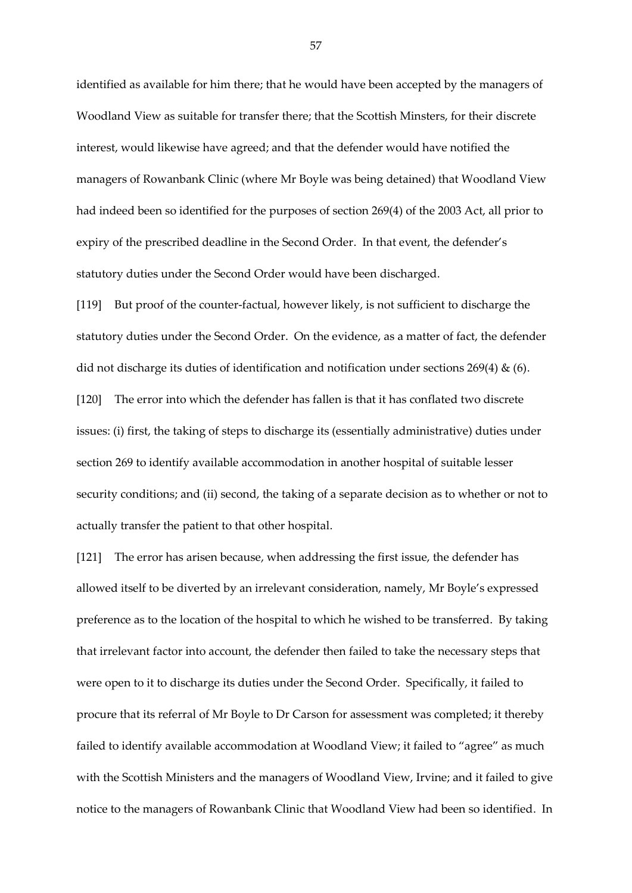identified as available for him there; that he would have been accepted by the managers of Woodland View as suitable for transfer there; that the Scottish Minsters, for their discrete interest, would likewise have agreed; and that the defender would have notified the managers of Rowanbank Clinic (where Mr Boyle was being detained) that Woodland View had indeed been so identified for the purposes of section 269(4) of the 2003 Act, all prior to expiry of the prescribed deadline in the Second Order. In that event, the defender's statutory duties under the Second Order would have been discharged.

[119] But proof of the counter-factual, however likely, is not sufficient to discharge the statutory duties under the Second Order. On the evidence, as a matter of fact, the defender did not discharge its duties of identification and notification under sections  $269(4)$  & (6). [120] The error into which the defender has fallen is that it has conflated two discrete issues: (i) first, the taking of steps to discharge its (essentially administrative) duties under section 269 to identify available accommodation in another hospital of suitable lesser security conditions; and (ii) second, the taking of a separate decision as to whether or not to actually transfer the patient to that other hospital.

[121] The error has arisen because, when addressing the first issue, the defender has allowed itself to be diverted by an irrelevant consideration, namely, Mr Boyle's expressed preference as to the location of the hospital to which he wished to be transferred. By taking that irrelevant factor into account, the defender then failed to take the necessary steps that were open to it to discharge its duties under the Second Order. Specifically, it failed to procure that its referral of Mr Boyle to Dr Carson for assessment was completed; it thereby failed to identify available accommodation at Woodland View; it failed to "agree" as much with the Scottish Ministers and the managers of Woodland View, Irvine; and it failed to give notice to the managers of Rowanbank Clinic that Woodland View had been so identified. In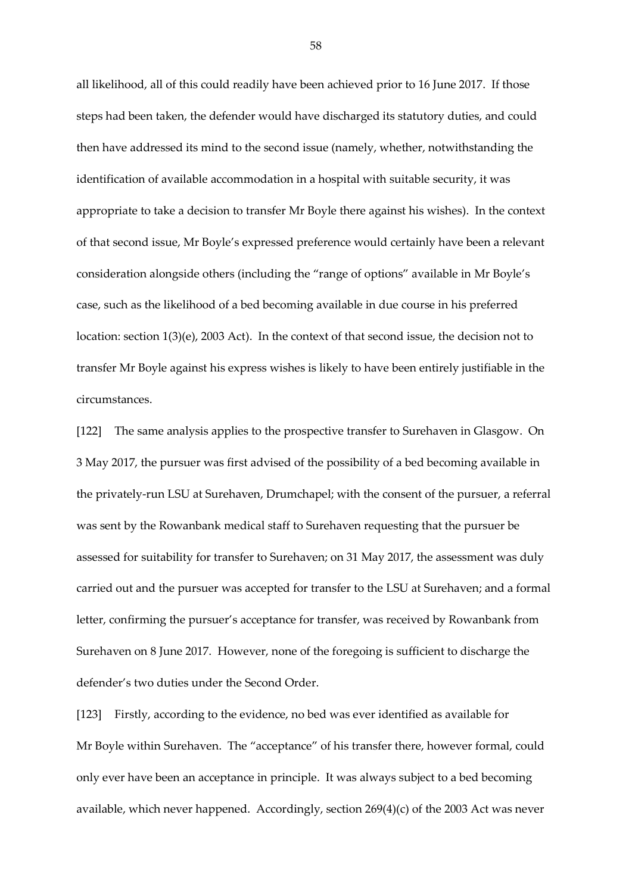all likelihood, all of this could readily have been achieved prior to 16 June 2017. If those steps had been taken, the defender would have discharged its statutory duties, and could then have addressed its mind to the second issue (namely, whether, notwithstanding the identification of available accommodation in a hospital with suitable security, it was appropriate to take a decision to transfer Mr Boyle there against his wishes). In the context of that second issue, Mr Boyle's expressed preference would certainly have been a relevant consideration alongside others (including the "range of options" available in Mr Boyle's case, such as the likelihood of a bed becoming available in due course in his preferred location: section 1(3)(e), 2003 Act). In the context of that second issue, the decision not to transfer Mr Boyle against his express wishes is likely to have been entirely justifiable in the circumstances.

[122] The same analysis applies to the prospective transfer to Surehaven in Glasgow. On 3 May 2017, the pursuer was first advised of the possibility of a bed becoming available in the privately-run LSU at Surehaven, Drumchapel; with the consent of the pursuer, a referral was sent by the Rowanbank medical staff to Surehaven requesting that the pursuer be assessed for suitability for transfer to Surehaven; on 31 May 2017, the assessment was duly carried out and the pursuer was accepted for transfer to the LSU at Surehaven; and a formal letter, confirming the pursuer's acceptance for transfer, was received by Rowanbank from Surehaven on 8 June 2017. However, none of the foregoing is sufficient to discharge the defender's two duties under the Second Order.

[123] Firstly, according to the evidence, no bed was ever identified as available for Mr Boyle within Surehaven. The "acceptance" of his transfer there, however formal, could only ever have been an acceptance in principle. It was always subject to a bed becoming available, which never happened. Accordingly, section 269(4)(c) of the 2003 Act was never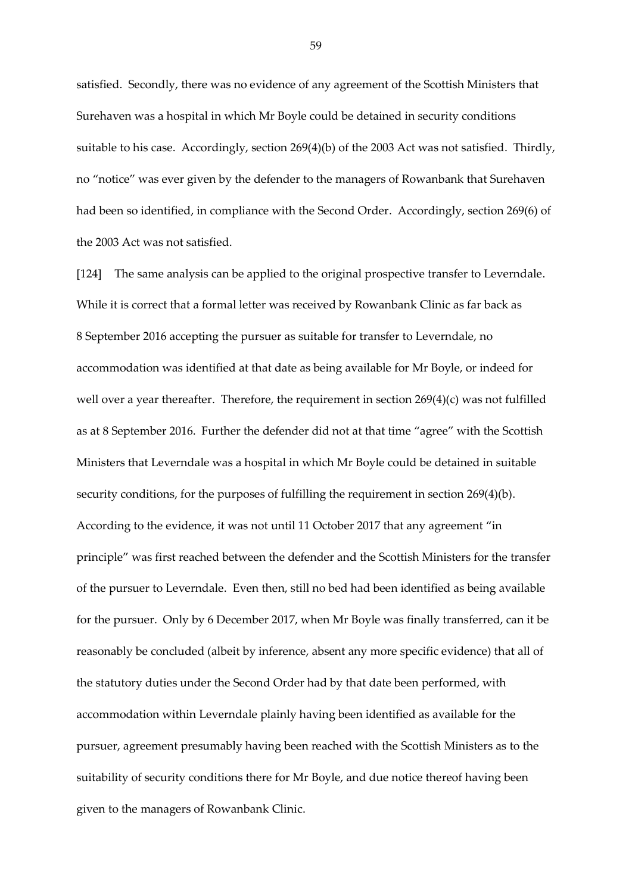satisfied. Secondly, there was no evidence of any agreement of the Scottish Ministers that Surehaven was a hospital in which Mr Boyle could be detained in security conditions suitable to his case. Accordingly, section 269(4)(b) of the 2003 Act was not satisfied. Thirdly, no "notice" was ever given by the defender to the managers of Rowanbank that Surehaven had been so identified, in compliance with the Second Order. Accordingly, section 269(6) of the 2003 Act was not satisfied.

[124] The same analysis can be applied to the original prospective transfer to Leverndale. While it is correct that a formal letter was received by Rowanbank Clinic as far back as 8 September 2016 accepting the pursuer as suitable for transfer to Leverndale, no accommodation was identified at that date as being available for Mr Boyle, or indeed for well over a year thereafter. Therefore, the requirement in section 269(4)(c) was not fulfilled as at 8 September 2016. Further the defender did not at that time "agree" with the Scottish Ministers that Leverndale was a hospital in which Mr Boyle could be detained in suitable security conditions, for the purposes of fulfilling the requirement in section 269(4)(b). According to the evidence, it was not until 11 October 2017 that any agreement "in principle" was first reached between the defender and the Scottish Ministers for the transfer of the pursuer to Leverndale. Even then, still no bed had been identified as being available for the pursuer. Only by 6 December 2017, when Mr Boyle was finally transferred, can it be reasonably be concluded (albeit by inference, absent any more specific evidence) that all of the statutory duties under the Second Order had by that date been performed, with accommodation within Leverndale plainly having been identified as available for the pursuer, agreement presumably having been reached with the Scottish Ministers as to the suitability of security conditions there for Mr Boyle, and due notice thereof having been given to the managers of Rowanbank Clinic.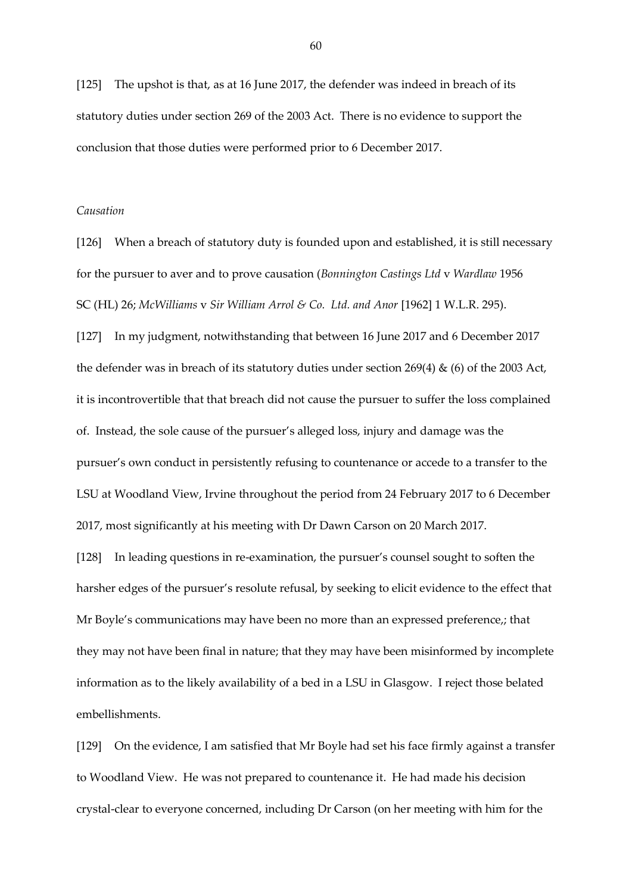[125] The upshot is that, as at 16 June 2017, the defender was indeed in breach of its statutory duties under section 269 of the 2003 Act. There is no evidence to support the conclusion that those duties were performed prior to 6 December 2017.

#### *Causation*

[126] When a breach of statutory duty is founded upon and established, it is still necessary for the pursuer to aver and to prove causation (*Bonnington Castings Ltd* v *Wardlaw* 1956 SC (HL) 26; *McWilliams* v *Sir William Arrol & Co. Ltd. and Anor* [1962] 1 W.L.R. 295).

[127] In my judgment, notwithstanding that between 16 June 2017 and 6 December 2017 the defender was in breach of its statutory duties under section 269(4) & (6) of the 2003 Act, it is incontrovertible that that breach did not cause the pursuer to suffer the loss complained of. Instead, the sole cause of the pursuer's alleged loss, injury and damage was the pursuer's own conduct in persistently refusing to countenance or accede to a transfer to the LSU at Woodland View, Irvine throughout the period from 24 February 2017 to 6 December 2017, most significantly at his meeting with Dr Dawn Carson on 20 March 2017.

[128] In leading questions in re-examination, the pursuer's counsel sought to soften the harsher edges of the pursuer's resolute refusal, by seeking to elicit evidence to the effect that Mr Boyle's communications may have been no more than an expressed preference,; that they may not have been final in nature; that they may have been misinformed by incomplete information as to the likely availability of a bed in a LSU in Glasgow. I reject those belated embellishments.

[129] On the evidence, I am satisfied that Mr Boyle had set his face firmly against a transfer to Woodland View. He was not prepared to countenance it. He had made his decision crystal-clear to everyone concerned, including Dr Carson (on her meeting with him for the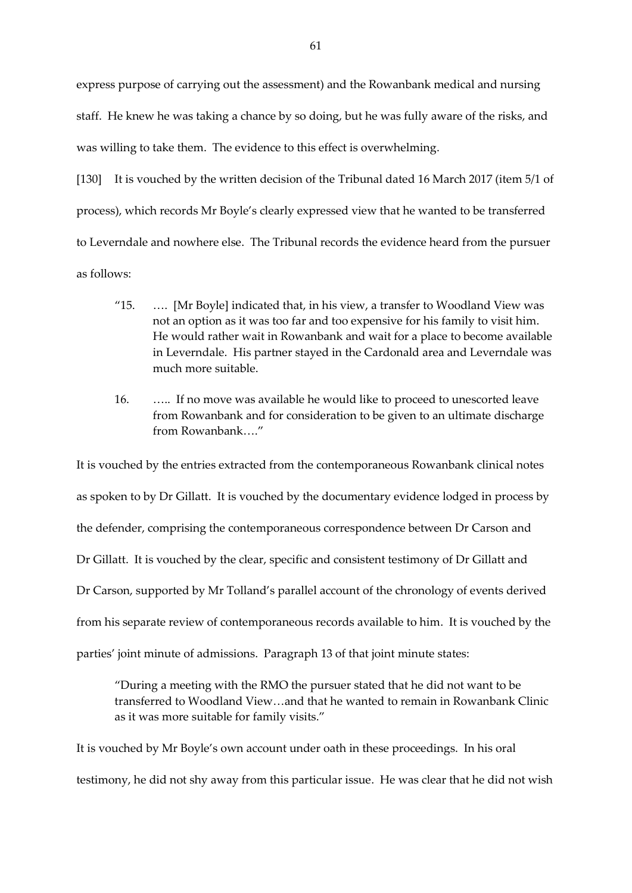express purpose of carrying out the assessment) and the Rowanbank medical and nursing staff. He knew he was taking a chance by so doing, but he was fully aware of the risks, and was willing to take them. The evidence to this effect is overwhelming.

[130] It is vouched by the written decision of the Tribunal dated 16 March 2017 (item 5/1 of process), which records Mr Boyle's clearly expressed view that he wanted to be transferred to Leverndale and nowhere else. The Tribunal records the evidence heard from the pursuer as follows:

- "15. …. [Mr Boyle] indicated that, in his view, a transfer to Woodland View was not an option as it was too far and too expensive for his family to visit him. He would rather wait in Rowanbank and wait for a place to become available in Leverndale. His partner stayed in the Cardonald area and Leverndale was much more suitable.
- 16. ….. If no move was available he would like to proceed to unescorted leave from Rowanbank and for consideration to be given to an ultimate discharge from Rowanbank…."

It is vouched by the entries extracted from the contemporaneous Rowanbank clinical notes as spoken to by Dr Gillatt. It is vouched by the documentary evidence lodged in process by the defender, comprising the contemporaneous correspondence between Dr Carson and Dr Gillatt. It is vouched by the clear, specific and consistent testimony of Dr Gillatt and Dr Carson, supported by Mr Tolland's parallel account of the chronology of events derived from his separate review of contemporaneous records available to him. It is vouched by the parties' joint minute of admissions. Paragraph 13 of that joint minute states:

"During a meeting with the RMO the pursuer stated that he did not want to be transferred to Woodland View…and that he wanted to remain in Rowanbank Clinic as it was more suitable for family visits."

It is vouched by Mr Boyle's own account under oath in these proceedings. In his oral testimony, he did not shy away from this particular issue. He was clear that he did not wish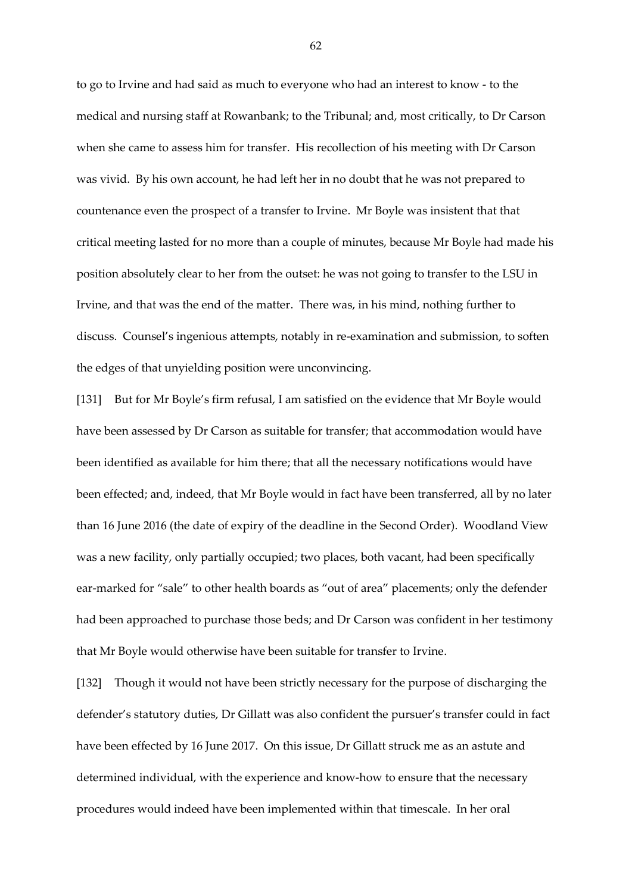to go to Irvine and had said as much to everyone who had an interest to know - to the medical and nursing staff at Rowanbank; to the Tribunal; and, most critically, to Dr Carson when she came to assess him for transfer. His recollection of his meeting with Dr Carson was vivid. By his own account, he had left her in no doubt that he was not prepared to countenance even the prospect of a transfer to Irvine. Mr Boyle was insistent that that critical meeting lasted for no more than a couple of minutes, because Mr Boyle had made his position absolutely clear to her from the outset: he was not going to transfer to the LSU in Irvine, and that was the end of the matter. There was, in his mind, nothing further to discuss. Counsel's ingenious attempts, notably in re-examination and submission, to soften the edges of that unyielding position were unconvincing.

[131] But for Mr Boyle's firm refusal, I am satisfied on the evidence that Mr Boyle would have been assessed by Dr Carson as suitable for transfer; that accommodation would have been identified as available for him there; that all the necessary notifications would have been effected; and, indeed, that Mr Boyle would in fact have been transferred, all by no later than 16 June 2016 (the date of expiry of the deadline in the Second Order). Woodland View was a new facility, only partially occupied; two places, both vacant, had been specifically ear-marked for "sale" to other health boards as "out of area" placements; only the defender had been approached to purchase those beds; and Dr Carson was confident in her testimony that Mr Boyle would otherwise have been suitable for transfer to Irvine.

[132] Though it would not have been strictly necessary for the purpose of discharging the defender's statutory duties, Dr Gillatt was also confident the pursuer's transfer could in fact have been effected by 16 June 2017. On this issue, Dr Gillatt struck me as an astute and determined individual, with the experience and know-how to ensure that the necessary procedures would indeed have been implemented within that timescale. In her oral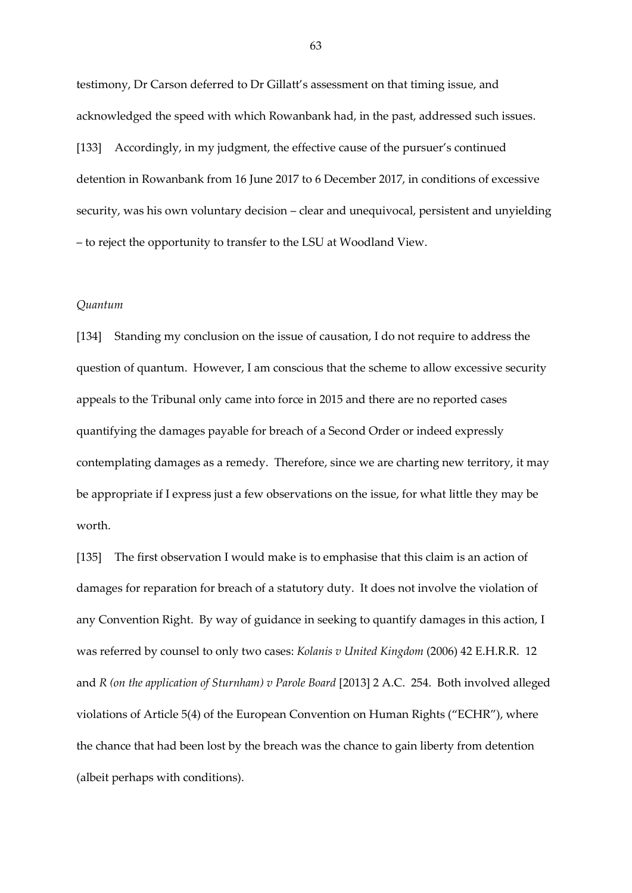testimony, Dr Carson deferred to Dr Gillatt's assessment on that timing issue, and acknowledged the speed with which Rowanbank had, in the past, addressed such issues. [133] Accordingly, in my judgment, the effective cause of the pursuer's continued detention in Rowanbank from 16 June 2017 to 6 December 2017, in conditions of excessive security, was his own voluntary decision – clear and unequivocal, persistent and unyielding – to reject the opportunity to transfer to the LSU at Woodland View.

#### *Quantum*

[134] Standing my conclusion on the issue of causation, I do not require to address the question of quantum. However, I am conscious that the scheme to allow excessive security appeals to the Tribunal only came into force in 2015 and there are no reported cases quantifying the damages payable for breach of a Second Order or indeed expressly contemplating damages as a remedy. Therefore, since we are charting new territory, it may be appropriate if I express just a few observations on the issue, for what little they may be worth.

[135] The first observation I would make is to emphasise that this claim is an action of damages for reparation for breach of a statutory duty. It does not involve the violation of any Convention Right. By way of guidance in seeking to quantify damages in this action, I was referred by counsel to only two cases: *Kolanis v United Kingdom* (2006) 42 E.H.R.R. 12 and *R (on the application of Sturnham) v Parole Board* [2013] 2 A.C. 254. Both involved alleged violations of Article 5(4) of the European Convention on Human Rights ("ECHR"), where the chance that had been lost by the breach was the chance to gain liberty from detention (albeit perhaps with conditions).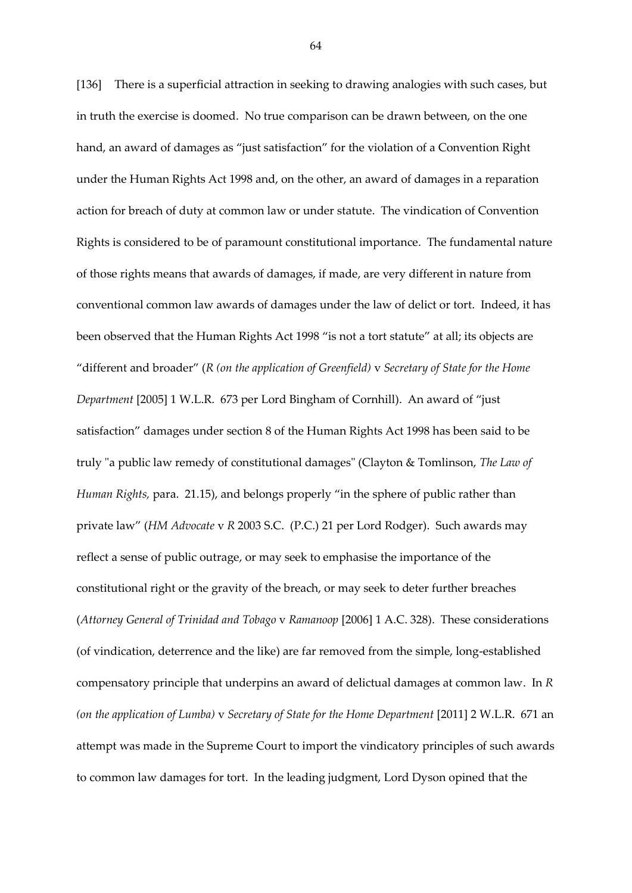[136] There is a superficial attraction in seeking to drawing analogies with such cases, but in truth the exercise is doomed. No true comparison can be drawn between, on the one hand, an award of damages as "just satisfaction" for the violation of a Convention Right under the Human Rights Act 1998 and, on the other, an award of damages in a reparation action for breach of duty at common law or under statute. The vindication of Convention Rights is considered to be of paramount constitutional importance. The fundamental nature of those rights means that awards of damages, if made, are very different in nature from conventional common law awards of damages under the law of delict or tort. Indeed, it has been observed that the Human Rights Act 1998 "is not a tort statute" at all; its objects are "different and broader" (*R (on the application of Greenfield)* v *Secretary of State for the Home Department* [2005] 1 W.L.R. 673 per Lord Bingham of Cornhill). An award of "just satisfaction" damages under section 8 of the Human Rights Act 1998 has been said to be truly "a public law remedy of constitutional damages" (Clayton & Tomlinson, *The Law of Human Rights,* para. 21.15), and belongs properly "in the sphere of public rather than private law" (*HM Advocate* v *R* 2003 S.C. (P.C.) 21 per Lord Rodger). Such awards may reflect a sense of public outrage, or may seek to emphasise the importance of the constitutional right or the gravity of the breach, or may seek to deter further breaches (*Attorney General of Trinidad and Tobago* v *Ramanoop* [2006] 1 A.C. 328). These considerations (of vindication, deterrence and the like) are far removed from the simple, long-established compensatory principle that underpins an award of delictual damages at common law. In *R (on the application of Lumba)* v *Secretary of State for the Home Department* [2011] 2 W.L.R. 671 an attempt was made in the Supreme Court to import the vindicatory principles of such awards to common law damages for tort. In the leading judgment, Lord Dyson opined that the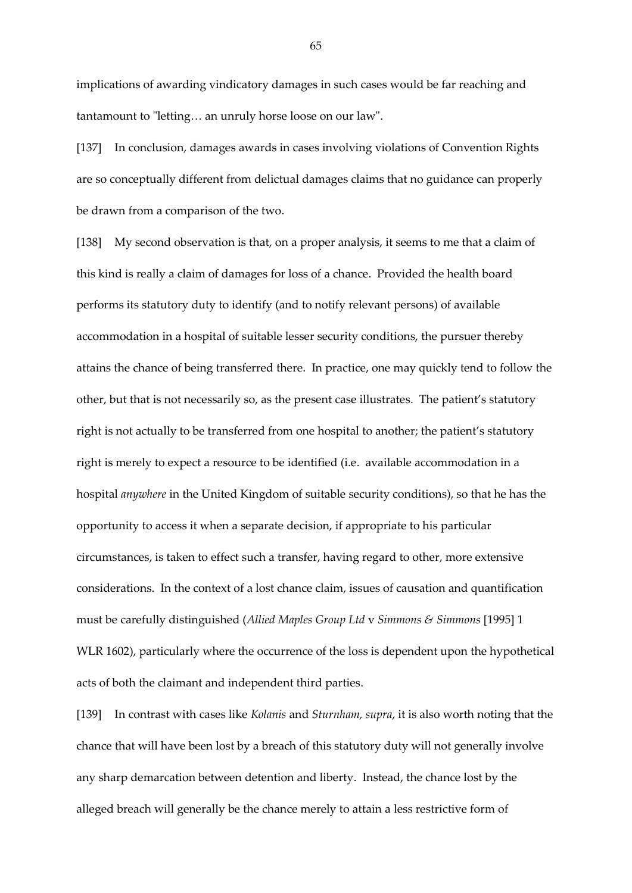implications of awarding vindicatory damages in such cases would be far reaching and tantamount to "letting… an unruly horse loose on our law".

[137] In conclusion, damages awards in cases involving violations of Convention Rights are so conceptually different from delictual damages claims that no guidance can properly be drawn from a comparison of the two.

[138] My second observation is that, on a proper analysis, it seems to me that a claim of this kind is really a claim of damages for loss of a chance. Provided the health board performs its statutory duty to identify (and to notify relevant persons) of available accommodation in a hospital of suitable lesser security conditions, the pursuer thereby attains the chance of being transferred there. In practice, one may quickly tend to follow the other, but that is not necessarily so, as the present case illustrates. The patient's statutory right is not actually to be transferred from one hospital to another; the patient's statutory right is merely to expect a resource to be identified (i.e. available accommodation in a hospital *anywhere* in the United Kingdom of suitable security conditions), so that he has the opportunity to access it when a separate decision, if appropriate to his particular circumstances, is taken to effect such a transfer, having regard to other, more extensive considerations. In the context of a lost chance claim, issues of causation and quantification must be carefully distinguished (*Allied Maples Group Ltd* v *Simmons & Simmons* [1995] 1 WLR 1602), particularly where the occurrence of the loss is dependent upon the hypothetical acts of both the claimant and independent third parties.

[139] In contrast with cases like *Kolanis* and *Sturnham, supra*, it is also worth noting that the chance that will have been lost by a breach of this statutory duty will not generally involve any sharp demarcation between detention and liberty. Instead, the chance lost by the alleged breach will generally be the chance merely to attain a less restrictive form of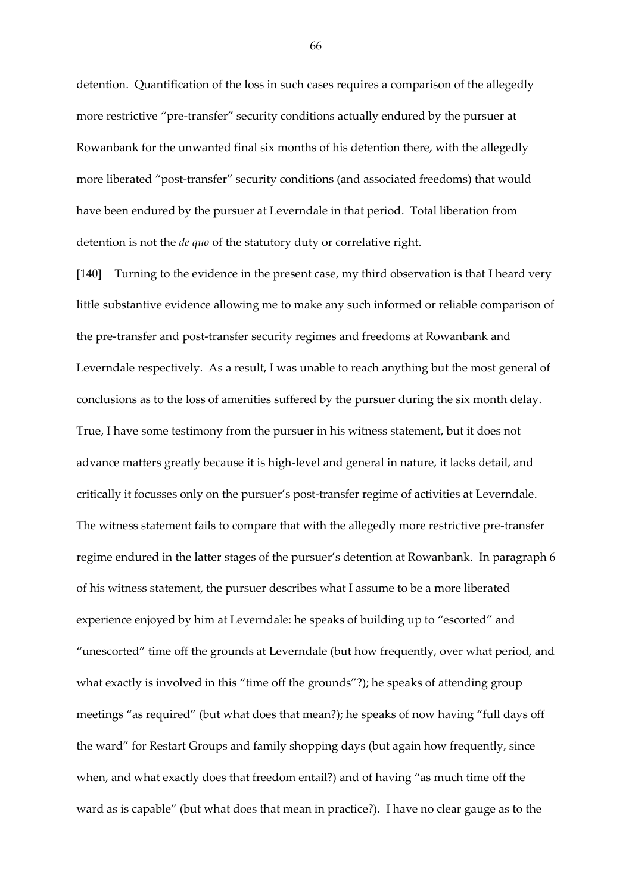detention. Quantification of the loss in such cases requires a comparison of the allegedly more restrictive "pre-transfer" security conditions actually endured by the pursuer at Rowanbank for the unwanted final six months of his detention there, with the allegedly more liberated "post-transfer" security conditions (and associated freedoms) that would have been endured by the pursuer at Leverndale in that period. Total liberation from detention is not the *de quo* of the statutory duty or correlative right.

[140] Turning to the evidence in the present case, my third observation is that I heard very little substantive evidence allowing me to make any such informed or reliable comparison of the pre-transfer and post-transfer security regimes and freedoms at Rowanbank and Leverndale respectively. As a result, I was unable to reach anything but the most general of conclusions as to the loss of amenities suffered by the pursuer during the six month delay. True, I have some testimony from the pursuer in his witness statement, but it does not advance matters greatly because it is high-level and general in nature, it lacks detail, and critically it focusses only on the pursuer's post-transfer regime of activities at Leverndale. The witness statement fails to compare that with the allegedly more restrictive pre-transfer regime endured in the latter stages of the pursuer's detention at Rowanbank. In paragraph 6 of his witness statement, the pursuer describes what I assume to be a more liberated experience enjoyed by him at Leverndale: he speaks of building up to "escorted" and "unescorted" time off the grounds at Leverndale (but how frequently, over what period, and what exactly is involved in this "time off the grounds"?); he speaks of attending group meetings "as required" (but what does that mean?); he speaks of now having "full days off the ward" for Restart Groups and family shopping days (but again how frequently, since when, and what exactly does that freedom entail?) and of having "as much time off the ward as is capable" (but what does that mean in practice?). I have no clear gauge as to the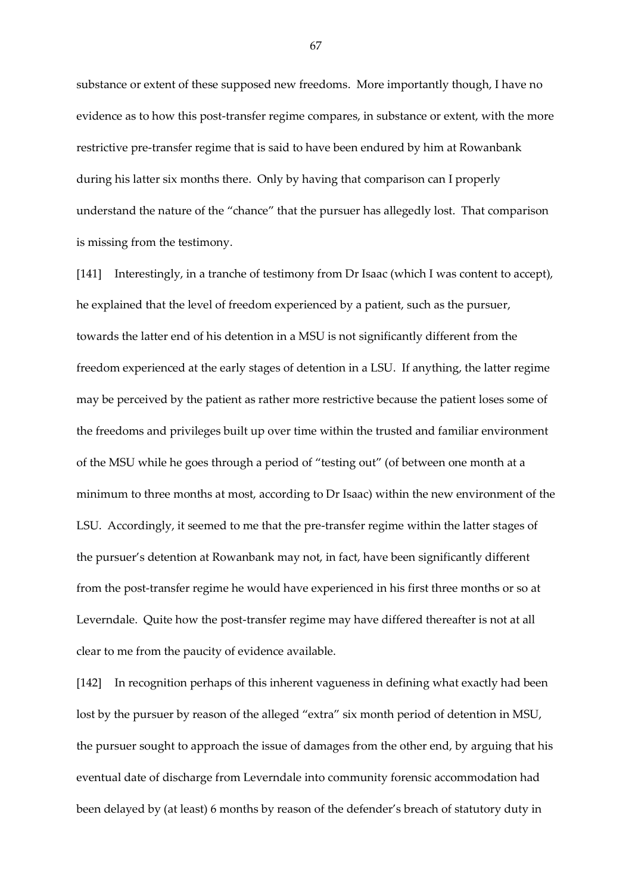substance or extent of these supposed new freedoms. More importantly though, I have no evidence as to how this post-transfer regime compares, in substance or extent, with the more restrictive pre-transfer regime that is said to have been endured by him at Rowanbank during his latter six months there. Only by having that comparison can I properly understand the nature of the "chance" that the pursuer has allegedly lost. That comparison is missing from the testimony.

[141] Interestingly, in a tranche of testimony from Dr Isaac (which I was content to accept), he explained that the level of freedom experienced by a patient, such as the pursuer, towards the latter end of his detention in a MSU is not significantly different from the freedom experienced at the early stages of detention in a LSU. If anything, the latter regime may be perceived by the patient as rather more restrictive because the patient loses some of the freedoms and privileges built up over time within the trusted and familiar environment of the MSU while he goes through a period of "testing out" (of between one month at a minimum to three months at most, according to Dr Isaac) within the new environment of the LSU. Accordingly, it seemed to me that the pre-transfer regime within the latter stages of the pursuer's detention at Rowanbank may not, in fact, have been significantly different from the post-transfer regime he would have experienced in his first three months or so at Leverndale. Quite how the post-transfer regime may have differed thereafter is not at all clear to me from the paucity of evidence available.

[142] In recognition perhaps of this inherent vagueness in defining what exactly had been lost by the pursuer by reason of the alleged "extra" six month period of detention in MSU, the pursuer sought to approach the issue of damages from the other end, by arguing that his eventual date of discharge from Leverndale into community forensic accommodation had been delayed by (at least) 6 months by reason of the defender's breach of statutory duty in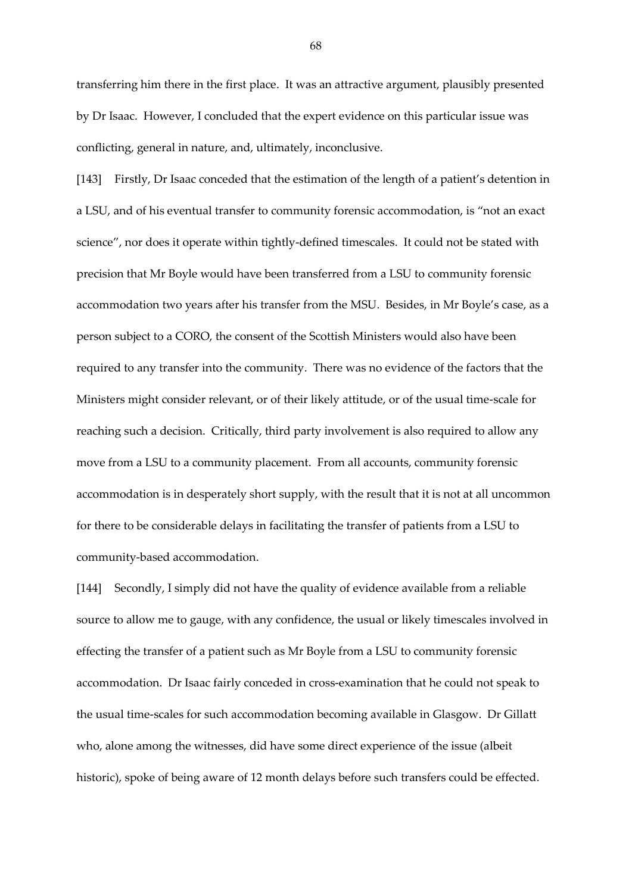transferring him there in the first place. It was an attractive argument, plausibly presented by Dr Isaac. However, I concluded that the expert evidence on this particular issue was conflicting, general in nature, and, ultimately, inconclusive.

[143] Firstly, Dr Isaac conceded that the estimation of the length of a patient's detention in a LSU, and of his eventual transfer to community forensic accommodation, is "not an exact science", nor does it operate within tightly-defined timescales. It could not be stated with precision that Mr Boyle would have been transferred from a LSU to community forensic accommodation two years after his transfer from the MSU. Besides, in Mr Boyle's case, as a person subject to a CORO, the consent of the Scottish Ministers would also have been required to any transfer into the community. There was no evidence of the factors that the Ministers might consider relevant, or of their likely attitude, or of the usual time-scale for reaching such a decision. Critically, third party involvement is also required to allow any move from a LSU to a community placement. From all accounts, community forensic accommodation is in desperately short supply, with the result that it is not at all uncommon for there to be considerable delays in facilitating the transfer of patients from a LSU to community-based accommodation.

[144] Secondly, I simply did not have the quality of evidence available from a reliable source to allow me to gauge, with any confidence, the usual or likely timescales involved in effecting the transfer of a patient such as Mr Boyle from a LSU to community forensic accommodation. Dr Isaac fairly conceded in cross-examination that he could not speak to the usual time-scales for such accommodation becoming available in Glasgow. Dr Gillatt who, alone among the witnesses, did have some direct experience of the issue (albeit historic), spoke of being aware of 12 month delays before such transfers could be effected.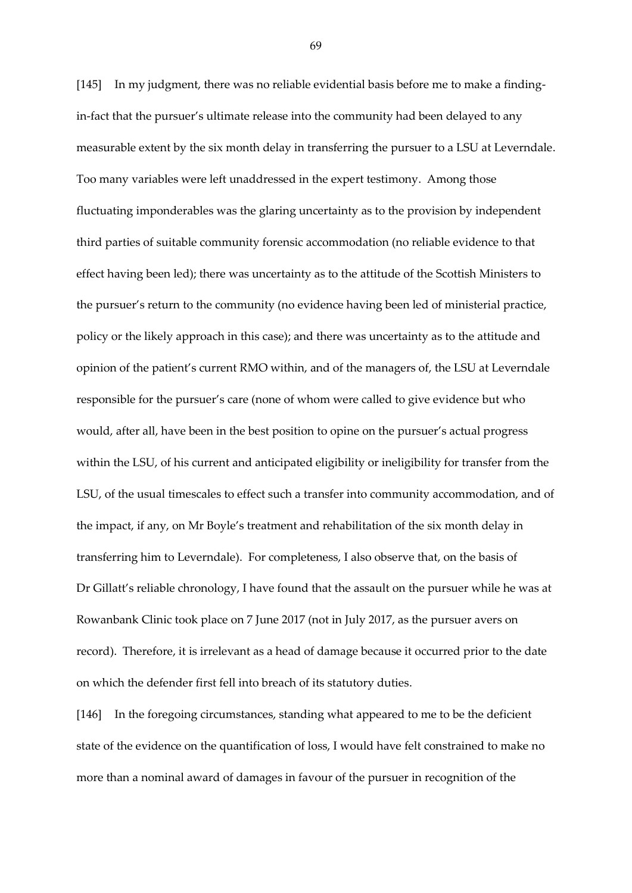[145] In my judgment, there was no reliable evidential basis before me to make a findingin-fact that the pursuer's ultimate release into the community had been delayed to any measurable extent by the six month delay in transferring the pursuer to a LSU at Leverndale. Too many variables were left unaddressed in the expert testimony. Among those fluctuating imponderables was the glaring uncertainty as to the provision by independent third parties of suitable community forensic accommodation (no reliable evidence to that effect having been led); there was uncertainty as to the attitude of the Scottish Ministers to the pursuer's return to the community (no evidence having been led of ministerial practice, policy or the likely approach in this case); and there was uncertainty as to the attitude and opinion of the patient's current RMO within, and of the managers of, the LSU at Leverndale responsible for the pursuer's care (none of whom were called to give evidence but who would, after all, have been in the best position to opine on the pursuer's actual progress within the LSU, of his current and anticipated eligibility or ineligibility for transfer from the LSU, of the usual timescales to effect such a transfer into community accommodation, and of the impact, if any, on Mr Boyle's treatment and rehabilitation of the six month delay in transferring him to Leverndale). For completeness, I also observe that, on the basis of Dr Gillatt's reliable chronology, I have found that the assault on the pursuer while he was at Rowanbank Clinic took place on 7 June 2017 (not in July 2017, as the pursuer avers on record). Therefore, it is irrelevant as a head of damage because it occurred prior to the date on which the defender first fell into breach of its statutory duties.

[146] In the foregoing circumstances, standing what appeared to me to be the deficient state of the evidence on the quantification of loss, I would have felt constrained to make no more than a nominal award of damages in favour of the pursuer in recognition of the